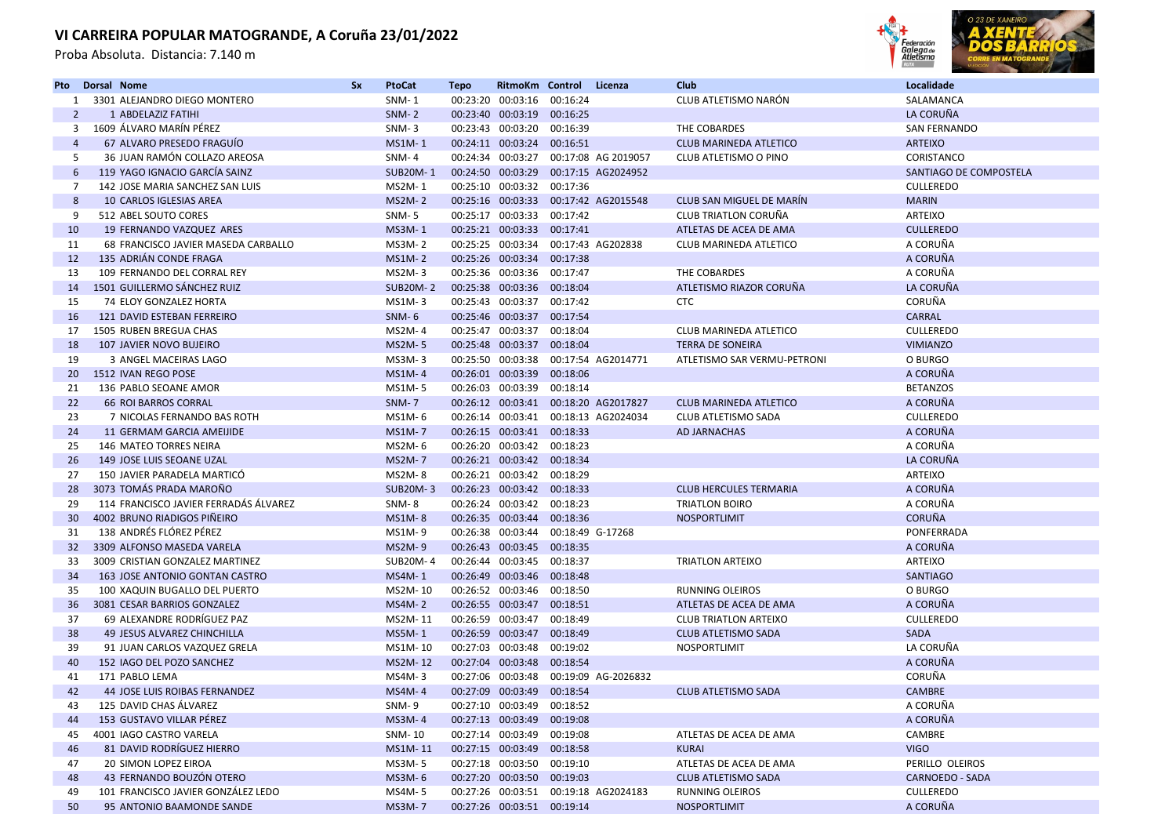Proba Absoluta. Distancia: 7.140 m



| Pto             | Dorsal Nome |                                       | <b>Sx</b> | <b>PtoCat</b>   | <b>Tepo</b> | RitmoKm Control            |                  | Licenza                               | Club                          | Localidade             |
|-----------------|-------------|---------------------------------------|-----------|-----------------|-------------|----------------------------|------------------|---------------------------------------|-------------------------------|------------------------|
| 1               |             | 3301 ALEJANDRO DIEGO MONTERO          |           | <b>SNM-1</b>    |             | 00:23:20 00:03:16          | 00:16:24         |                                       | CLUB ATLETISMO NARÓN          | SALAMANCA              |
| 2               |             | 1 ABDELAZIZ FATIHI                    |           | $SNM-2$         |             | 00:23:40 00:03:19 00:16:25 |                  |                                       |                               | LA CORUÑA              |
| 3               |             | 1609 ÁLVARO MARÍN PÉREZ               |           | $SNM-3$         |             | 00:23:43 00:03:20 00:16:39 |                  |                                       | THE COBARDES                  | <b>SAN FERNANDO</b>    |
| $\overline{4}$  |             | 67 ALVARO PRESEDO FRAGUIO             |           | <b>MS1M-1</b>   |             | 00:24:11 00:03:24 00:16:51 |                  |                                       | <b>CLUB MARINEDA ATLETICO</b> | <b>ARTEIXO</b>         |
| 5               |             | 36 JUAN RAMÓN COLLAZO AREOSA          |           | <b>SNM-4</b>    |             |                            |                  | 00:24:34 00:03:27 00:17:08 AG 2019057 | CLUB ATLETISMO O PINO         | CORISTANCO             |
| 6               |             | 119 YAGO IGNACIO GARCÍA SAINZ         |           | <b>SUB20M-1</b> |             |                            |                  | 00:24:50 00:03:29 00:17:15 AG2024952  |                               | SANTIAGO DE COMPOSTELA |
| 7               |             | 142 JOSE MARIA SANCHEZ SAN LUIS       |           | MS2M-1          |             | 00:25:10 00:03:32          | 00:17:36         |                                       |                               | <b>CULLEREDO</b>       |
| 8               |             | 10 CARLOS IGLESIAS AREA               |           | <b>MS2M-2</b>   |             |                            |                  | 00:25:16 00:03:33 00:17:42 AG2015548  | CLUB SAN MIGUEL DE MARIN      | <b>MARIN</b>           |
| 9               |             | 512 ABEL SOUTO CORES                  |           | SNM-5           |             | 00:25:17 00:03:33          | 00:17:42         |                                       | CLUB TRIATLON CORUÑA          | <b>ARTEIXO</b>         |
| 10              |             | 19 FERNANDO VAZQUEZ ARES              |           | <b>MS3M-1</b>   |             | 00:25:21 00:03:33 00:17:41 |                  |                                       | ATLETAS DE ACEA DE AMA        | <b>CULLEREDO</b>       |
| 11              |             | 68 FRANCISCO JAVIER MASEDA CARBALLO   |           | <b>MS3M-2</b>   |             | 00:25:25 00:03:34          |                  | 00:17:43 AG202838                     | <b>CLUB MARINEDA ATLETICO</b> | A CORUÑA               |
| 12              |             | 135 ADRIÁN CONDE FRAGA                |           | <b>MS1M-2</b>   |             | 00:25:26 00:03:34          | 00:17:38         |                                       |                               | A CORUÑA               |
| 13              |             | 109 FERNANDO DEL CORRAL REY           |           | MS2M-3          |             | 00:25:36 00:03:36 00:17:47 |                  |                                       | THE COBARDES                  | A CORUÑA               |
| 14              |             | 1501 GUILLERMO SÁNCHEZ RUIZ           |           | <b>SUB20M-2</b> |             | 00:25:38 00:03:36 00:18:04 |                  |                                       | ATLETISMO RIAZOR CORUÑA       | LA CORUÑA              |
| 15              |             | 74 ELOY GONZALEZ HORTA                |           | MS1M-3          |             | 00:25:43 00:03:37 00:17:42 |                  |                                       | <b>CTC</b>                    | CORUÑA                 |
| 16              |             | 121 DAVID ESTEBAN FERREIRO            |           | $SNM-6$         |             | 00:25:46 00:03:37          | 00:17:54         |                                       |                               | <b>CARRAL</b>          |
| 17              |             | 1505 RUBEN BREGUA CHAS                |           | MS2M-4          |             | 00:25:47 00:03:37          | 00:18:04         |                                       | CLUB MARINEDA ATLETICO        | <b>CULLEREDO</b>       |
| 18              |             | 107 JAVIER NOVO BUJEIRO               |           | <b>MS2M-5</b>   |             | 00:25:48 00:03:37          | 00:18:04         |                                       | <b>TERRA DE SONEIRA</b>       | <b>VIMIANZO</b>        |
| 19              |             | 3 ANGEL MACEIRAS LAGO                 |           | MS3M-3          |             |                            |                  | 00:25:50 00:03:38 00:17:54 AG2014771  | ATLETISMO SAR VERMU-PETRONI   | O BURGO                |
| 20 <sup>°</sup> |             | 1512 IVAN REGO POSE                   |           | <b>MS1M-4</b>   |             | 00:26:01 00:03:39          | 00:18:06         |                                       |                               | A CORUÑA               |
| 21              |             | 136 PABLO SEOANE AMOR                 |           | <b>MS1M-5</b>   |             | 00:26:03 00:03:39 00:18:14 |                  |                                       |                               | <b>BETANZOS</b>        |
| 22              |             | <b>66 ROI BARROS CORRAL</b>           |           | <b>SNM-7</b>    |             |                            |                  | 00:26:12 00:03:41 00:18:20 AG2017827  | <b>CLUB MARINEDA ATLETICO</b> | A CORUÑA               |
| 23              |             | 7 NICOLAS FERNANDO BAS ROTH           |           | MS1M-6          |             |                            |                  | 00:26:14 00:03:41 00:18:13 AG2024034  | CLUB ATLETISMO SADA           | <b>CULLEREDO</b>       |
| 24              |             | 11 GERMAM GARCIA AMEIJIDE             |           | <b>MS1M-7</b>   |             | 00:26:15 00:03:41 00:18:33 |                  |                                       | <b>AD JARNACHAS</b>           | A CORUÑA               |
| 25              |             | 146 MATEO TORRES NEIRA                |           | MS2M-6          |             | 00:26:20 00:03:42          | 00:18:23         |                                       |                               | A CORUÑA               |
| 26              |             | 149 JOSE LUIS SEOANE UZAL             |           | <b>MS2M-7</b>   |             | 00:26:21 00:03:42 00:18:34 |                  |                                       |                               | LA CORUÑA              |
| 27              |             | 150 JAVIER PARADELA MARTICÓ           |           | MS2M-8          |             | 00:26:21 00:03:42 00:18:29 |                  |                                       |                               | <b>ARTEIXO</b>         |
| 28              |             | 3073 TOMÁS PRADA MAROÑO               |           | <b>SUB20M-3</b> |             | 00:26:23 00:03:42 00:18:33 |                  |                                       | <b>CLUB HERCULES TERMARIA</b> | A CORUÑA               |
| 29              |             | 114 FRANCISCO JAVIER FERRADÁS ÁLVAREZ |           | SNM-8           |             | 00:26:24 00:03:42 00:18:23 |                  |                                       | <b>TRIATLON BOIRO</b>         | A CORUÑA               |
| 30              |             | 4002 BRUNO RIADIGOS PIÑEIRO           |           | <b>MS1M-8</b>   |             | 00:26:35 00:03:44          | 00:18:36         |                                       | <b>NOSPORTLIMIT</b>           | <b>CORUÑA</b>          |
| 31              |             | 138 ANDRÉS FLÓREZ PÉREZ               |           | MS1M-9          |             | 00:26:38 00:03:44          | 00:18:49 G-17268 |                                       |                               | PONFERRADA             |
| 32 <sup>2</sup> |             | 3309 ALFONSO MASEDA VARELA            |           | MS2M-9          |             | 00:26:43 00:03:45          | 00:18:35         |                                       |                               | A CORUÑA               |
| 33              |             | 3009 CRISTIAN GONZALEZ MARTINEZ       |           | <b>SUB20M-4</b> |             | 00:26:44 00:03:45 00:18:37 |                  |                                       | <b>TRIATLON ARTEIXO</b>       | ARTEIXO                |
| 34              |             | 163 JOSE ANTONIO GONTAN CASTRO        |           | MS4M-1          |             | 00:26:49 00:03:46          | 00:18:48         |                                       |                               | <b>SANTIAGO</b>        |
| 35              |             | 100 XAQUIN BUGALLO DEL PUERTO         |           | MS2M-10         |             | 00:26:52 00:03:46 00:18:50 |                  |                                       | RUNNING OLEIROS               | O BURGO                |
| 36              |             | 3081 CESAR BARRIOS GONZALEZ           |           | <b>MS4M-2</b>   |             | 00:26:55 00:03:47          | 00:18:51         |                                       | ATLETAS DE ACEA DE AMA        | A CORUÑA               |
| 37              |             | 69 ALEXANDRE RODRÍGUEZ PAZ            |           | MS2M-11         |             | 00:26:59 00:03:47 00:18:49 |                  |                                       | <b>CLUB TRIATLON ARTEIXO</b>  | <b>CULLEREDO</b>       |
| 38              |             | <b>49 JESUS ALVAREZ CHINCHILLA</b>    |           | MS5M-1          |             | 00:26:59 00:03:47 00:18:49 |                  |                                       | <b>CLUB ATLETISMO SADA</b>    | <b>SADA</b>            |
| 39              |             | 91 JUAN CARLOS VAZQUEZ GRELA          |           | MS1M-10         |             | 00:27:03 00:03:48          | 00:19:02         |                                       | NOSPORTLIMIT                  | LA CORUÑA              |
| 40              |             | 152 IAGO DEL POZO SANCHEZ             |           | <b>MS2M-12</b>  |             | 00:27:04 00:03:48 00:18:54 |                  |                                       |                               | A CORUÑA               |
| 41              |             | 171 PABLO LEMA                        |           | MS4M-3          |             |                            |                  | 00:27:06 00:03:48 00:19:09 AG-2026832 |                               | CORUÑA                 |
| 42              |             | 44 JOSE LUIS ROIBAS FERNANDEZ         |           | <b>MS4M-4</b>   |             | 00:27:09 00:03:49 00:18:54 |                  |                                       | <b>CLUB ATLETISMO SADA</b>    | <b>CAMBRE</b>          |
| 43              |             | 125 DAVID CHAS ÁLVAREZ                |           | SNM-9           |             | 00:27:10 00:03:49 00:18:52 |                  |                                       |                               | A CORUÑA               |
| 44              |             | 153 GUSTAVO VILLAR PÉREZ              |           | <b>MS3M-4</b>   |             | 00:27:13 00:03:49 00:19:08 |                  |                                       |                               | A CORUÑA               |
| 45              |             | 4001 IAGO CASTRO VARELA               |           | SNM-10          |             | 00:27:14 00:03:49 00:19:08 |                  |                                       | ATLETAS DE ACEA DE AMA        | CAMBRE                 |
| 46              |             | 81 DAVID RODRÍGUEZ HIERRO             |           | MS1M-11         |             | 00:27:15 00:03:49 00:18:58 |                  |                                       | <b>KURAI</b>                  | <b>VIGO</b>            |
| 47              |             | 20 SIMON LOPEZ EIROA                  |           | MS3M-5          |             | 00:27:18 00:03:50 00:19:10 |                  |                                       | ATLETAS DE ACEA DE AMA        | PERILLO OLEIROS        |
| 48              |             | 43 FERNANDO BOUZÓN OTERO              |           | MS3M-6          |             | 00:27:20 00:03:50 00:19:03 |                  |                                       | <b>CLUB ATLETISMO SADA</b>    | <b>CARNOEDO - SADA</b> |
| 49              |             | 101 FRANCISCO JAVIER GONZÁLEZ LEDO    |           | MS4M-5          |             |                            |                  | 00:27:26 00:03:51 00:19:18 AG2024183  | <b>RUNNING OLEIROS</b>        | <b>CULLEREDO</b>       |
| 50              |             | 95 ANTONIO BAAMONDE SANDE             |           | <b>MS3M-7</b>   |             | 00:27:26 00:03:51 00:19:14 |                  |                                       | <b>NOSPORTLIMIT</b>           | A CORUÑA               |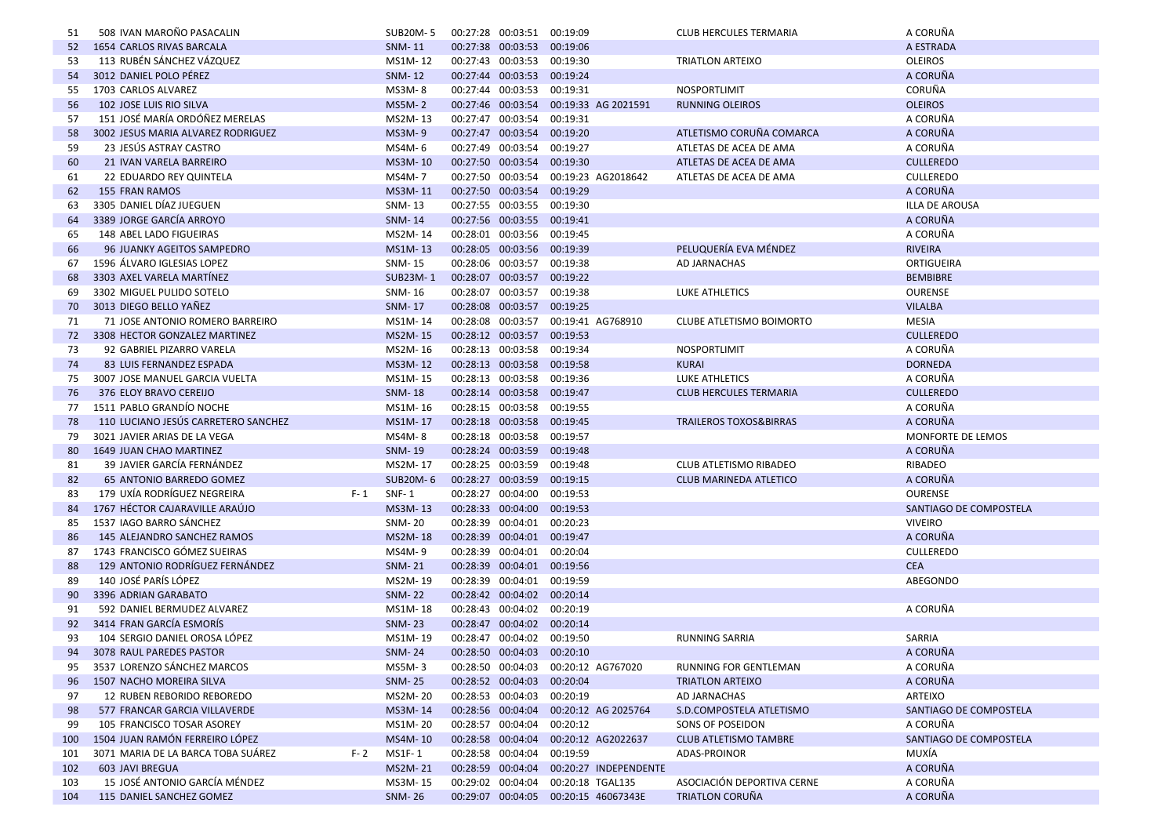| 51  | 508 IVAN MAROÑO PASACALIN                     | SUB20M-5                 | 00:27:28 00:03:51 00:19:09 |                                         | CLUB HERCULES TERMARIA            | A CORUÑA               |
|-----|-----------------------------------------------|--------------------------|----------------------------|-----------------------------------------|-----------------------------------|------------------------|
| 52  | <b>1654 CARLOS RIVAS BARCALA</b>              | <b>SNM-11</b>            | 00:27:38 00:03:53 00:19:06 |                                         |                                   | A ESTRADA              |
| 53  | 113 RUBÉN SÁNCHEZ VÁZQUEZ                     | MS1M-12                  | 00:27:43 00:03:53 00:19:30 |                                         | <b>TRIATLON ARTEIXO</b>           | <b>OLEIROS</b>         |
| 54  | 3012 DANIEL POLO PÉREZ                        | <b>SNM-12</b>            | 00:27:44 00:03:53 00:19:24 |                                         |                                   | A CORUÑA               |
| 55  | 1703 CARLOS ALVAREZ                           | MS3M-8                   | 00:27:44 00:03:53 00:19:31 |                                         | NOSPORTLIMIT                      | CORUÑA                 |
| 56  | 102 JOSE LUIS RIO SILVA                       | <b>MS5M-2</b>            |                            | 00:27:46 00:03:54 00:19:33 AG 2021591   | <b>RUNNING OLEIROS</b>            | <b>OLEIROS</b>         |
| 57  | 151 JOSÉ MARÍA ORDÓÑEZ MERELAS                | MS2M-13                  | 00:27:47 00:03:54 00:19:31 |                                         |                                   | A CORUÑA               |
| 58  | 3002 JESUS MARIA ALVAREZ RODRIGUEZ            | MS3M-9                   | 00:27:47 00:03:54 00:19:20 |                                         | ATLETISMO CORUÑA COMARCA          | A CORUÑA               |
| 59  | 23 JESUS ASTRAY CASTRO                        | MS4M-6                   | 00:27:49 00:03:54 00:19:27 |                                         | ATLETAS DE ACEA DE AMA            | A CORUÑA               |
| 60  | 21 IVAN VARELA BARREIRO                       | MS3M-10                  | 00:27:50 00:03:54          | 00:19:30                                | ATLETAS DE ACEA DE AMA            | <b>CULLEREDO</b>       |
| 61  | 22 EDUARDO REY QUINTELA                       | MS4M-7                   |                            | 00:27:50 00:03:54 00:19:23 AG2018642    | ATLETAS DE ACEA DE AMA            | <b>CULLEREDO</b>       |
| 62  | <b>155 FRAN RAMOS</b>                         | MS3M-11                  | 00:27:50 00:03:54          | 00:19:29                                |                                   | A CORUÑA               |
| 63  | 3305 DANIEL DÍAZ JUEGUEN                      | SNM-13                   | 00:27:55 00:03:55 00:19:30 |                                         |                                   | <b>ILLA DE AROUSA</b>  |
| 64  | 3389 JORGE GARCÍA ARROYO                      | <b>SNM-14</b>            | 00:27:56 00:03:55 00:19:41 |                                         |                                   | A CORUÑA               |
| 65  | 148 ABEL LADO FIGUEIRAS                       | MS2M-14                  | 00:28:01 00:03:56 00:19:45 |                                         |                                   | A CORUÑA               |
| 66  | 96 JUANKY AGEITOS SAMPEDRO                    | MS1M-13                  | 00:28:05 00:03:56 00:19:39 |                                         | PELUQUERÍA EVA MÉNDEZ             | <b>RIVEIRA</b>         |
| 67  | 1596 ÁLVARO IGLESIAS LOPEZ                    | SNM-15                   | 00:28:06 00:03:57 00:19:38 |                                         | AD JARNACHAS                      | <b>ORTIGUEIRA</b>      |
| 68  | 3303 AXEL VARELA MARTINEZ                     | SUB23M-1                 | 00:28:07 00:03:57 00:19:22 |                                         |                                   | <b>BEMBIBRE</b>        |
| 69  | 3302 MIGUEL PULIDO SOTELO                     | SNM-16                   | 00:28:07 00:03:57 00:19:38 |                                         | LUKE ATHLETICS                    | <b>OURENSE</b>         |
| 70  | 3013 DIEGO BELLO YAÑEZ                        | <b>SNM-17</b>            | 00:28:08 00:03:57 00:19:25 |                                         |                                   | <b>VILALBA</b>         |
| 71  | 71 JOSE ANTONIO ROMERO BARREIRO               | MS1M-14                  |                            | 00:28:08 00:03:57 00:19:41 AG768910     | <b>CLUBE ATLETISMO BOIMORTO</b>   | <b>MESIA</b>           |
| 72  | 3308 HECTOR GONZALEZ MARTINEZ                 | MS2M-15                  | 00:28:12 00:03:57 00:19:53 |                                         |                                   | <b>CULLEREDO</b>       |
| 73  | 92 GABRIEL PIZARRO VARELA                     | MS2M-16                  | 00:28:13 00:03:58 00:19:34 |                                         | NOSPORTLIMIT                      | A CORUÑA               |
| 74  | 83 LUIS FERNANDEZ ESPADA                      | MS3M-12                  | 00:28:13 00:03:58 00:19:58 |                                         | <b>KURAI</b>                      | <b>DORNEDA</b>         |
| 75  | 3007 JOSE MANUEL GARCIA VUELTA                | MS1M-15                  | 00:28:13 00:03:58 00:19:36 |                                         | LUKE ATHLETICS                    | A CORUÑA               |
| 76  | 376 ELOY BRAVO CEREIJO                        | <b>SNM-18</b>            | 00:28:14 00:03:58 00:19:47 |                                         | <b>CLUB HERCULES TERMARIA</b>     | <b>CULLEREDO</b>       |
| 77  | 1511 PABLO GRANDÍO NOCHE                      | MS1M-16                  | 00:28:15 00:03:58 00:19:55 |                                         |                                   | A CORUÑA               |
| 78  | 110 LUCIANO JESÚS CARRETERO SANCHEZ           | MS1M-17                  | 00:28:18 00:03:58 00:19:45 |                                         | <b>TRAILEROS TOXOS&amp;BIRRAS</b> | A CORUÑA               |
| 79  | 3021 JAVIER ARIAS DE LA VEGA                  | MS4M-8                   | 00:28:18 00:03:58 00:19:57 |                                         |                                   | MONFORTE DE LEMOS      |
| 80  | 1649 JUAN CHAO MARTINEZ                       | <b>SNM-19</b>            | 00:28:24 00:03:59 00:19:48 |                                         |                                   | A CORUÑA               |
| 81  | 39 JAVIER GARCÍA FERNÁNDEZ                    | MS2M-17                  | 00:28:25 00:03:59 00:19:48 |                                         | CLUB ATLETISMO RIBADEO            | RIBADEO                |
| 82  | <b>65 ANTONIO BARREDO GOMEZ</b>               | <b>SUB20M-6</b>          | 00:28:27 00:03:59 00:19:15 |                                         | <b>CLUB MARINEDA ATLETICO</b>     | A CORUÑA               |
| 83  | 179 UXÍA RODRÍGUEZ NEGREIRA<br>$F - 1$        | <b>SNF-1</b>             | 00:28:27 00:04:00 00:19:53 |                                         |                                   | <b>OURENSE</b>         |
| 84  | 1767 HÉCTOR CAJARAVILLE ARAÚJO                | MS3M-13                  | 00:28:33 00:04:00 00:19:53 |                                         |                                   | SANTIAGO DE COMPOSTELA |
| 85  | 1537 IAGO BARRO SÁNCHEZ                       | SNM-20                   | 00:28:39 00:04:01 00:20:23 |                                         |                                   | <b>VIVEIRO</b>         |
| 86  | 145 ALEJANDRO SANCHEZ RAMOS                   | MS2M-18                  | 00:28:39 00:04:01 00:19:47 |                                         |                                   | A CORUÑA               |
| 87  | 1743 FRANCISCO GÓMEZ SUEIRAS                  | MS4M-9                   | 00:28:39 00:04:01 00:20:04 |                                         |                                   | <b>CULLEREDO</b>       |
| 88  | 129 ANTONIO RODRÍGUEZ FERNÁNDEZ               | <b>SNM-21</b>            | 00:28:39 00:04:01 00:19:56 |                                         |                                   | <b>CEA</b>             |
| 89  | 140 JOSÉ PARÍS LÓPEZ                          | MS2M-19                  | 00:28:39 00:04:01 00:19:59 |                                         |                                   | ABEGONDO               |
| 90  | 3396 ADRIAN GARABATO                          | <b>SNM-22</b>            | 00:28:42 00:04:02 00:20:14 |                                         |                                   |                        |
| 91  | 592 DANIEL BERMUDEZ ALVAREZ                   | MS1M-18                  | 00:28:43 00:04:02 00:20:19 |                                         |                                   | A CORUÑA               |
| 92  | 3414 FRAN GARCÍA ESMORÍS                      |                          | 00:28:47 00:04:02 00:20:14 |                                         |                                   |                        |
|     |                                               | <b>SNM-23</b><br>MS1M-19 |                            |                                         |                                   |                        |
| 93  | 104 SERGIO DANIEL OROSA LÓPEZ                 |                          | 00:28:47 00:04:02 00:19:50 |                                         | <b>RUNNING SARRIA</b>             | SARRIA                 |
|     | 94 3078 RAUL PAREDES PASTOR                   | <b>SNM-24</b>            | 00:28:50 00:04:03 00:20:10 |                                         |                                   | A CORUÑA               |
| 95  | 3537 LORENZO SÁNCHEZ MARCOS                   | MS5M-3                   |                            | 00:28:50 00:04:03 00:20:12 AG767020     | RUNNING FOR GENTLEMAN             | A CORUÑA               |
| 96  | 1507 NACHO MOREIRA SILVA                      | <b>SNM-25</b>            | 00:28:52 00:04:03 00:20:04 |                                         | TRIATLON ARTEIXO                  | A CORUÑA               |
| 97  | 12 RUBEN REBORIDO REBOREDO                    | MS2M-20                  | 00:28:53 00:04:03 00:20:19 |                                         | AD JARNACHAS                      | ARTEIXO                |
| 98  | 577 FRANCAR GARCIA VILLAVERDE                 | MS3M-14                  |                            | 00:28:56 00:04:04 00:20:12 AG 2025764   | S.D.COMPOSTELA ATLETISMO          | SANTIAGO DE COMPOSTELA |
| 99  | 105 FRANCISCO TOSAR ASOREY                    | MS1M-20                  | 00:28:57 00:04:04 00:20:12 |                                         | SONS OF POSEIDON                  | A CORUÑA               |
| 100 | 1504 JUAN RAMÓN FERREIRO LÓPEZ                | MS4M-10                  |                            | 00:28:58 00:04:04 00:20:12 AG2022637    | <b>CLUB ATLETISMO TAMBRE</b>      | SANTIAGO DE COMPOSTELA |
| 101 | 3071 MARIA DE LA BARCA TOBA SUÁREZ<br>$F - 2$ | MS1F-1                   | 00:28:58 00:04:04 00:19:59 |                                         | ADAS-PROINOR                      | MUXÍA                  |
| 102 | <b>603 JAVI BREGUA</b>                        | MS2M-21                  |                            | 00:28:59 00:04:04 00:20:27 INDEPENDENTE |                                   | A CORUÑA               |
| 103 | 15 JOSÉ ANTONIO GARCÍA MÉNDEZ                 | MS3M-15                  |                            | 00:29:02 00:04:04 00:20:18 TGAL135      | ASOCIACIÓN DEPORTIVA CERNE        | A CORUÑA               |
| 104 | 115 DANIEL SANCHEZ GOMEZ                      | <b>SNM-26</b>            |                            | 00:29:07 00:04:05 00:20:15 46067343E    | TRIATLON CORUÑA                   | A CORUÑA               |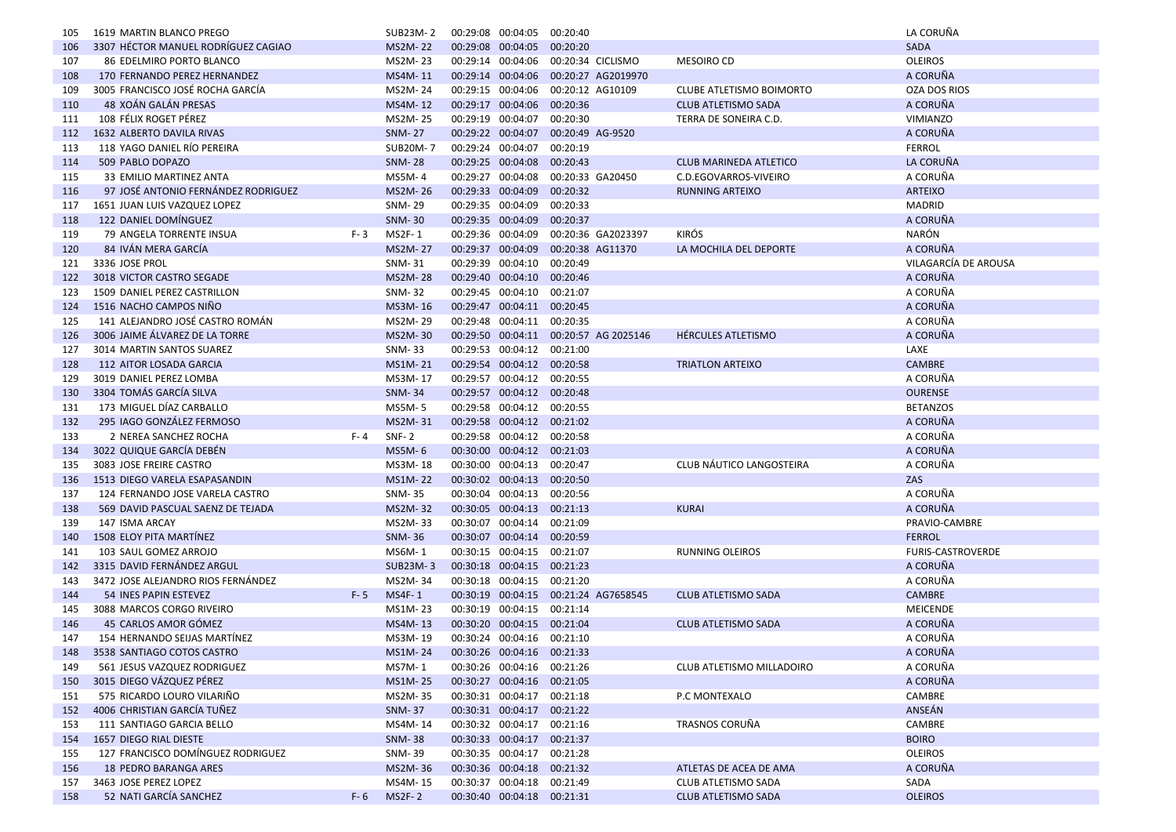| 105 | 1619 MARTIN BLANCO PREGO            | SUB23M-2       | 00:29:08 00:04:05 |                            | 00:20:40                              |                                 | LA CORUÑA            |
|-----|-------------------------------------|----------------|-------------------|----------------------------|---------------------------------------|---------------------------------|----------------------|
| 106 | 3307 HÉCTOR MANUEL RODRÍGUEZ CAGIAO | <b>MS2M-22</b> |                   | 00:29:08 00:04:05 00:20:20 |                                       |                                 | <b>SADA</b>          |
| 107 | 86 EDELMIRO PORTO BLANCO            | MS2M-23        | 00:29:14 00:04:06 |                            | 00:20:34 CICLISMO                     | <b>MESOIRO CD</b>               | <b>OLEIROS</b>       |
| 108 | 170 FERNANDO PEREZ HERNANDEZ        | MS4M-11        | 00:29:14 00:04:06 |                            | 00:20:27 AG2019970                    |                                 | A CORUÑA             |
| 109 | 3005 FRANCISCO JOSÉ ROCHA GARCÍA    | MS2M-24        | 00:29:15 00:04:06 |                            | 00:20:12 AG10109                      | <b>CLUBE ATLETISMO BOIMORTO</b> | <b>OZA DOS RIOS</b>  |
| 110 | 48 XOÁN GALÁN PRESAS                | MS4M-12        |                   | 00:29:17 00:04:06 00:20:36 |                                       | <b>CLUB ATLETISMO SADA</b>      | A CORUÑA             |
| 111 | 108 FÉLIX ROGET PÉREZ               | MS2M-25        | 00:29:19 00:04:07 |                            | 00:20:30                              | TERRA DE SONEIRA C.D.           | <b>VIMIANZO</b>      |
| 112 | 1632 ALBERTO DAVILA RIVAS           | <b>SNM-27</b>  | 00:29:22 00:04:07 |                            | 00:20:49 AG-9520                      |                                 | A CORUÑA             |
| 113 | 118 YAGO DANIEL RIO PEREIRA         | SUB20M-7       | 00:29:24 00:04:07 |                            | 00:20:19                              |                                 | <b>FERROL</b>        |
| 114 | 509 PABLO DOPAZO                    | <b>SNM-28</b>  |                   | 00:29:25 00:04:08          | 00:20:43                              | <b>CLUB MARINEDA ATLETICO</b>   | LA CORUÑA            |
| 115 | 33 EMILIO MARTINEZ ANTA             | MS5M-4         | 00:29:27 00:04:08 |                            | 00:20:33 GA20450                      | C.D.EGOVARROS-VIVEIRO           | A CORUÑA             |
| 116 | 97 JOSÉ ANTONIO FERNÁNDEZ RODRIGUEZ | MS2M-26        | 00:29:33 00:04:09 |                            | 00:20:32                              | <b>RUNNING ARTEIXO</b>          | <b>ARTEIXO</b>       |
| 117 | 1651 JUAN LUIS VAZQUEZ LOPEZ        | SNM-29         |                   | 00:29:35 00:04:09          | 00:20:33                              |                                 | <b>MADRID</b>        |
| 118 | 122 DANIEL DOMÍNGUEZ                | <b>SNM-30</b>  |                   | 00:29:35 00:04:09          | 00:20:37                              |                                 | A CORUÑA             |
| 119 | 79 ANGELA TORRENTE INSUA<br>$F - 3$ | MS2F-1         | 00:29:36 00:04:09 |                            | 00:20:36 GA2023397                    | <b>KIRÓS</b>                    | NARÓN                |
| 120 | 84 IVÁN MERA GARCÍA                 | <b>MS2M-27</b> | 00:29:37 00:04:09 |                            | 00:20:38 AG11370                      | LA MOCHILA DEL DEPORTE          | A CORUÑA             |
| 121 | 3336 JOSE PROL                      | SNM-31         |                   | 00:29:39 00:04:10          | 00:20:49                              |                                 | VILAGARCÍA DE AROUSA |
| 122 | 3018 VICTOR CASTRO SEGADE           | <b>MS2M-28</b> |                   | 00:29:40 00:04:10 00:20:46 |                                       |                                 | A CORUÑA             |
| 123 | 1509 DANIEL PEREZ CASTRILLON        | <b>SNM-32</b>  | 00:29:45 00:04:10 |                            | 00:21:07                              |                                 | A CORUÑA             |
| 124 | 1516 NACHO CAMPOS NIÑO              | MS3M-16        |                   | 00:29:47 00:04:11 00:20:45 |                                       |                                 | A CORUÑA             |
| 125 | 141 ALEJANDRO JOSÉ CASTRO ROMÁN     | MS2M-29        |                   | 00:29:48 00:04:11 00:20:35 |                                       |                                 | A CORUÑA             |
| 126 | 3006 JAIME ÁLVAREZ DE LA TORRE      | MS2M-30        |                   |                            | 00:29:50 00:04:11 00:20:57 AG 2025146 | HÉRCULES ATLETISMO              | A CORUÑA             |
| 127 | 3014 MARTIN SANTOS SUAREZ           | SNM-33         |                   | 00:29:53 00:04:12 00:21:00 |                                       |                                 | LAXE                 |
| 128 | 112 AITOR LOSADA GARCIA             | MS1M-21        |                   | 00:29:54 00:04:12 00:20:58 |                                       | <b>TRIATLON ARTEIXO</b>         | <b>CAMBRE</b>        |
| 129 | 3019 DANIEL PEREZ LOMBA             | MS3M-17        |                   | 00:29:57 00:04:12 00:20:55 |                                       |                                 | A CORUÑA             |
| 130 | 3304 TOMÁS GARCÍA SILVA             | <b>SNM-34</b>  |                   | 00:29:57 00:04:12 00:20:48 |                                       |                                 | <b>OURENSE</b>       |
| 131 | 173 MIGUEL DÍAZ CARBALLO            | MS5M-5         |                   | 00:29:58 00:04:12 00:20:55 |                                       |                                 | <b>BETANZOS</b>      |
| 132 | 295 IAGO GONZÁLEZ FERMOSO           | MS2M-31        |                   | 00:29:58 00:04:12 00:21:02 |                                       |                                 | A CORUÑA             |
| 133 | 2 NEREA SANCHEZ ROCHA<br>F- 4       | <b>SNF-2</b>   |                   | 00:29:58 00:04:12 00:20:58 |                                       |                                 | A CORUÑA             |
| 134 | 3022 QUIQUE GARCÍA DEBÉN            | <b>MS5M-6</b>  |                   | 00:30:00 00:04:12 00:21:03 |                                       |                                 | A CORUÑA             |
| 135 | 3083 JOSE FREIRE CASTRO             | MS3M-18        |                   | 00:30:00 00:04:13 00:20:47 |                                       | CLUB NÁUTICO LANGOSTEIRA        | A CORUÑA             |
| 136 | 1513 DIEGO VARELA ESAPASANDIN       | <b>MS1M-22</b> |                   | 00:30:02 00:04:13 00:20:50 |                                       |                                 | ZAS                  |
| 137 | 124 FERNANDO JOSE VARELA CASTRO     | SNM-35         |                   | 00:30:04 00:04:13 00:20:56 |                                       |                                 | A CORUÑA             |
| 138 | 569 DAVID PASCUAL SAENZ DE TEJADA   | <b>MS2M-32</b> |                   | 00:30:05 00:04:13 00:21:13 |                                       | <b>KURAI</b>                    | A CORUÑA             |
| 139 | 147 ISMA ARCAY                      | MS2M-33        |                   | 00:30:07 00:04:14 00:21:09 |                                       |                                 | PRAVIO-CAMBRE        |
| 140 | 1508 ELOY PITA MARTINEZ             | <b>SNM-36</b>  |                   | 00:30:07 00:04:14 00:20:59 |                                       |                                 | <b>FERROL</b>        |
| 141 | 103 SAUL GOMEZ ARROJO               | MS6M-1         | 00:30:15 00:04:15 |                            | 00:21:07                              | <b>RUNNING OLEIROS</b>          | FURIS-CASTROVERDE    |
| 142 | 3315 DAVID FERNÁNDEZ ARGUL          | SUB23M-3       |                   | 00:30:18 00:04:15 00:21:23 |                                       |                                 | A CORUÑA             |
| 143 | 3472 JOSE ALEJANDRO RIOS FERNÁNDEZ  | MS2M-34        |                   | 00:30:18 00:04:15 00:21:20 |                                       |                                 | A CORUÑA             |
| 144 | 54 INES PAPIN ESTEVEZ<br>$F - 5$    | MS4F-1         |                   |                            | 00:30:19 00:04:15 00:21:24 AG7658545  | <b>CLUB ATLETISMO SADA</b>      | <b>CAMBRE</b>        |
| 145 | 3088 MARCOS CORGO RIVEIRO           | MS1M-23        |                   | 00:30:19 00:04:15 00:21:14 |                                       |                                 | <b>MEICENDE</b>      |
| 146 | 45 CARLOS AMOR GÓMEZ                | MS4M-13        |                   | 00:30:20 00:04:15 00:21:04 |                                       | <b>CLUB ATLETISMO SADA</b>      | A CORUÑA             |
| 147 | 154 HERNANDO SEIJAS MARTÍNEZ        | MS3M-19        |                   | 00:30:24 00:04:16 00:21:10 |                                       |                                 | A CORUÑA             |
| 148 | 3538 SANTIAGO COTOS CASTRO          | MS1M-24        |                   | 00:30:26 00:04:16 00:21:33 |                                       |                                 | A CORUÑA             |
| 149 | 561 JESUS VAZQUEZ RODRIGUEZ         | MS7M-1         |                   | 00:30:26 00:04:16 00:21:26 |                                       | CLUB ATLETISMO MILLADOIRO       | A CORUÑA             |
| 150 | 3015 DIEGO VÁZQUEZ PÉREZ            | MS1M-25        |                   | 00:30:27 00:04:16 00:21:05 |                                       |                                 | A CORUÑA             |
| 151 | 575 RICARDO LOURO VILARIÑO          | MS2M-35        |                   | 00:30:31 00:04:17 00:21:18 |                                       | P.C MONTEXALO                   | CAMBRE               |
| 152 | 4006 CHRISTIAN GARCÍA TUÑEZ         | <b>SNM-37</b>  |                   | 00:30:31 00:04:17 00:21:22 |                                       |                                 | ANSEÁN               |
| 153 | 111 SANTIAGO GARCIA BELLO           | MS4M-14        |                   | 00:30:32 00:04:17 00:21:16 |                                       | TRASNOS CORUÑA                  | CAMBRE               |
| 154 | 1657 DIEGO RIAL DIESTE              | <b>SNM-38</b>  |                   | 00:30:33 00:04:17 00:21:37 |                                       |                                 | <b>BOIRO</b>         |
| 155 | 127 FRANCISCO DOMÍNGUEZ RODRIGUEZ   | SNM-39         |                   | 00:30:35 00:04:17 00:21:28 |                                       |                                 | <b>OLEIROS</b>       |
| 156 | 18 PEDRO BARANGA ARES               | MS2M-36        |                   | 00:30:36 00:04:18 00:21:32 |                                       | ATLETAS DE ACEA DE AMA          | A CORUÑA             |
| 157 | 3463 JOSE PEREZ LOPEZ               | MS4M-15        |                   | 00:30:37 00:04:18 00:21:49 |                                       | CLUB ATLETISMO SADA             | SADA                 |
| 158 | 52 NATI GARCÍA SANCHEZ<br>$F - 6$   | <b>MS2F-2</b>  |                   | 00:30:40 00:04:18 00:21:31 |                                       | <b>CLUB ATLETISMO SADA</b>      | <b>OLEIROS</b>       |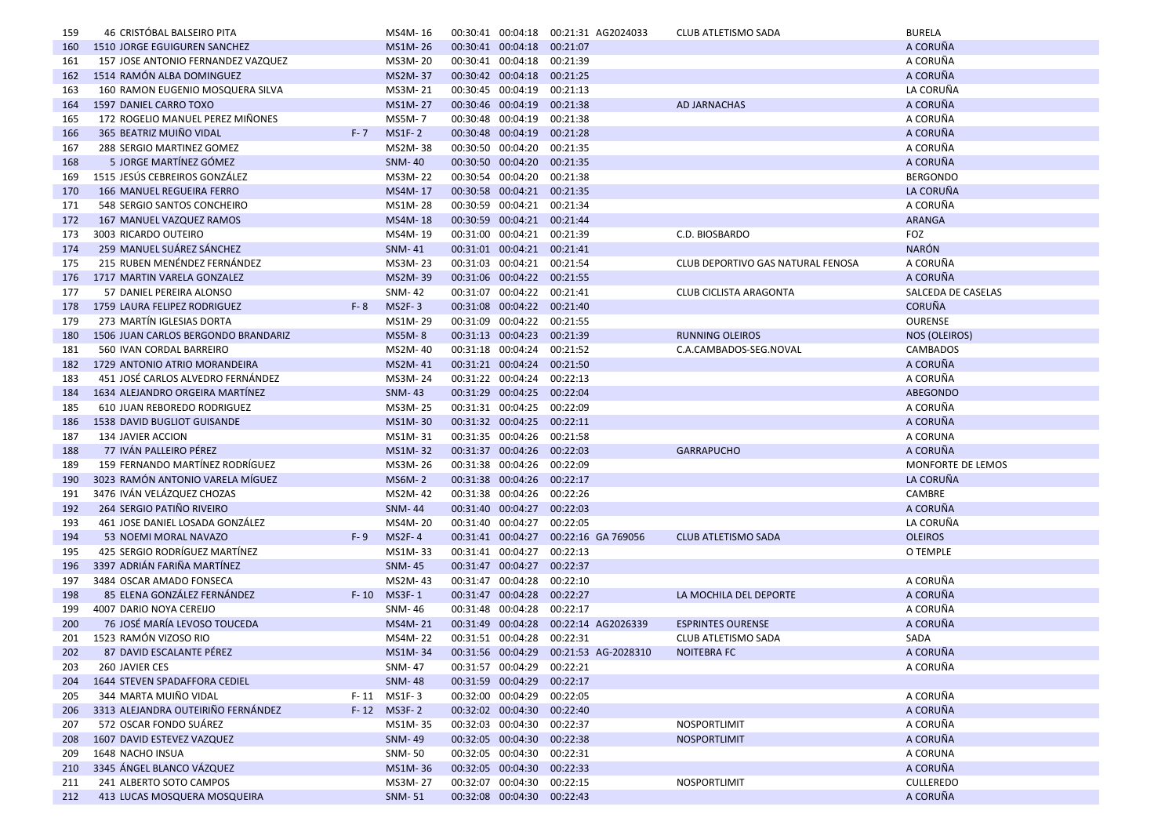| 159 | 46 CRISTÓBAL BALSEIRO PITA              | MS4M-16        | 00:30:41 00:04:18                               |                            | 00:21:31 AG2024033                    | <b>CLUB ATLETISMO SADA</b>        | <b>BURELA</b>      |
|-----|-----------------------------------------|----------------|-------------------------------------------------|----------------------------|---------------------------------------|-----------------------------------|--------------------|
| 160 | <b>1510 JORGE EGUIGUREN SANCHEZ</b>     | MS1M-26        | 00:30:41 00:04:18                               |                            | 00:21:07                              |                                   | A CORUÑA           |
| 161 | 157 JOSE ANTONIO FERNANDEZ VAZQUEZ      | MS3M-20        | 00:30:41 00:04:18 00:21:39                      |                            |                                       |                                   | A CORUÑA           |
| 162 | 1514 RAMÓN ALBA DOMINGUEZ               | <b>MS2M-37</b> | 00:30:42 00:04:18                               |                            | 00:21:25                              |                                   | A CORUÑA           |
| 163 | 160 RAMON EUGENIO MOSQUERA SILVA        | MS3M-21        | 00:30:45 00:04:19                               |                            | 00:21:13                              |                                   | LA CORUÑA          |
| 164 | 1597 DANIEL CARRO TOXO                  | MS1M-27        | 00:30:46 00:04:19                               |                            | 00:21:38                              | <b>AD JARNACHAS</b>               | A CORUÑA           |
| 165 | 172 ROGELIO MANUEL PEREZ MIÑONES        | <b>MS5M-7</b>  | 00:30:48 00:04:19                               |                            | 00:21:38                              |                                   | A CORUÑA           |
| 166 | 365 BEATRIZ MUIÑO VIDAL<br>$F - 7$      | <b>MS1F-2</b>  | 00:30:48 00:04:19                               |                            | 00:21:28                              |                                   | A CORUÑA           |
| 167 | 288 SERGIO MARTINEZ GOMEZ               | MS2M-38        | 00:30:50 00:04:20                               |                            | 00:21:35                              |                                   | A CORUÑA           |
| 168 | 5 JORGE MARTÍNEZ GÓMEZ                  | <b>SNM-40</b>  | 00:30:50 00:04:20                               |                            | 00:21:35                              |                                   | A CORUÑA           |
| 169 | 1515 JESÚS CEBREIROS GONZÁLEZ           | MS3M-22        | 00:30:54 00:04:20                               |                            | 00:21:38                              |                                   | <b>BERGONDO</b>    |
| 170 | <b>166 MANUEL REGUEIRA FERRO</b>        | MS4M-17        | 00:30:58 00:04:21 00:21:35                      |                            |                                       |                                   | LA CORUÑA          |
| 171 | 548 SERGIO SANTOS CONCHEIRO             | MS1M-28        | 00:30:59 00:04:21                               |                            | 00:21:34                              |                                   | A CORUÑA           |
| 172 | 167 MANUEL VAZQUEZ RAMOS                | MS4M-18        | 00:30:59 00:04:21 00:21:44                      |                            |                                       |                                   | ARANGA             |
| 173 | 3003 RICARDO OUTEIRO                    | MS4M-19        | 00:31:00 00:04:21                               |                            | 00:21:39                              | C.D. BIOSBARDO                    | FOZ                |
| 174 | 259 MANUEL SUÁREZ SÁNCHEZ               | <b>SNM-41</b>  |                                                 | 00:31:01 00:04:21 00:21:41 |                                       |                                   | <b>NARÓN</b>       |
| 175 | 215 RUBEN MENÉNDEZ FERNÁNDEZ            | MS3M-23        | 00:31:03 00:04:21                               |                            | 00:21:54                              | CLUB DEPORTIVO GAS NATURAL FENOSA | A CORUÑA           |
| 176 | 1717 MARTIN VARELA GONZALEZ             | MS2M-39        | 00:31:06 00:04:22 00:21:55                      |                            |                                       |                                   | A CORUÑA           |
| 177 | 57 DANIEL PEREIRA ALONSO                | <b>SNM-42</b>  | 00:31:07 00:04:22 00:21:41                      |                            |                                       | CLUB CICLISTA ARAGONTA            | SALCEDA DE CASELAS |
| 178 | 1759 LAURA FELIPEZ RODRIGUEZ<br>$F - 8$ | $MS2F-3$       | 00:31:08 00:04:22 00:21:40                      |                            |                                       |                                   | <b>CORUÑA</b>      |
| 179 | 273 MARTÍN IGLESIAS DORTA               | MS1M-29        | 00:31:09 00:04:22 00:21:55                      |                            |                                       |                                   | <b>OURENSE</b>     |
| 180 | 1506 JUAN CARLOS BERGONDO BRANDARIZ     | <b>MS5M-8</b>  | 00:31:13 00:04:23                               |                            | 00:21:39                              | <b>RUNNING OLEIROS</b>            | NOS (OLEIROS)      |
| 181 | 560 IVAN CORDAL BARREIRO                | MS2M-40        | 00:31:18 00:04:24                               |                            | 00:21:52                              | C.A.CAMBADOS-SEG.NOVAL            | CAMBADOS           |
| 182 | 1729 ANTONIO ATRIO MORANDEIRA           | MS2M-41        | 00:31:21 00:04:24                               |                            | 00:21:50                              |                                   | A CORUÑA           |
| 183 | 451 JOSÉ CARLOS ALVEDRO FERNÁNDEZ       | MS3M-24        | 00:31:22 00:04:24                               |                            | 00:22:13                              |                                   | A CORUÑA           |
| 184 | 1634 ALEJANDRO ORGEIRA MARTÍNEZ         | <b>SNM-43</b>  | 00:31:29 00:04:25                               |                            | 00:22:04                              |                                   | <b>ABEGONDO</b>    |
| 185 | 610 JUAN REBOREDO RODRIGUEZ             | MS3M-25        | 00:31:31 00:04:25 00:22:09                      |                            |                                       |                                   | A CORUÑA           |
| 186 | 1538 DAVID BUGLIOT GUISANDE             | MS1M-30        | 00:31:32 00:04:25 00:22:11                      |                            |                                       |                                   | A CORUÑA           |
| 187 | 134 JAVIER ACCION                       | MS1M-31        | 00:31:35 00:04:26 00:21:58                      |                            |                                       |                                   | A CORUNA           |
|     | 77 IVÁN PALLEIRO PÉREZ                  | MS1M-32        | 00:31:37 00:04:26 00:22:03                      |                            |                                       |                                   | A CORUÑA           |
| 188 | 159 FERNANDO MARTÍNEZ RODRÍGUEZ         |                | 00:31:38 00:04:26                               |                            | 00:22:09                              | <b>GARRAPUCHO</b>                 | MONFORTE DE LEMOS  |
| 189 |                                         | MS3M-26        |                                                 |                            |                                       |                                   |                    |
| 190 | 3023 RAMÓN ANTONIO VARELA MÍGUEZ        | <b>MS6M-2</b>  | 00:31:38 00:04:26 00:22:17<br>00:31:38 00:04:26 |                            | 00:22:26                              |                                   | LA CORUÑA          |
| 191 | 3476 IVÁN VELÁZQUEZ CHOZAS              | MS2M-42        |                                                 |                            |                                       |                                   | CAMBRE             |
| 192 | 264 SERGIO PATIÑO RIVEIRO               | <b>SNM-44</b>  |                                                 | 00:31:40 00:04:27          | 00:22:03                              |                                   | A CORUÑA           |
| 193 | 461 JOSE DANIEL LOSADA GONZÁLEZ         | MS4M-20        | 00:31:40 00:04:27                               |                            | 00:22:05                              |                                   | LA CORUÑA          |
| 194 | 53 NOEMI MORAL NAVAZO<br>$F - 9$        | <b>MS2F-4</b>  | 00:31:41 00:04:27                               |                            | 00:22:16 GA 769056                    | <b>CLUB ATLETISMO SADA</b>        | <b>OLEIROS</b>     |
| 195 | 425 SERGIO RODRÍGUEZ MARTÍNEZ           | MS1M-33        | 00:31:41 00:04:27                               |                            | 00:22:13                              |                                   | O TEMPLE           |
| 196 | 3397 ADRIÁN FARIÑA MARTÍNEZ             | <b>SNM-45</b>  | 00:31:47 00:04:27                               |                            | 00:22:37                              |                                   |                    |
| 197 | 3484 OSCAR AMADO FONSECA                | MS2M-43        | 00:31:47 00:04:28                               |                            | 00:22:10                              |                                   | A CORUÑA           |
| 198 | 85 ELENA GONZÁLEZ FERNÁNDEZ<br>$F - 10$ | $MS3F-1$       | 00:31:47 00:04:28                               |                            | 00:22:27                              | LA MOCHILA DEL DEPORTE            | A CORUÑA           |
| 199 | 4007 DARIO NOYA CEREIJO                 | <b>SNM-46</b>  | 00:31:48 00:04:28                               |                            | 00:22:17                              |                                   | A CORUÑA           |
| 200 | 76 JOSÉ MARÍA LEVOSO TOUCEDA            | MS4M-21        | 00:31:49 00:04:28                               |                            | 00:22:14 AG2026339                    | <b>ESPRINTES OURENSE</b>          | A CORUÑA           |
| 201 | 1523 RAMÓN VIZOSO RIO                   | MS4M-22        | 00:31:51 00:04:28 00:22:31                      |                            |                                       | CLUB ATLETISMO SADA               | SADA               |
| 202 | 87 DAVID ESCALANTE PÉREZ                | MS1M-34        |                                                 |                            | 00:31:56 00:04:29 00:21:53 AG-2028310 | <b>NOITEBRA FC</b>                | A CORUÑA           |
| 203 | 260 JAVIER CES                          | SNM-47         | 00:31:57 00:04:29 00:22:21                      |                            |                                       |                                   | A CORUÑA           |
| 204 | 1644 STEVEN SPADAFFORA CEDIEL           | <b>SNM-48</b>  | 00:31:59 00:04:29 00:22:17                      |                            |                                       |                                   |                    |
| 205 | 344 MARTA MUIÑO VIDAL                   | F-11 MS1F-3    | 00:32:00 00:04:29                               |                            | 00:22:05                              |                                   | A CORUÑA           |
| 206 | 3313 ALEJANDRA OUTEIRIÑO FERNÁNDEZ      | F-12 MS3F-2    | 00:32:02 00:04:30 00:22:40                      |                            |                                       |                                   | A CORUÑA           |
| 207 | 572 OSCAR FONDO SUÁREZ                  | MS1M-35        | 00:32:03 00:04:30 00:22:37                      |                            |                                       | NOSPORTLIMIT                      | A CORUÑA           |
| 208 | 1607 DAVID ESTEVEZ VAZQUEZ              | <b>SNM-49</b>  | 00:32:05 00:04:30 00:22:38                      |                            |                                       | <b>NOSPORTLIMIT</b>               | A CORUÑA           |
| 209 | 1648 NACHO INSUA                        | SNM-50         | 00:32:05 00:04:30                               |                            | 00:22:31                              |                                   | A CORUNA           |
| 210 | 3345 ÁNGEL BLANCO VÁZQUEZ               | MS1M-36        | 00:32:05 00:04:30 00:22:33                      |                            |                                       |                                   | A CORUÑA           |
| 211 | 241 ALBERTO SOTO CAMPOS                 | MS3M-27        | 00:32:07 00:04:30                               |                            | 00:22:15                              | NOSPORTLIMIT                      | <b>CULLEREDO</b>   |
| 212 | 413 LUCAS MOSQUERA MOSQUEIRA            | <b>SNM-51</b>  | 00:32:08 00:04:30 00:22:43                      |                            |                                       |                                   | A CORUÑA           |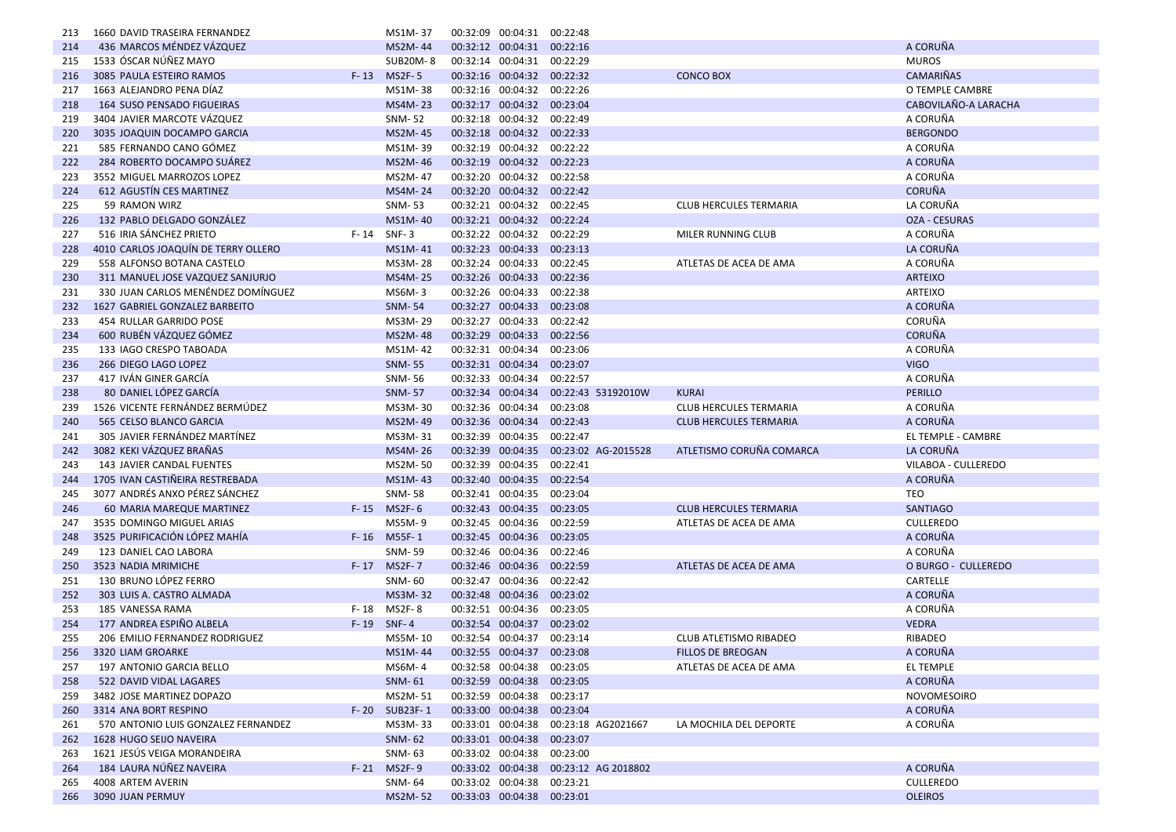| 213        | 1660 DAVID TRASEIRA FERNANDEZ       |          | MS1M-37         | 00:32:09 00:04:31          | 00:22:48                              |                               |                      |
|------------|-------------------------------------|----------|-----------------|----------------------------|---------------------------------------|-------------------------------|----------------------|
| 214        | 436 MARCOS MÉNDEZ VÁZQUEZ           |          | MS2M-44         | 00:32:12 00:04:31 00:22:16 |                                       |                               | A CORUÑA             |
| 215        | 1533 ÓSCAR NÚÑEZ MAYO               |          | <b>SUB20M-8</b> | 00:32:14 00:04:31 00:22:29 |                                       |                               | <b>MUROS</b>         |
| 216        | 3085 PAULA ESTEIRO RAMOS            | $F - 13$ | <b>MS2F-5</b>   | 00:32:16 00:04:32 00:22:32 |                                       | <b>CONCO BOX</b>              | <b>CAMARIÑAS</b>     |
| 217        | 1663 ALEJANDRO PENA DÍAZ            |          | MS1M-38         | 00:32:16 00:04:32 00:22:26 |                                       |                               | O TEMPLE CAMBRE      |
| 218        | <b>164 SUSO PENSADO FIGUEIRAS</b>   |          | MS4M-23         | 00:32:17 00:04:32 00:23:04 |                                       |                               | CABOVILAÑO-A LARACHA |
| 219        | 3404 JAVIER MARCOTE VÁZQUEZ         |          | SNM-52          | 00:32:18 00:04:32          | 00:22:49                              |                               | A CORUÑA             |
| 220        | 3035 JOAQUIN DOCAMPO GARCIA         |          | MS2M-45         | 00:32:18 00:04:32 00:22:33 |                                       |                               | <b>BERGONDO</b>      |
| 221        | 585 FERNANDO CANO GÓMEZ             |          | MS1M-39         | 00:32:19 00:04:32 00:22:22 |                                       |                               | A CORUÑA             |
| 222        | 284 ROBERTO DOCAMPO SUÁREZ          |          | MS2M-46         | 00:32:19 00:04:32 00:22:23 |                                       |                               | A CORUÑA             |
| 223        | 3552 MIGUEL MARROZOS LOPEZ          |          | MS2M-47         | 00:32:20 00:04:32 00:22:58 |                                       |                               | A CORUÑA             |
| 224        | 612 AGUSTÍN CES MARTINEZ            |          | MS4M-24         | 00:32:20 00:04:32 00:22:42 |                                       |                               | <b>CORUÑA</b>        |
| 225        | 59 RAMON WIRZ                       |          | <b>SNM-53</b>   | 00:32:21 00:04:32 00:22:45 |                                       | <b>CLUB HERCULES TERMARIA</b> | LA CORUÑA            |
| 226        | 132 PABLO DELGADO GONZÁLEZ          |          | MS1M-40         | 00:32:21 00:04:32          | 00:22:24                              |                               | OZA - CESURAS        |
| 227        | 516 IRIA SÁNCHEZ PRIETO             | F- 14    | $SNF-3$         | 00:32:22 00:04:32 00:22:29 |                                       | MILER RUNNING CLUB            | A CORUÑA             |
| 228        | 4010 CARLOS JOAQUÍN DE TERRY OLLERO |          | MS1M-41         | 00:32:23 00:04:33          | 00:23:13                              |                               | LA CORUÑA            |
| 229        | 558 ALFONSO BOTANA CASTELO          |          | MS3M-28         | 00:32:24 00:04:33 00:22:45 |                                       | ATLETAS DE ACEA DE AMA        | A CORUÑA             |
| 230        | 311 MANUEL JOSE VAZQUEZ SANJURJO    |          | MS4M-25         | 00:32:26 00:04:33          | 00:22:36                              |                               | <b>ARTEIXO</b>       |
| 231        | 330 JUAN CARLOS MENÉNDEZ DOMÍNGUEZ  |          | MS6M-3          | 00:32:26 00:04:33 00:22:38 |                                       |                               | <b>ARTEIXO</b>       |
| 232        | 1627 GABRIEL GONZALEZ BARBEITO      |          | <b>SNM-54</b>   | 00:32:27 00:04:33 00:23:08 |                                       |                               | A CORUÑA             |
| 233        | 454 RULLAR GARRIDO POSE             |          | MS3M-29         | 00:32:27 00:04:33          | 00:22:42                              |                               | CORUÑA               |
| 234        | 600 RUBÉN VÁZQUEZ GÓMEZ             |          | MS2M-48         | 00:32:29 00:04:33 00:22:56 |                                       |                               | <b>CORUÑA</b>        |
| 235        | 133 IAGO CRESPO TABOADA             |          | MS1M-42         | 00:32:31 00:04:34 00:23:06 |                                       |                               | A CORUÑA             |
| 236        | 266 DIEGO LAGO LOPEZ                |          | <b>SNM-55</b>   | 00:32:31 00:04:34          | 00:23:07                              |                               | <b>VIGO</b>          |
| 237        | 417 IVÁN GINER GARCÍA               |          | SNM-56          | 00:32:33 00:04:34          | 00:22:57                              |                               | A CORUÑA             |
|            | 80 DANIEL LÓPEZ GARCÍA              |          | <b>SNM-57</b>   |                            | 00:32:34 00:04:34 00:22:43 53192010W  | <b>KURAI</b>                  | <b>PERILLO</b>       |
| 238<br>239 | 1526 VICENTE FERNÁNDEZ BERMÚDEZ     |          | MS3M-30         | 00:32:36 00:04:34 00:23:08 |                                       | <b>CLUB HERCULES TERMARIA</b> | A CORUÑA             |
|            | 565 CELSO BLANCO GARCIA             |          | MS2M-49         | 00:32:36 00:04:34          | 00:22:43                              | <b>CLUB HERCULES TERMARIA</b> | A CORUÑA             |
| 240        |                                     |          |                 |                            |                                       |                               |                      |
| 241        | 305 JAVIER FERNÁNDEZ MARTÍNEZ       |          | MS3M-31         | 00:32:39 00:04:35          | 00:22:47                              |                               | EL TEMPLE - CAMBRE   |
| 242        | 3082 KEKI VÁZQUEZ BRAÑAS            |          | MS4M-26         | 00:32:39 00:04:35          | 00:23:02 AG-2015528                   | ATLETISMO CORUÑA COMARCA      | LA CORUÑA            |
| 243        | 143 JAVIER CANDAL FUENTES           |          | MS2M-50         | 00:32:39 00:04:35          | 00:22:41                              |                               | VILABOA - CULLEREDO  |
| 244        | 1705 IVAN CASTIÑEIRA RESTREBADA     |          | MS1M-43         | 00:32:40 00:04:35          | 00:22:54                              |                               | A CORUÑA             |
| 245        | 3077 ANDRÉS ANXO PÉREZ SÁNCHEZ      |          | <b>SNM-58</b>   | 00:32:41 00:04:35 00:23:04 |                                       |                               | <b>TEO</b>           |
| 246        | 60 MARIA MAREQUE MARTINEZ           | $F - 15$ | MS2F-6          | 00:32:43 00:04:35          | 00:23:05                              | <b>CLUB HERCULES TERMARIA</b> | <b>SANTIAGO</b>      |
| 247        | 3535 DOMINGO MIGUEL ARIAS           |          | MS5M-9          | 00:32:45 00:04:36 00:22:59 |                                       | ATLETAS DE ACEA DE AMA        | CULLEREDO            |
| 248        | 3525 PURIFICACIÓN LÓPEZ MAHÍA       |          | F-16 M55F-1     | 00:32:45 00:04:36 00:23:05 |                                       |                               | A CORUÑA             |
| 249        | 123 DANIEL CAO LABORA               |          | SNM-59          | 00:32:46 00:04:36 00:22:46 |                                       |                               | A CORUÑA             |
| 250        | 3523 NADIA MRIMICHE                 | $F - 17$ | <b>MS2F-7</b>   | 00:32:46 00:04:36 00:22:59 |                                       | ATLETAS DE ACEA DE AMA        | O BURGO - CULLEREDO  |
| 251        | 130 BRUNO LÓPEZ FERRO               |          | <b>SNM-60</b>   | 00:32:47 00:04:36          | 00:22:42                              |                               | CARTELLE             |
| 252        | 303 LUIS A. CASTRO ALMADA           |          | MS3M-32         | 00:32:48 00:04:36 00:23:02 |                                       |                               | A CORUÑA             |
| 253        | 185 VANESSA RAMA                    | F-18     | MS2F-8          | 00:32:51 00:04:36 00:23:05 |                                       |                               | A CORUÑA             |
| 254        | 177 ANDREA ESPIÑO ALBELA            | $F - 19$ | $SNF-4$         | 00:32:54 00:04:37 00:23:02 |                                       |                               | <b>VEDRA</b>         |
| 255        | 206 EMILIO FERNANDEZ RODRIGUEZ      |          | MS5M-10         | 00:32:54 00:04:37 00:23:14 |                                       | <b>CLUB ATLETISMO RIBADEO</b> | RIBADEO              |
| 256        | 3320 LIAM GROARKE                   |          | MS1M-44         | 00:32:55 00:04:37 00:23:08 |                                       | <b>FILLOS DE BREOGAN</b>      | A CORUÑA             |
| 257        | 197 ANTONIO GARCIA BELLO            |          | MS6M-4          | 00:32:58 00:04:38 00:23:05 |                                       | ATLETAS DE ACEA DE AMA        | EL TEMPLE            |
| 258        | 522 DAVID VIDAL LAGARES             |          | <b>SNM-61</b>   | 00:32:59 00:04:38          | 00:23:05                              |                               | A CORUÑA             |
| 259        | 3482 JOSE MARTINEZ DOPAZO           |          | MS2M-51         | 00:32:59 00:04:38 00:23:17 |                                       |                               | <b>NOVOMESOIRO</b>   |
| 260        | 3314 ANA BORT RESPINO               |          | F-20 SUB23F-1   | 00:33:00 00:04:38 00:23:04 |                                       |                               | A CORUÑA             |
| 261        | 570 ANTONIO LUIS GONZALEZ FERNANDEZ |          | MS3M-33         |                            | 00:33:01 00:04:38 00:23:18 AG2021667  | LA MOCHILA DEL DEPORTE        | A CORUÑA             |
| 262        | 1628 HUGO SEIJO NAVEIRA             |          | <b>SNM-62</b>   | 00:33:01 00:04:38 00:23:07 |                                       |                               |                      |
| 263        | 1621 JESÚS VEIGA MORANDEIRA         |          | SNM-63          | 00:33:02 00:04:38 00:23:00 |                                       |                               |                      |
| 264        | 184 LAURA NÚÑEZ NAVEIRA             |          | F-21 MS2F-9     |                            | 00:33:02 00:04:38 00:23:12 AG 2018802 |                               | A CORUÑA             |
| 265        | 4008 ARTEM AVERIN                   |          | SNM-64          | 00:33:02 00:04:38 00:23:21 |                                       |                               | CULLEREDO            |
| 266        | 3090 JUAN PERMUY                    |          | <b>MS2M-52</b>  | 00:33:03 00:04:38 00:23:01 |                                       |                               | <b>OLEIROS</b>       |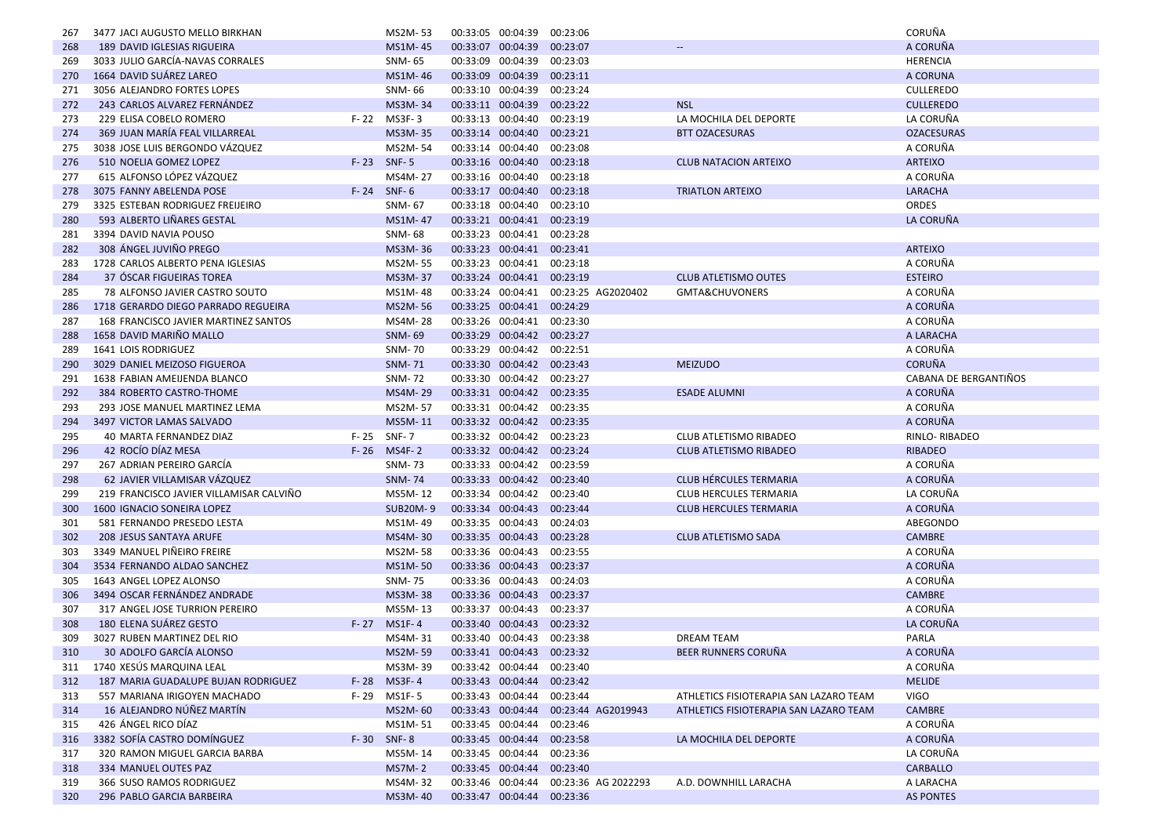| 267 | 3477 JACI AUGUSTO MELLO BIRKHAN         |          | MS2M-53         | 00:33:05 00:04:39 |                            | 00:23:06            |                                        | CORUÑA                |
|-----|-----------------------------------------|----------|-----------------|-------------------|----------------------------|---------------------|----------------------------------------|-----------------------|
| 268 | 189 DAVID IGLESIAS RIGUEIRA             |          | MS1M-45         |                   | 00:33:07 00:04:39          | 00:23:07            | $-$                                    | A CORUÑA              |
| 269 | 3033 JULIO GARCÍA-NAVAS CORRALES        |          | SNM- 65         |                   | 00:33:09 00:04:39          | 00:23:03            |                                        | HERENCIA              |
| 270 | 1664 DAVID SUÁREZ LAREO                 |          | MS1M-46         |                   | 00:33:09 00:04:39          | 00:23:11            |                                        | A CORUNA              |
| 271 | 3056 ALEJANDRO FORTES LOPES             |          | SNM-66          |                   | 00:33:10 00:04:39          | 00:23:24            |                                        | <b>CULLEREDO</b>      |
| 272 | 243 CARLOS ALVAREZ FERNÁNDEZ            |          | MS3M-34         |                   | 00:33:11 00:04:39          | 00:23:22            | <b>NSL</b>                             | <b>CULLEREDO</b>      |
| 273 | 229 ELISA COBELO ROMERO                 |          | F-22 MS3F-3     |                   | 00:33:13 00:04:40          | 00:23:19            | LA MOCHILA DEL DEPORTE                 | LA CORUÑA             |
| 274 | 369 JUAN MARÍA FEAL VILLARREAL          |          | MS3M-35         |                   | 00:33:14 00:04:40 00:23:21 |                     | <b>BTT OZACESURAS</b>                  | <b>OZACESURAS</b>     |
| 275 | 3038 JOSE LUIS BERGONDO VÁZQUEZ         |          | MS2M-54         |                   | 00:33:14 00:04:40          | 00:23:08            |                                        | A CORUÑA              |
| 276 | 510 NOELIA GOMEZ LOPEZ                  |          | F-23 SNF-5      |                   | 00:33:16 00:04:40          | 00:23:18            | <b>CLUB NATACION ARTEIXO</b>           | ARTEIXO               |
| 277 | 615 ALFONSO LÓPEZ VÁZQUEZ               |          | MS4M-27         |                   | 00:33:16 00:04:40          | 00:23:18            |                                        | A CORUÑA              |
| 278 | 3075 FANNY ABELENDA POSE                |          | $F - 24$ SNF-6  |                   | 00:33:17 00:04:40          | 00:23:18            | <b>TRIATLON ARTEIXO</b>                | LARACHA               |
| 279 | 3325 ESTEBAN RODRIGUEZ FREIJEIRO        |          | SNM-67          |                   | 00:33:18 00:04:40          | 00:23:10            |                                        | <b>ORDES</b>          |
| 280 | 593 ALBERTO LIÑARES GESTAL              |          | MS1M-47         |                   | 00:33:21 00:04:41 00:23:19 |                     |                                        | LA CORUÑA             |
| 281 | 3394 DAVID NAVIA POUSO                  |          | SNM-68          |                   | 00:33:23 00:04:41          | 00:23:28            |                                        |                       |
| 282 | 308 ÁNGEL JUVIÑO PREGO                  |          | MS3M-36         |                   | 00:33:23 00:04:41 00:23:41 |                     |                                        | <b>ARTEIXO</b>        |
| 283 | 1728 CARLOS ALBERTO PENA IGLESIAS       |          | MS2M-55         |                   | 00:33:23 00:04:41 00:23:18 |                     |                                        | A CORUÑA              |
| 284 | 37 OSCAR FIGUEIRAS TOREA                |          | MS3M-37         |                   | 00:33:24 00:04:41          | 00:23:19            | <b>CLUB ATLETISMO OUTES</b>            | <b>ESTEIRO</b>        |
|     |                                         |          |                 |                   |                            |                     |                                        |                       |
| 285 | 78 ALFONSO JAVIER CASTRO SOUTO          |          | MS1M-48         |                   | 00:33:24 00:04:41          | 00:23:25 AG2020402  | GMTA&CHUVONERS                         | A CORUÑA              |
| 286 | 1718 GERARDO DIEGO PARRADO REGUEIRA     |          | MS2M-56         |                   | 00:33:25 00:04:41          | 00:24:29            |                                        | A CORUÑA              |
| 287 | 168 FRANCISCO JAVIER MARTINEZ SANTOS    |          | MS4M-28         |                   | 00:33:26 00:04:41 00:23:30 |                     |                                        | A CORUÑA              |
| 288 | 1658 DAVID MARIÑO MALLO                 |          | <b>SNM-69</b>   |                   | 00:33:29 00:04:42 00:23:27 |                     |                                        | A LARACHA             |
| 289 | 1641 LOIS RODRIGUEZ                     |          | SNM-70          |                   | 00:33:29 00:04:42 00:22:51 |                     |                                        | A CORUÑA              |
| 290 | 3029 DANIEL MEIZOSO FIGUEROA            |          | <b>SNM-71</b>   |                   | 00:33:30 00:04:42 00:23:43 |                     | <b>MEIZUDO</b>                         | <b>CORUÑA</b>         |
| 291 | 1638 FABIAN AMEIJENDA BLANCO            |          | <b>SNM-72</b>   |                   | 00:33:30 00:04:42          | 00:23:27            |                                        | CABANA DE BERGANTIÑOS |
| 292 | 384 ROBERTO CASTRO-THOME                |          | MS4M-29         |                   | 00:33:31 00:04:42 00:23:35 |                     | <b>ESADE ALUMNI</b>                    | A CORUÑA              |
| 293 | 293 JOSE MANUEL MARTINEZ LEMA           |          | MS2M-57         |                   | 00:33:31 00:04:42 00:23:35 |                     |                                        | A CORUÑA              |
| 294 | 3497 VICTOR LAMAS SALVADO               |          | MS5M-11         |                   | 00:33:32 00:04:42 00:23:35 |                     |                                        | A CORUÑA              |
| 295 | 40 MARTA FERNANDEZ DIAZ                 | F-25     | <b>SNF-7</b>    |                   | 00:33:32 00:04:42          | 00:23:23            | CLUB ATLETISMO RIBADEO                 | RINLO-RIBADEO         |
| 296 | 42 ROCÍO DÍAZ MESA                      | $F - 26$ | <b>MS4F-2</b>   |                   | 00:33:32 00:04:42 00:23:24 |                     | <b>CLUB ATLETISMO RIBADEO</b>          | <b>RIBADEO</b>        |
| 297 | 267 ADRIAN PEREIRO GARCÍA               |          | SNM-73          |                   | 00:33:33 00:04:42 00:23:59 |                     |                                        | A CORUÑA              |
| 298 | 62 JAVIER VILLAMISAR VÁZQUEZ            |          | <b>SNM-74</b>   |                   | 00:33:33 00:04:42          | 00:23:40            | <b>CLUB HÉRCULES TERMARIA</b>          | A CORUÑA              |
| 299 | 219 FRANCISCO JAVIER VILLAMISAR CALVIÑO |          | MS5M-12         |                   | 00:33:34 00:04:42 00:23:40 |                     | <b>CLUB HERCULES TERMARIA</b>          | LA CORUÑA             |
| 300 | 1600 IGNACIO SONEIRA LOPEZ              |          | <b>SUB20M-9</b> |                   | 00:33:34 00:04:43          | 00:23:44            | <b>CLUB HERCULES TERMARIA</b>          | A CORUÑA              |
| 301 | 581 FERNANDO PRESEDO LESTA              |          | MS1M-49         |                   | 00:33:35 00:04:43          | 00:24:03            |                                        | ABEGONDO              |
| 302 | 208 JESUS SANTAYA ARUFE                 |          | MS4M-30         |                   | 00:33:35 00:04:43          | 00:23:28            | <b>CLUB ATLETISMO SADA</b>             | <b>CAMBRE</b>         |
| 303 | 3349 MANUEL PIÑEIRO FREIRE              |          | MS2M-58         |                   | 00:33:36 00:04:43          | 00:23:55            |                                        | A CORUÑA              |
| 304 | 3534 FERNANDO ALDAO SANCHEZ             |          | MS1M-50         |                   | 00:33:36 00:04:43          | 00:23:37            |                                        | A CORUÑA              |
| 305 | 1643 ANGEL LOPEZ ALONSO                 |          | SNM-75          |                   | 00:33:36 00:04:43          | 00:24:03            |                                        | A CORUÑA              |
| 306 | 3494 OSCAR FERNÁNDEZ ANDRADE            |          | MS3M-38         |                   | 00:33:36 00:04:43          | 00:23:37            |                                        | <b>CAMBRE</b>         |
| 307 | 317 ANGEL JOSE TURRION PEREIRO          |          | MS5M-13         |                   | 00:33:37 00:04:43 00:23:37 |                     |                                        | A CORUÑA              |
| 308 | 180 ELENA SUÁREZ GESTO                  | $F - 27$ | <b>MS1F-4</b>   |                   | 00:33:40 00:04:43 00:23:32 |                     |                                        | LA CORUÑA             |
| 309 | 3027 RUBEN MARTINEZ DEL RIO             |          | MS4M-31         |                   | 00:33:40 00:04:43          | 00:23:38            | <b>DREAM TEAM</b>                      | PARLA                 |
| 310 | 30 ADOLFO GARCÍA ALONSO                 |          | MS2M-59         |                   | 00:33:41 00:04:43 00:23:32 |                     | BEER RUNNERS CORUÑA                    | A CORUÑA              |
| 311 | 1740 XESÚS MARQUINA LEAL                |          | MS3M-39         |                   | 00:33:42 00:04:44 00:23:40 |                     |                                        | A CORUÑA              |
| 312 | 187 MARIA GUADALUPE BUJAN RODRIGUEZ     | F-28     | <b>MS3F-4</b>   |                   | 00:33:43 00:04:44          | 00:23:42            |                                        | <b>MELIDE</b>         |
| 313 | 557 MARIANA IRIGOYEN MACHADO            | F- 29    | MS1F-5          |                   | 00:33:43 00:04:44          | 00:23:44            | ATHLETICS FISIOTERAPIA SAN LAZARO TEAM | <b>VIGO</b>           |
| 314 | 16 ALEJANDRO NÚÑEZ MARTÍN               |          | MS2M-60         |                   | 00:33:43 00:04:44          | 00:23:44 AG2019943  | ATHLETICS FISIOTERAPIA SAN LAZARO TEAM | <b>CAMBRE</b>         |
| 315 | 426 ÁNGEL RICO DÍAZ                     |          | MS1M-51         |                   | 00:33:45 00:04:44          | 00:23:46            |                                        | A CORUÑA              |
| 316 | 3382 SOFÍA CASTRO DOMÍNGUEZ             |          | F-30 SNF-8      |                   | 00:33:45 00:04:44          | 00:23:58            | LA MOCHILA DEL DEPORTE                 | A CORUÑA              |
| 317 | 320 RAMON MIGUEL GARCIA BARBA           |          | MS5M-14         |                   | 00:33:45 00:04:44          | 00:23:36            |                                        | LA CORUÑA             |
| 318 | 334 MANUEL OUTES PAZ                    |          | <b>MS7M-2</b>   |                   | 00:33:45 00:04:44          | 00:23:40            |                                        | CARBALLO              |
| 319 | 366 SUSO RAMOS RODRIGUEZ                |          | MS4M-32         |                   | 00:33:46 00:04:44          | 00:23:36 AG 2022293 | A.D. DOWNHILL LARACHA                  | A LARACHA             |
| 320 | 296 PABLO GARCIA BARBEIRA               |          | MS3M-40         |                   | 00:33:47 00:04:44          | 00:23:36            |                                        | <b>AS PONTES</b>      |
|     |                                         |          |                 |                   |                            |                     |                                        |                       |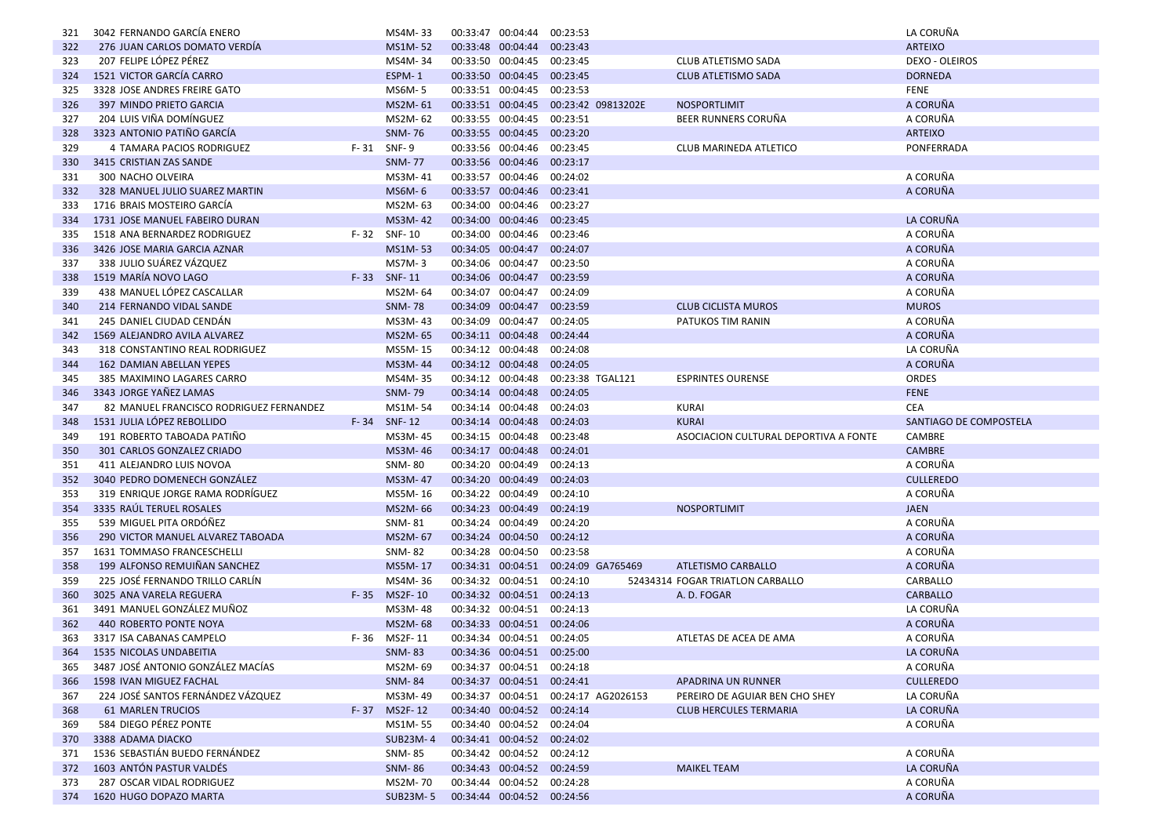| 321 | 3042 FERNANDO GARCÍA ENERO                                        |          | MS4M-33         |                                        | 00:33:47 00:04:44 00:23:53 |                                      |                                       | LA CORUÑA              |
|-----|-------------------------------------------------------------------|----------|-----------------|----------------------------------------|----------------------------|--------------------------------------|---------------------------------------|------------------------|
| 322 | 276 JUAN CARLOS DOMATO VERDÍA                                     |          | MS1M-52         |                                        | 00:33:48 00:04:44 00:23:43 |                                      |                                       | <b>ARTEIXO</b>         |
| 323 | 207 FELIPE LÓPEZ PÉREZ                                            |          | MS4M-34         |                                        | 00:33:50 00:04:45 00:23:45 |                                      | CLUB ATLETISMO SADA                   | <b>DEXO - OLEIROS</b>  |
| 324 | 1521 VICTOR GARCÍA CARRO                                          |          | ESPM-1          |                                        | 00:33:50 00:04:45 00:23:45 |                                      | <b>CLUB ATLETISMO SADA</b>            | <b>DORNEDA</b>         |
| 325 | 3328 JOSE ANDRES FREIRE GATO                                      |          | MS6M-5          | 00:33:51 00:04:45                      |                            | 00:23:53                             |                                       | <b>FENE</b>            |
| 326 | 397 MINDO PRIETO GARCIA                                           |          | MS2M-61         |                                        |                            | 00:33:51 00:04:45 00:23:42 09813202E | <b>NOSPORTLIMIT</b>                   | A CORUÑA               |
| 327 | 204 LUIS VIÑA DOMÍNGUEZ                                           |          | MS2M-62         |                                        | 00:33:55 00:04:45 00:23:51 |                                      | BEER RUNNERS CORUÑA                   | A CORUÑA               |
| 328 | 3323 ANTONIO PATIÑO GARCÍA                                        |          | <b>SNM-76</b>   | 00:33:55 00:04:45                      |                            | 00:23:20                             |                                       | <b>ARTEIXO</b>         |
| 329 | 4 TAMARA PACIOS RODRIGUEZ                                         | F-31     | SNF-9           |                                        | 00:33:56 00:04:46 00:23:45 |                                      | CLUB MARINEDA ATLETICO                | PONFERRADA             |
| 330 | 3415 CRISTIAN ZAS SANDE                                           |          | <b>SNM-77</b>   |                                        | 00:33:56 00:04:46 00:23:17 |                                      |                                       |                        |
| 331 | 300 NACHO OLVEIRA                                                 |          | MS3M-41         | 00:33:57 00:04:46                      |                            | 00:24:02                             |                                       | A CORUÑA               |
| 332 | 328 MANUEL JULIO SUAREZ MARTIN                                    |          | MS6M-6          | 00:33:57 00:04:46                      |                            | 00:23:41                             |                                       | A CORUÑA               |
| 333 | 1716 BRAIS MOSTEIRO GARCÍA                                        |          | MS2M-63         |                                        | 00:34:00 00:04:46 00:23:27 |                                      |                                       |                        |
| 334 | 1731 JOSE MANUEL FABEIRO DURAN                                    |          | MS3M-42         |                                        | 00:34:00 00:04:46 00:23:45 |                                      |                                       | LA CORUÑA              |
| 335 | 1518 ANA BERNARDEZ RODRIGUEZ                                      |          | F-32 SNF-10     |                                        | 00:34:00 00:04:46 00:23:46 |                                      |                                       | A CORUÑA               |
| 336 | 3426 JOSE MARIA GARCIA AZNAR                                      |          | MS1M-53         |                                        | 00:34:05 00:04:47 00:24:07 |                                      |                                       | A CORUÑA               |
| 337 | 338 JULIO SUÁREZ VÁZQUEZ                                          |          | MS7M-3          |                                        | 00:34:06 00:04:47 00:23:50 |                                      |                                       | A CORUÑA               |
| 338 | 1519 MARÍA NOVO LAGO                                              |          | F-33 SNF-11     |                                        | 00:34:06 00:04:47 00:23:59 |                                      |                                       | A CORUÑA               |
| 339 | 438 MANUEL LÓPEZ CASCALLAR                                        |          | MS2M-64         | 00:34:07 00:04:47                      |                            | 00:24:09                             |                                       | A CORUÑA               |
| 340 | 214 FERNANDO VIDAL SANDE                                          |          | <b>SNM-78</b>   |                                        | 00:34:09 00:04:47 00:23:59 |                                      | <b>CLUB CICLISTA MUROS</b>            | <b>MUROS</b>           |
| 341 | 245 DANIEL CIUDAD CENDÁN                                          |          | MS3M-43         |                                        | 00:34:09 00:04:47 00:24:05 |                                      | PATUKOS TIM RANIN                     | A CORUÑA               |
| 342 | 1569 ALEJANDRO AVILA ALVAREZ                                      |          | MS2M-65         |                                        | 00:34:11 00:04:48 00:24:44 |                                      |                                       | A CORUÑA               |
|     |                                                                   |          | MS5M-15         | 00:34:12 00:04:48                      |                            | 00:24:08                             |                                       | LA CORUÑA              |
| 343 | 318 CONSTANTINO REAL RODRIGUEZ                                    |          |                 | 00:34:12 00:04:48                      |                            | 00:24:05                             |                                       | A CORUÑA               |
| 344 | 162 DAMIAN ABELLAN YEPES                                          |          | MS3M-44         |                                        |                            | 00:34:12 00:04:48 00:23:38 TGAL121   |                                       |                        |
| 345 | 385 MAXIMINO LAGARES CARRO                                        |          | MS4M-35         |                                        |                            |                                      | <b>ESPRINTES OURENSE</b>              | ORDES                  |
| 346 | 3343 JORGE YAÑEZ LAMAS<br>82 MANUEL FRANCISCO RODRIGUEZ FERNANDEZ |          | <b>SNM-79</b>   | 00:34:14 00:04:48<br>00:34:14 00:04:48 |                            | 00:24:05<br>00:24:03                 |                                       | <b>FENE</b>            |
|     |                                                                   |          |                 |                                        |                            |                                      |                                       | <b>CEA</b>             |
| 347 |                                                                   |          | MS1M-54         |                                        |                            |                                      | <b>KURAI</b>                          |                        |
| 348 | 1531 JULIA LÓPEZ REBOLLIDO                                        |          | F-34 SNF-12     | 00:34:14 00:04:48                      |                            | 00:24:03                             | <b>KURAI</b>                          | SANTIAGO DE COMPOSTELA |
| 349 | 191 ROBERTO TABOADA PATIÑO                                        |          | MS3M-45         |                                        | 00:34:15 00:04:48          | 00:23:48                             | ASOCIACION CULTURAL DEPORTIVA A FONTE | CAMBRE                 |
| 350 | 301 CARLOS GONZALEZ CRIADO                                        |          | MS3M-46         | 00:34:17 00:04:48                      |                            | 00:24:01                             |                                       | <b>CAMBRE</b>          |
| 351 | 411 ALEJANDRO LUIS NOVOA                                          |          | SNM-80          |                                        | 00:34:20 00:04:49 00:24:13 |                                      |                                       | A CORUÑA               |
| 352 | 3040 PEDRO DOMENECH GONZÁLEZ                                      |          | MS3M-47         |                                        | 00:34:20 00:04:49 00:24:03 |                                      |                                       | <b>CULLEREDO</b>       |
| 353 | 319 ENRIQUE JORGE RAMA RODRÍGUEZ                                  |          | MS5M-16         | 00:34:22 00:04:49                      |                            | 00:24:10                             |                                       | A CORUÑA               |
| 354 | 3335 RAÚL TERUEL ROSALES                                          |          | MS2M-66         |                                        | 00:34:23 00:04:49 00:24:19 |                                      | <b>NOSPORTLIMIT</b>                   | <b>JAEN</b>            |
| 355 | 539 MIGUEL PITA ORDÓÑEZ                                           |          | SNM-81          |                                        | 00:34:24 00:04:49 00:24:20 |                                      |                                       | A CORUÑA               |
| 356 | 290 VICTOR MANUEL ALVAREZ TABOADA                                 |          | MS2M-67         |                                        | 00:34:24 00:04:50 00:24:12 |                                      |                                       | A CORUÑA               |
| 357 | 1631 TOMMASO FRANCESCHELLI                                        |          | SNM-82          | 00:34:28 00:04:50                      |                            | 00:23:58                             |                                       | A CORUÑA               |
| 358 | 199 ALFONSO REMUIÑAN SANCHEZ                                      |          | MS5M-17         |                                        |                            | 00:34:31 00:04:51 00:24:09 GA765469  | ATLETISMO CARBALLO                    | A CORUÑA               |
| 359 | 225 JOSÉ FERNANDO TRILLO CARLÍN                                   |          | MS4M-36         |                                        | 00:34:32 00:04:51 00:24:10 |                                      | 52434314 FOGAR TRIATLON CARBALLO      | CARBALLO               |
| 360 | 3025 ANA VARELA REGUERA                                           | $F - 35$ | MS2F-10         |                                        | 00:34:32 00:04:51 00:24:13 |                                      | A. D. FOGAR                           | <b>CARBALLO</b>        |
| 361 | 3491 MANUEL GONZÁLEZ MUÑOZ                                        |          | MS3M-48         |                                        | 00:34:32 00:04:51 00:24:13 |                                      |                                       | LA CORUÑA              |
| 362 | 440 ROBERTO PONTE NOYA                                            |          | MS2M-68         |                                        | 00:34:33 00:04:51 00:24:06 |                                      |                                       | A CORUÑA               |
| 363 | 3317 ISA CABANAS CAMPELO                                          | F-36     | MS2F-11         |                                        | 00:34:34 00:04:51 00:24:05 |                                      | ATLETAS DE ACEA DE AMA                | A CORUÑA               |
| 364 | 1535 NICOLAS UNDABEITIA                                           |          | <b>SNM-83</b>   |                                        | 00:34:36 00:04:51 00:25:00 |                                      |                                       | LA CORUÑA              |
| 365 | 3487 JOSÉ ANTONIO GONZÁLEZ MACÍAS                                 |          | MS2M-69         |                                        | 00:34:37 00:04:51 00:24:18 |                                      |                                       | A CORUÑA               |
| 366 | 1598 IVAN MIGUEZ FACHAL                                           |          | <b>SNM-84</b>   |                                        | 00:34:37 00:04:51 00:24:41 |                                      | <b>APADRINA UN RUNNER</b>             | <b>CULLEREDO</b>       |
| 367 | 224 JOSÉ SANTOS FERNÁNDEZ VÁZQUEZ                                 |          | MS3M-49         |                                        |                            | 00:34:37 00:04:51 00:24:17 AG2026153 | PEREIRO DE AGUIAR BEN CHO SHEY        | LA CORUÑA              |
| 368 | <b>61 MARLEN TRUCIOS</b>                                          |          | F-37 MS2F-12    |                                        | 00:34:40 00:04:52 00:24:14 |                                      | <b>CLUB HERCULES TERMARIA</b>         | LA CORUÑA              |
| 369 | 584 DIEGO PÉREZ PONTE                                             |          | MS1M-55         |                                        | 00:34:40 00:04:52 00:24:04 |                                      |                                       | A CORUÑA               |
| 370 | 3388 ADAMA DIACKO                                                 |          | SUB23M-4        |                                        | 00:34:41 00:04:52 00:24:02 |                                      |                                       |                        |
| 371 | 1536 SEBASTIÁN BUEDO FERNÁNDEZ                                    |          | SNM-85          |                                        | 00:34:42 00:04:52 00:24:12 |                                      |                                       | A CORUÑA               |
| 372 | 1603 ANTÓN PASTUR VALDÉS                                          |          | <b>SNM-86</b>   |                                        | 00:34:43 00:04:52 00:24:59 |                                      | <b>MAIKEL TEAM</b>                    | LA CORUÑA              |
| 373 | 287 OSCAR VIDAL RODRIGUEZ                                         |          | MS2M-70         |                                        | 00:34:44 00:04:52 00:24:28 |                                      |                                       | A CORUÑA               |
|     | 374 1620 HUGO DOPAZO MARTA                                        |          | <b>SUB23M-5</b> |                                        | 00:34:44 00:04:52 00:24:56 |                                      |                                       | A CORUÑA               |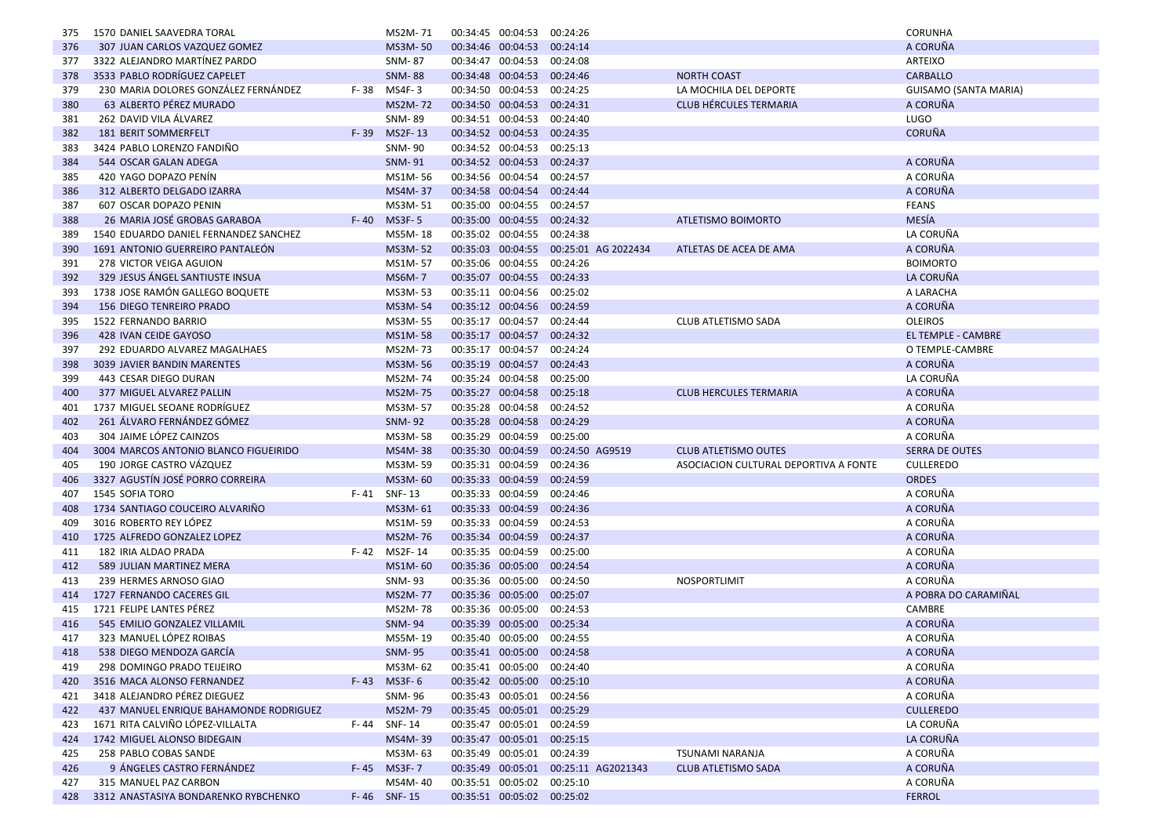| 375        | 1570 DANIEL SAAVEDRA TORAL                                             |          | MS2M-71                  | 00:34:45 00:04:53 00:24:26                               |                                         |                                       | CORUNHA                      |
|------------|------------------------------------------------------------------------|----------|--------------------------|----------------------------------------------------------|-----------------------------------------|---------------------------------------|------------------------------|
| 376        | 307 JUAN CARLOS VAZQUEZ GOMEZ                                          |          | <b>MS3M-50</b>           | 00:34:46 00:04:53 00:24:14                               |                                         |                                       | A CORUÑA                     |
| 377        | 3322 ALEJANDRO MARTÍNEZ PARDO                                          |          | SNM-87                   | 00:34:47 00:04:53 00:24:08                               |                                         |                                       | ARTEIXO                      |
| 378        | 3533 PABLO RODRÍGUEZ CAPELET                                           |          | <b>SNM-88</b>            | 00:34:48 00:04:53 00:24:46                               |                                         | <b>NORTH COAST</b>                    | CARBALLO                     |
| 379        | 230 MARIA DOLORES GONZÁLEZ FERNÁNDEZ                                   | F-38     | MS4F-3                   | 00:34:50 00:04:53                                        | 00:24:25                                | LA MOCHILA DEL DEPORTE                | GUISAMO (SANTA MARIA)        |
| 380        | 63 ALBERTO PÉREZ MURADO                                                |          | <b>MS2M-72</b>           | 00:34:50 00:04:53 00:24:31                               |                                         | <b>CLUB HÉRCULES TERMARIA</b>         | A CORUÑA                     |
| 381        | 262 DAVID VILA ÁLVAREZ                                                 |          | <b>SNM-89</b>            | 00:34:51 00:04:53 00:24:40                               |                                         |                                       | LUGO                         |
| 382        | 181 BERIT SOMMERFELT                                                   | $F - 39$ | MS2F-13                  | 00:34:52 00:04:53 00:24:35                               |                                         |                                       | <b>CORUÑA</b>                |
| 383        | 3424 PABLO LORENZO FANDIÑO                                             |          | <b>SNM-90</b>            | 00:34:52 00:04:53 00:25:13                               |                                         |                                       |                              |
| 384        | 544 OSCAR GALAN ADEGA                                                  |          | <b>SNM-91</b>            | 00:34:52 00:04:53 00:24:37                               |                                         |                                       | A CORUÑA                     |
| 385        | 420 YAGO DOPAZO PENÍN                                                  |          | MS1M-56                  | 00:34:56 00:04:54 00:24:57                               |                                         |                                       | A CORUÑA                     |
| 386        | 312 ALBERTO DELGADO IZARRA                                             |          | MS4M-37                  | 00:34:58 00:04:54 00:24:44                               |                                         |                                       | A CORUÑA                     |
| 387        | 607 OSCAR DOPAZO PENIN                                                 |          | MS3M-51                  | 00:35:00 00:04:55 00:24:57                               |                                         |                                       | <b>FEANS</b>                 |
| 388        | 26 MARIA JOSÉ GROBAS GARABOA                                           | $F - 40$ | <b>MS3F-5</b>            | 00:35:00 00:04:55 00:24:32                               |                                         | ATLETISMO BOIMORTO                    | <b>MESÍA</b>                 |
| 389        | 1540 EDUARDO DANIEL FERNANDEZ SANCHEZ                                  |          | MS5M-18                  | 00:35:02 00:04:55 00:24:38                               |                                         |                                       | LA CORUÑA                    |
| 390        | 1691 ANTONIO GUERREIRO PANTALEÓN                                       |          | <b>MS3M-52</b>           |                                                          | 00:35:03 00:04:55 00:25:01 AG 2022434   | ATLETAS DE ACEA DE AMA                | A CORUÑA                     |
| 391        | 278 VICTOR VEIGA AGUION                                                |          | MS1M-57                  | 00:35:06 00:04:55 00:24:26                               |                                         |                                       | <b>BOIMORTO</b>              |
| 392        | 329 JESUS ÁNGEL SANTIUSTE INSUA                                        |          | <b>MS6M-7</b>            | 00:35:07 00:04:55 00:24:33                               |                                         |                                       | LA CORUÑA                    |
| 393        | 1738 JOSE RAMÓN GALLEGO BOQUETE                                        |          | MS3M-53                  | 00:35:11 00:04:56 00:25:02                               |                                         |                                       | A LARACHA                    |
| 394        | <b>156 DIEGO TENREIRO PRADO</b>                                        |          | MS3M-54                  | 00:35:12 00:04:56 00:24:59                               |                                         |                                       | A CORUÑA                     |
| 395        | 1522 FERNANDO BARRIO                                                   |          | MS3M-55                  | 00:35:17 00:04:57 00:24:44                               |                                         | CLUB ATLETISMO SADA                   | <b>OLEIROS</b>               |
| 396        | 428 IVAN CEIDE GAYOSO                                                  |          | MS1M-58                  | 00:35:17 00:04:57 00:24:32                               |                                         |                                       | <b>EL TEMPLE - CAMBRE</b>    |
| 397        | 292 EDUARDO ALVAREZ MAGALHAES                                          |          | MS2M-73                  | 00:35:17 00:04:57 00:24:24                               |                                         |                                       | O TEMPLE-CAMBRE              |
| 398        | 3039 JAVIER BANDIN MARENTES                                            |          | MS3M-56                  | 00:35:19 00:04:57 00:24:43                               |                                         |                                       | A CORUÑA                     |
| 399        | 443 CESAR DIEGO DURAN                                                  |          | MS2M-74                  | 00:35:24 00:04:58 00:25:00                               |                                         |                                       | LA CORUÑA                    |
| 400        | 377 MIGUEL ALVAREZ PALLIN                                              |          | MS2M-75                  | 00:35:27 00:04:58 00:25:18                               |                                         | <b>CLUB HERCULES TERMARIA</b>         | A CORUÑA                     |
| 401        | 1737 MIGUEL SEOANE RODRÍGUEZ                                           |          | MS3M-57                  | 00:35:28 00:04:58 00:24:52                               |                                         |                                       | A CORUÑA                     |
| 402        | 261 ÁLVARO FERNÁNDEZ GÓMEZ                                             |          | <b>SNM-92</b>            | 00:35:28 00:04:58 00:24:29                               |                                         |                                       | A CORUÑA                     |
|            | 304 JAIME LÓPEZ CAINZOS                                                |          | MS3M-58                  | 00:35:29 00:04:59 00:25:00                               |                                         |                                       | A CORUÑA                     |
| 403        | 3004 MARCOS ANTONIO BLANCO FIGUEIRIDO                                  |          | MS4M-38                  | 00:35:30 00:04:59                                        | 00:24:50 AG9519                         | <b>CLUB ATLETISMO OUTES</b>           | <b>SERRA DE OUTES</b>        |
| 404<br>405 | 190 JORGE CASTRO VÁZQUEZ                                               |          | MS3M-59                  | 00:35:31 00:04:59 00:24:36                               |                                         | ASOCIACION CULTURAL DEPORTIVA A FONTE | <b>CULLEREDO</b>             |
| 406        | 3327 AGUSTÍN JOSÉ PORRO CORREIRA                                       |          | MS3M-60                  | 00:35:33 00:04:59                                        | 00:24:59                                |                                       | <b>ORDES</b>                 |
| 407        | 1545 SOFIA TORO                                                        |          | F-41 SNF-13              | 00:35:33 00:04:59 00:24:46                               |                                         |                                       | A CORUÑA                     |
| 408        | 1734 SANTIAGO COUCEIRO ALVARIÑO                                        |          | MS3M-61                  | 00:35:33 00:04:59 00:24:36                               |                                         |                                       | A CORUÑA                     |
| 409        | 3016 ROBERTO REY LÓPEZ                                                 |          | MS1M-59                  | 00:35:33 00:04:59 00:24:53                               |                                         |                                       | A CORUÑA                     |
|            | 1725 ALFREDO GONZALEZ LOPEZ                                            |          | <b>MS2M-76</b>           | 00:35:34 00:04:59 00:24:37                               |                                         |                                       | A CORUÑA                     |
| 410<br>411 | 182 IRIA ALDAO PRADA                                                   | F-42     | MS2F-14                  | 00:35:35 00:04:59                                        | 00:25:00                                |                                       | A CORUÑA                     |
| 412        | 589 JULIAN MARTINEZ MERA                                               |          | MS1M-60                  | 00:35:36 00:05:00 00:24:54                               |                                         |                                       | A CORUÑA                     |
| 413        | 239 HERMES ARNOSO GIAO                                                 |          | SNM-93                   | 00:35:36 00:05:00 00:24:50                               |                                         | NOSPORTLIMIT                          | A CORUÑA                     |
|            | 1727 FERNANDO CACERES GIL                                              |          | <b>MS2M-77</b>           | 00:35:36 00:05:00 00:25:07                               |                                         |                                       | A POBRA DO CARAMIÑAL         |
| 414        | 1721 FELIPE LANTES PÉREZ                                               |          |                          | 00:35:36 00:05:00 00:24:53                               |                                         |                                       | CAMBRE                       |
| 415<br>416 | 545 EMILIO GONZALEZ VILLAMIL                                           |          | MS2M-78<br><b>SNM-94</b> | 00:35:39 00:05:00 00:25:34                               |                                         |                                       | A CORUÑA                     |
| 417        | 323 MANUEL LÓPEZ ROIBAS                                                |          | MS5M-19                  | 00:35:40 00:05:00 00:24:55                               |                                         |                                       | A CORUÑA                     |
|            | 538 DIEGO MENDOZA GARCÍA                                               |          | <b>SNM-95</b>            | 00:35:41 00:05:00 00:24:58                               |                                         |                                       | A CORUÑA                     |
| 418        |                                                                        |          |                          |                                                          |                                         |                                       |                              |
| 419        | 298 DOMINGO PRADO TEIJEIRO                                             |          | MS3M-62                  | 00:35:41 00:05:00 00:24:40                               |                                         |                                       | A CORUÑA                     |
| 420        | 3516 MACA ALONSO FERNANDEZ                                             |          | $F-43$ MS3F-6            | 00:35:42 00:05:00 00:25:10                               |                                         |                                       | A CORUÑA                     |
| 421        | 3418 ALEJANDRO PÉREZ DIEGUEZ<br>437 MANUEL ENRIQUE BAHAMONDE RODRIGUEZ |          | SNM-96<br>MS2M-79        | 00:35:43 00:05:01 00:24:56<br>00:35:45 00:05:01 00:25:29 |                                         |                                       | A CORUÑA<br><b>CULLEREDO</b> |
| 422        |                                                                        |          |                          |                                                          |                                         |                                       |                              |
| 423        | 1671 RITA CALVIÑO LÓPEZ-VILLALTA                                       |          | F-44 SNF-14              | 00:35:47 00:05:01 00:24:59                               |                                         |                                       | LA CORUÑA                    |
| 424        | 1742 MIGUEL ALONSO BIDEGAIN                                            |          | MS4M-39                  | 00:35:47 00:05:01 00:25:15                               |                                         |                                       | LA CORUÑA                    |
| 425        | 258 PABLO COBAS SANDE<br>9 ÁNGELES CASTRO FERNÁNDEZ                    |          | MS3M-63                  | 00:35:49 00:05:01 00:24:39                               |                                         | TSUNAMI NARANJA                       | A CORUÑA                     |
| 426        |                                                                        |          | F-45 MS3F-7              |                                                          | 00:35:49  00:05:01  00:25:11  AG2021343 | <b>CLUB ATLETISMO SADA</b>            | A CORUÑA                     |
| 427        | 315 MANUEL PAZ CARBON                                                  |          | MS4M-40                  | 00:35:51 00:05:02 00:25:10                               |                                         |                                       | A CORUÑA                     |
|            | 428 3312 ANASTASIYA BONDARENKO RYBCHENKO                               |          | F-46 SNF-15              | 00:35:51 00:05:02 00:25:02                               |                                         |                                       | <b>FERROL</b>                |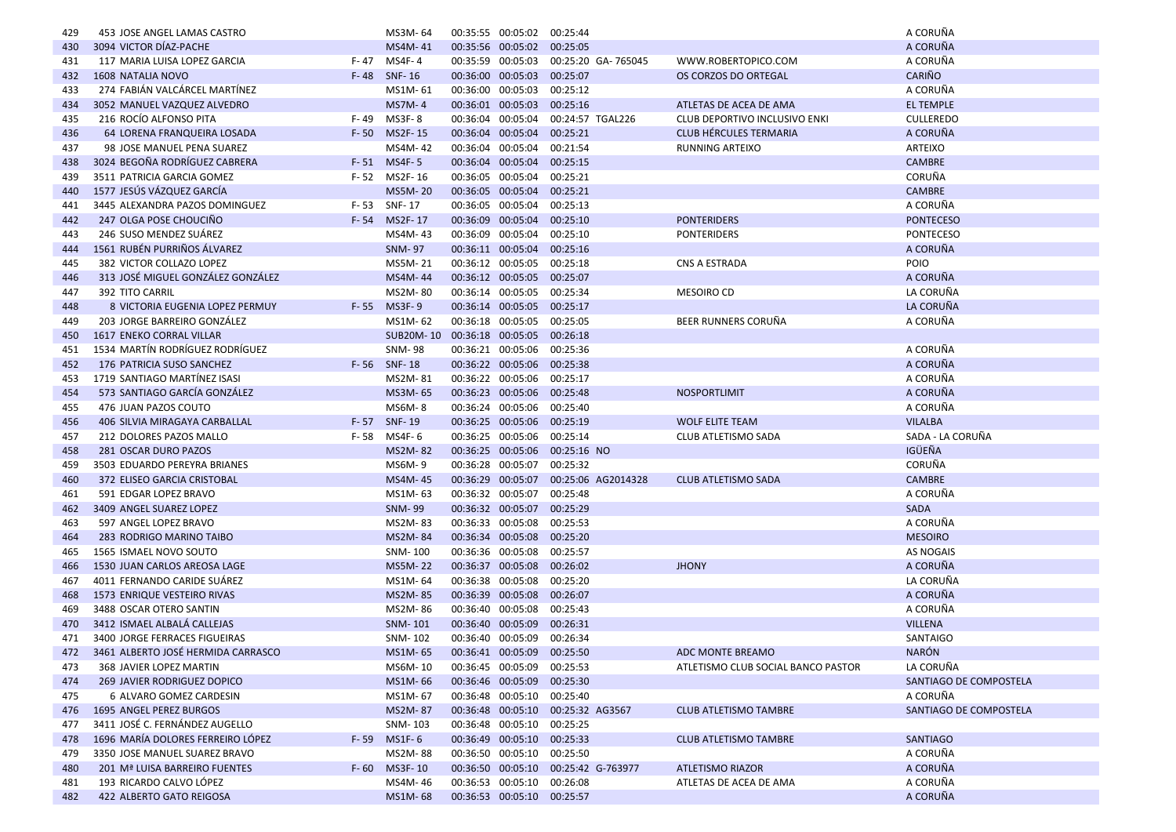| 429        | 453 JOSE ANGEL LAMAS CASTRO                      |          | MS3M-64                              |                   | 00:35:55 00:05:02                      | 00:25:44                              |                                    | A CORUÑA                  |
|------------|--------------------------------------------------|----------|--------------------------------------|-------------------|----------------------------------------|---------------------------------------|------------------------------------|---------------------------|
| 430        | 3094 VICTOR DÍAZ-PACHE                           |          | MS4M-41                              |                   | 00:35:56 00:05:02 00:25:05             |                                       |                                    | A CORUÑA                  |
| 431        | 117 MARIA LUISA LOPEZ GARCIA                     | F- 47    | MS4F- 4                              |                   |                                        | 00:35:59 00:05:03 00:25:20 GA- 765045 | WWW.ROBERTOPICO.COM                | A CORUÑA                  |
| 432        | 1608 NATALIA NOVO                                |          | F-48 SNF-16                          |                   | 00:36:00 00:05:03 00:25:07             |                                       | OS CORZOS DO ORTEGAL               | <b>CARIÑO</b>             |
| 433        | 274 FABIÁN VALCÁRCEL MARTÍNEZ                    |          | MS1M-61                              | 00:36:00 00:05:03 |                                        | 00:25:12                              |                                    | A CORUÑA                  |
| 434        | 3052 MANUEL VAZQUEZ ALVEDRO                      |          | <b>MS7M-4</b>                        |                   | 00:36:01 00:05:03 00:25:16             |                                       | ATLETAS DE ACEA DE AMA             | <b>EL TEMPLE</b>          |
| 435        | 216 ROCÍO ALFONSO PITA                           | F-49     | MS3F-8                               |                   | 00:36:04 00:05:04                      | 00:24:57 TGAL226                      | CLUB DEPORTIVO INCLUSIVO ENKI      | <b>CULLEREDO</b>          |
| 436        | 64 LORENA FRANQUEIRA LOSADA                      | $F - 50$ | MS2F-15                              |                   | 00:36:04 00:05:04                      | 00:25:21                              | <b>CLUB HÉRCULES TERMARIA</b>      | A CORUÑA                  |
| 437        | 98 JOSE MANUEL PENA SUAREZ                       |          | MS4M-42                              |                   | 00:36:04 00:05:04                      | 00:21:54                              | <b>RUNNING ARTEIXO</b>             | ARTEIXO                   |
| 438        | 3024 BEGOÑA RODRÍGUEZ CABRERA                    |          | F-51 MS4F-5                          |                   | 00:36:04 00:05:04                      | 00:25:15                              |                                    | <b>CAMBRE</b>             |
| 439        | 3511 PATRICIA GARCIA GOMEZ                       |          | F-52 MS2F-16                         |                   | 00:36:05 00:05:04 00:25:21             |                                       |                                    | CORUÑA                    |
| 440        | 1577 JESÚS VÁZQUEZ GARCÍA                        |          | MS5M-20                              | 00:36:05 00:05:04 |                                        | 00:25:21                              |                                    | <b>CAMBRE</b>             |
| 441        | 3445 ALEXANDRA PAZOS DOMINGUEZ                   |          | F-53 SNF-17                          |                   | 00:36:05 00:05:04 00:25:13             |                                       |                                    | A CORUÑA                  |
| 442        | 247 OLGA POSE CHOUCIÑO                           |          | F-54 MS2F-17                         |                   | 00:36:09 00:05:04                      | 00:25:10                              | <b>PONTERIDERS</b>                 | <b>PONTECESO</b>          |
| 443        | 246 SUSO MENDEZ SUÁREZ                           |          | MS4M-43                              |                   | 00:36:09 00:05:04 00:25:10             |                                       | <b>PONTERIDERS</b>                 | <b>PONTECESO</b>          |
| 444        | 1561 RUBÉN PURRIÑOS ÁLVAREZ                      |          | <b>SNM-97</b>                        |                   | 00:36:11 00:05:04 00:25:16             |                                       |                                    | A CORUÑA                  |
| 445        | 382 VICTOR COLLAZO LOPEZ                         |          | MS5M-21                              |                   | 00:36:12 00:05:05 00:25:18             |                                       | CNS A ESTRADA                      | <b>POIO</b>               |
| 446        | 313 JOSÉ MIGUEL GONZÁLEZ GONZÁLEZ                |          | MS4M-44                              |                   | 00:36:12 00:05:05 00:25:07             |                                       |                                    | A CORUÑA                  |
| 447        | 392 TITO CARRIL                                  |          | MS2M-80                              | 00:36:14 00:05:05 |                                        | 00:25:34                              | <b>MESOIRO CD</b>                  | LA CORUÑA                 |
| 448        | 8 VICTORIA EUGENIA LOPEZ PERMUY                  |          | F-55 MS3F-9                          |                   | 00:36:14 00:05:05 00:25:17             |                                       |                                    | LA CORUÑA                 |
| 449        | 203 JORGE BARREIRO GONZÁLEZ                      |          | MS1M-62                              |                   | 00:36:18 00:05:05 00:25:05             |                                       | BEER RUNNERS CORUÑA                | A CORUÑA                  |
| 450        | 1617 ENEKO CORRAL VILLAR                         |          | SUB20M-10 00:36:18 00:05:05 00:26:18 |                   |                                        |                                       |                                    |                           |
| 451        | 1534 MARTÍN RODRÍGUEZ RODRÍGUEZ                  |          | <b>SNM-98</b>                        | 00:36:21 00:05:06 |                                        | 00:25:36                              |                                    | A CORUÑA                  |
| 452        | 176 PATRICIA SUSO SANCHEZ                        |          | F-56 SNF-18                          |                   | 00:36:22 00:05:06 00:25:38             |                                       |                                    | A CORUÑA                  |
| 453        | 1719 SANTIAGO MARTÍNEZ ISASI                     |          | MS2M-81                              |                   | 00:36:22 00:05:06 00:25:17             |                                       |                                    | A CORUÑA                  |
| 454        | 573 SANTIAGO GARCÍA GONZÁLEZ                     |          | MS3M-65                              |                   | 00:36:23 00:05:06                      | 00:25:48                              | <b>NOSPORTLIMIT</b>                | A CORUÑA                  |
| 455        | 476 JUAN PAZOS COUTO                             |          | MS6M-8                               |                   | 00:36:24 00:05:06                      | 00:25:40                              |                                    | A CORUÑA                  |
| 456        | 406 SILVIA MIRAGAYA CARBALLAL                    | $F - 57$ | SNF-19                               |                   | 00:36:25 00:05:06 00:25:19             |                                       | <b>WOLF ELITE TEAM</b>             | <b>VILALBA</b>            |
| 457        | 212 DOLORES PAZOS MALLO                          | F-58     | MS4F- 6                              |                   | 00:36:25 00:05:06 00:25:14             |                                       | CLUB ATLETISMO SADA                | SADA - LA CORUÑA          |
| 458        | 281 OSCAR DURO PAZOS                             |          | <b>MS2M-82</b>                       |                   | 00:36:25 00:05:06                      | 00:25:16 NO                           |                                    | <b>IGÜEÑA</b>             |
| 459        | 3503 EDUARDO PEREYRA BRIANES                     |          | MS6M-9                               |                   | 00:36:28 00:05:07                      | 00:25:32                              |                                    | CORUÑA                    |
| 460        | 372 ELISEO GARCIA CRISTOBAL                      |          | MS4M-45                              |                   |                                        | 00:36:29 00:05:07 00:25:06 AG2014328  | <b>CLUB ATLETISMO SADA</b>         | <b>CAMBRE</b><br>A CORUÑA |
| 461        | 591 EDGAR LOPEZ BRAVO<br>3409 ANGEL SUAREZ LOPEZ |          | MS1M-63<br><b>SNM-99</b>             |                   | 00:36:32 00:05:07<br>00:36:32 00:05:07 | 00:25:48<br>00:25:29                  |                                    | <b>SADA</b>               |
| 462        | 597 ANGEL LOPEZ BRAVO                            |          | MS2M-83                              |                   | 00:36:33 00:05:08 00:25:53             |                                       |                                    | A CORUÑA                  |
| 463        | 283 RODRIGO MARINO TAIBO                         |          | <b>MS2M-84</b>                       |                   | 00:36:34 00:05:08 00:25:20             |                                       |                                    | <b>MESOIRO</b>            |
| 464<br>465 | 1565 ISMAEL NOVO SOUTO                           |          | SNM-100                              | 00:36:36 00:05:08 |                                        | 00:25:57                              |                                    | AS NOGAIS                 |
| 466        | 1530 JUAN CARLOS AREOSA LAGE                     |          | <b>MS5M-22</b>                       |                   | 00:36:37 00:05:08 00:26:02             |                                       | <b>JHONY</b>                       | A CORUÑA                  |
| 467        | 4011 FERNANDO CARIDE SUAREZ                      |          | MS1M-64                              |                   | 00:36:38 00:05:08                      | 00:25:20                              |                                    | LA CORUÑA                 |
| 468        | 1573 ENRIQUE VESTEIRO RIVAS                      |          | MS2M-85                              |                   | 00:36:39 00:05:08 00:26:07             |                                       |                                    | A CORUÑA                  |
| 469        | 3488 OSCAR OTERO SANTIN                          |          | MS2M-86                              | 00:36:40 00:05:08 |                                        | 00:25:43                              |                                    | A CORUÑA                  |
| 470        | 3412 ISMAEL ALBALÁ CALLEJAS                      |          | SNM-101                              | 00:36:40 00:05:09 |                                        | 00:26:31                              |                                    | <b>VILLENA</b>            |
| 471        | 3400 JORGE FERRACES FIGUEIRAS                    |          | SNM-102                              |                   | 00:36:40 00:05:09 00:26:34             |                                       |                                    | <b>SANTAIGO</b>           |
| 472        | 3461 ALBERTO JOSÉ HERMIDA CARRASCO               |          | MS1M-65                              |                   | 00:36:41 00:05:09 00:25:50             |                                       | ADC MONTE BREAMO                   | <b>NARÓN</b>              |
| 473        | 368 JAVIER LOPEZ MARTIN                          |          | MS6M-10                              |                   | 00:36:45 00:05:09 00:25:53             |                                       | ATLETISMO CLUB SOCIAL BANCO PASTOR | LA CORUÑA                 |
| 474        | <b>269 JAVIER RODRIGUEZ DOPICO</b>               |          | MS1M-66                              |                   | 00:36:46 00:05:09 00:25:30             |                                       |                                    | SANTIAGO DE COMPOSTELA    |
| 475        | 6 ALVARO GOMEZ CARDESIN                          |          | MS1M-67                              |                   | 00:36:48 00:05:10 00:25:40             |                                       |                                    | A CORUÑA                  |
| 476        | 1695 ANGEL PEREZ BURGOS                          |          | <b>MS2M-87</b>                       |                   |                                        | 00:36:48 00:05:10 00:25:32 AG3567     | <b>CLUB ATLETISMO TAMBRE</b>       | SANTIAGO DE COMPOSTELA    |
| 477        | 3411 JOSÉ C. FERNÁNDEZ AUGELLO                   |          | SNM-103                              |                   | 00:36:48 00:05:10 00:25:25             |                                       |                                    |                           |
| 478        | 1696 MARÍA DOLORES FERREIRO LÓPEZ                | $F - 59$ | $MS1F-6$                             |                   | 00:36:49 00:05:10 00:25:33             |                                       | <b>CLUB ATLETISMO TAMBRE</b>       | <b>SANTIAGO</b>           |
| 479        | 3350 JOSE MANUEL SUAREZ BRAVO                    |          | MS2M-88                              |                   | 00:36:50 00:05:10                      | 00:25:50                              |                                    | A CORUÑA                  |
| 480        | 201 Mª LUISA BARREIRO FUENTES                    | $F - 60$ | MS3F-10                              |                   |                                        | 00:36:50 00:05:10 00:25:42 G-763977   | <b>ATLETISMO RIAZOR</b>            | A CORUÑA                  |
| 481        | 193 RICARDO CALVO LÓPEZ                          |          | MS4M-46                              |                   | 00:36:53 00:05:10 00:26:08             |                                       | ATLETAS DE ACEA DE AMA             | A CORUÑA                  |
| 482        | 422 ALBERTO GATO REIGOSA                         |          | MS1M-68                              |                   | 00:36:53 00:05:10 00:25:57             |                                       |                                    | A CORUÑA                  |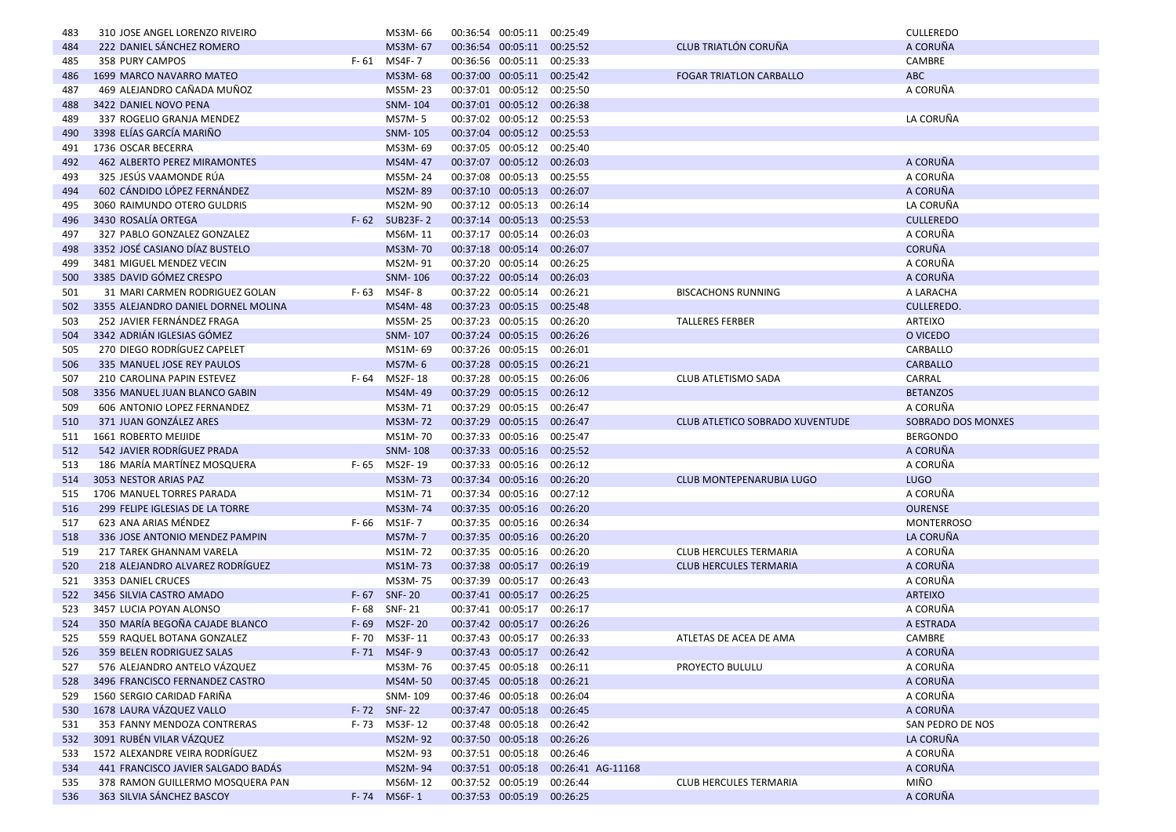| 483        | 310 JOSE ANGEL LORENZO RIVEIRO                                |                   | MS3M-66                | 00:36:54 00:05:11 00:25:49                               |                                     |                                        | <b>CULLEREDO</b>     |
|------------|---------------------------------------------------------------|-------------------|------------------------|----------------------------------------------------------|-------------------------------------|----------------------------------------|----------------------|
| 484        | 222 DANIEL SÁNCHEZ ROMERO                                     |                   | MS3M-67                | 00:36:54 00:05:11 00:25:52                               |                                     | <b>CLUB TRIATLÓN CORUÑA</b>            | A CORUÑA             |
| 485        | 358 PURY CAMPOS                                               | F- 61             | MS4F- 7                | 00:36:56 00:05:11 00:25:33                               |                                     |                                        | CAMBRE               |
| 486        | 1699 MARCO NAVARRO MATEO                                      |                   | MS3M-68                | 00:37:00 00:05:11 00:25:42                               |                                     | <b>FOGAR TRIATLON CARBALLO</b>         | <b>ABC</b>           |
| 487        | 469 ALEJANDRO CAÑADA MUÑOZ                                    |                   | MS5M-23                | 00:37:01 00:05:12 00:25:50                               |                                     |                                        | A CORUÑA             |
| 488        | 3422 DANIEL NOVO PENA                                         |                   | SNM-104                | 00:37:01 00:05:12 00:26:38                               |                                     |                                        |                      |
| 489        | 337 ROGELIO GRANJA MENDEZ                                     |                   | MS7M-5                 | 00:37:02 00:05:12 00:25:53                               |                                     |                                        | LA CORUÑA            |
| 490        | 3398 ELÍAS GARCÍA MARIÑO                                      |                   | SNM-105                | 00:37:04 00:05:12 00:25:53                               |                                     |                                        |                      |
| 491        | 1736 OSCAR BECERRA                                            |                   | MS3M-69                | 00:37:05 00:05:12 00:25:40                               |                                     |                                        |                      |
| 492        | 462 ALBERTO PEREZ MIRAMONTES                                  |                   | MS4M-47                | 00:37:07 00:05:12 00:26:03                               |                                     |                                        | A CORUÑA             |
| 493        | 325 JESÚS VAAMONDE RÚA                                        |                   | MS5M-24                | 00:37:08 00:05:13 00:25:55                               |                                     |                                        | A CORUÑA             |
| 494        | 602 CÁNDIDO LÓPEZ FERNÁNDEZ                                   |                   | MS2M-89                | 00:37:10 00:05:13                                        | 00:26:07                            |                                        | A CORUÑA             |
| 495        | 3060 RAIMUNDO OTERO GULDRIS                                   |                   | MS2M-90                | 00:37:12 00:05:13 00:26:14                               |                                     |                                        | LA CORUÑA            |
| 496        | 3430 ROSALÍA ORTEGA                                           |                   | F-62 SUB23F-2          | 00:37:14 00:05:13                                        | 00:25:53                            |                                        | <b>CULLEREDO</b>     |
| 497        | 327 PABLO GONZALEZ GONZALEZ                                   |                   | MS6M-11                | 00:37:17 00:05:14 00:26:03                               |                                     |                                        | A CORUÑA             |
| 498        | 3352 JOSÉ CASIANO DÍAZ BUSTELO                                |                   | MS3M-70                | 00:37:18 00:05:14 00:26:07                               |                                     |                                        | <b>CORUÑA</b>        |
| 499        | 3481 MIGUEL MENDEZ VECIN                                      |                   | MS2M-91                | 00:37:20 00:05:14 00:26:25                               |                                     |                                        | A CORUÑA             |
| 500        | 3385 DAVID GÓMEZ CRESPO                                       |                   | SNM-106                | 00:37:22 00:05:14 00:26:03                               |                                     |                                        | A CORUÑA             |
| 501        | 31 MARI CARMEN RODRIGUEZ GOLAN                                | F-63              | MS4F-8                 | 00:37:22 00:05:14 00:26:21                               |                                     | <b>BISCACHONS RUNNING</b>              | A LARACHA            |
| 502        | 3355 ALEJANDRO DANIEL DORNEL MOLINA                           |                   | MS4M-48                | 00:37:23 00:05:15 00:25:48                               |                                     |                                        | <b>CULLEREDO.</b>    |
| 503        | 252 JAVIER FERNÁNDEZ FRAGA                                    |                   | MS5M-25                | 00:37:23 00:05:15 00:26:20                               |                                     | <b>TALLERES FERBER</b>                 | ARTEIXO              |
| 504        | 3342 ADRIÁN IGLESIAS GÓMEZ                                    |                   | SNM-107                | 00:37:24 00:05:15 00:26:26                               |                                     |                                        | O VICEDO             |
| 505        | 270 DIEGO RODRÍGUEZ CAPELET                                   |                   | MS1M-69                | 00:37:26 00:05:15                                        | 00:26:01                            |                                        | CARBALLO             |
| 506        | 335 MANUEL JOSE REY PAULOS                                    |                   | MS7M-6                 | 00:37:28 00:05:15 00:26:21                               |                                     |                                        | <b>CARBALLO</b>      |
| 507        | 210 CAROLINA PAPIN ESTEVEZ                                    | F- 64             | MS2F-18                | 00:37:28 00:05:15 00:26:06                               |                                     | CLUB ATLETISMO SADA                    | CARRAL               |
| 508        | 3356 MANUEL JUAN BLANCO GABIN                                 |                   | MS4M-49                | 00:37:29 00:05:15                                        | 00:26:12                            |                                        | <b>BETANZOS</b>      |
| 509        | 606 ANTONIO LOPEZ FERNANDEZ                                   |                   | MS3M-71                | 00:37:29 00:05:15 00:26:47                               |                                     |                                        | A CORUÑA             |
| 510        | 371 JUAN GONZÁLEZ ARES                                        |                   | <b>MS3M-72</b>         | 00:37:29 00:05:15 00:26:47                               |                                     | <b>CLUB ATLETICO SOBRADO XUVENTUDE</b> | SOBRADO DOS MONXES   |
| 511        | 1661 ROBERTO MEIJIDE                                          |                   | MS1M-70                | 00:37:33 00:05:16 00:25:47                               |                                     |                                        | <b>BERGONDO</b>      |
| 512        | 542 JAVIER RODRÍGUEZ PRADA                                    |                   | SNM-108                | 00:37:33 00:05:16                                        | 00:25:52                            |                                        | A CORUÑA             |
| 513        | 186 MARÍA MARTÍNEZ MOSQUERA                                   | F- 65             | MS2F-19                | 00:37:33 00:05:16 00:26:12                               |                                     |                                        | A CORUÑA             |
| 514        | 3053 NESTOR ARIAS PAZ                                         |                   | MS3M-73                | 00:37:34 00:05:16 00:26:20                               |                                     | <b>CLUB MONTEPENARUBIA LUGO</b>        | <b>LUGO</b>          |
| 515        | 1706 MANUEL TORRES PARADA                                     |                   | MS1M-71                | 00:37:34 00:05:16 00:27:12                               |                                     |                                        | A CORUÑA             |
| 516        | 299 FELIPE IGLESIAS DE LA TORRE                               |                   | MS3M-74                | 00:37:35 00:05:16 00:26:20                               |                                     |                                        | <b>OURENSE</b>       |
| 517        | 623 ANA ARIAS MÉNDEZ                                          | F- 66             | MS1F-7                 | 00:37:35 00:05:16 00:26:34                               |                                     |                                        | <b>MONTERROSO</b>    |
|            | 336 JOSE ANTONIO MENDEZ PAMPIN                                |                   | <b>MS7M-7</b>          | 00:37:35 00:05:16 00:26:20                               |                                     |                                        | LA CORUÑA            |
| 518        | 217 TAREK GHANNAM VARELA                                      |                   |                        |                                                          |                                     |                                        | A CORUÑA             |
| 519        | 218 ALEJANDRO ALVAREZ RODRÍGUEZ                               |                   | MS1M-72                | 00:37:35 00:05:16<br>00:37:38 00:05:17 00:26:19          | 00:26:20                            | CLUB HERCULES TERMARIA                 | A CORUÑA             |
| 520        | 3353 DANIEL CRUCES                                            |                   | MS1M-73<br>MS3M-75     | 00:37:39 00:05:17 00:26:43                               |                                     | <b>CLUB HERCULES TERMARIA</b>          | A CORUÑA             |
| 521        |                                                               | $F - 67$          | <b>SNF-20</b>          | 00:37:41 00:05:17 00:26:25                               |                                     |                                        | <b>ARTEIXO</b>       |
| 522        | 3456 SILVIA CASTRO AMADO<br>3457 LUCIA POYAN ALONSO           |                   | <b>SNF-21</b>          | 00:37:41 00:05:17                                        | 00:26:17                            |                                        | A CORUÑA             |
| 523<br>524 | 350 MARÍA BEGOÑA CAJADE BLANCO                                | F- 68<br>$F - 69$ | <b>MS2F-20</b>         | 00:37:42 00:05:17 00:26:26                               |                                     |                                        | A ESTRADA            |
|            |                                                               |                   | F-70 MS3F-11           | 00:37:43 00:05:17 00:26:33                               |                                     |                                        | CAMBRE               |
| 525        | 559 RAQUEL BOTANA GONZALEZ<br>359 BELEN RODRIGUEZ SALAS       |                   |                        |                                                          |                                     | ATLETAS DE ACEA DE AMA                 |                      |
| 526        |                                                               |                   | F-71 MS4F-9            | 00:37:43 00:05:17 00:26:42                               |                                     |                                        | A CORUÑA             |
| 527        | 576 ALEJANDRO ANTELO VÁZQUEZ                                  |                   | MS3M-76                | 00:37:45 00:05:18 00:26:11<br>00:37:45 00:05:18 00:26:21 |                                     | PROYECTO BULULU                        | A CORUÑA             |
| 528        | 3496 FRANCISCO FERNANDEZ CASTRO                               |                   | MS4M-50                |                                                          |                                     |                                        | A CORUÑA             |
| 529        | 1560 SERGIO CARIDAD FARIÑA<br>1678 LAURA VÁZQUEZ VALLO        |                   | SNM-109                | 00:37:46 00:05:18 00:26:04                               |                                     |                                        | A CORUÑA<br>A CORUÑA |
| 530        |                                                               |                   | F-72 SNF-22            | 00:37:47 00:05:18 00:26:45                               |                                     |                                        |                      |
| 531        | 353 FANNY MENDOZA CONTRERAS                                   |                   | F-73 MS3F-12           | 00:37:48 00:05:18 00:26:42                               |                                     |                                        | SAN PEDRO DE NOS     |
| 532        | 3091 RUBÉN VILAR VÁZQUEZ                                      |                   | MS2M-92                | 00:37:50 00:05:18 00:26:26                               |                                     |                                        | LA CORUÑA            |
| 533        | 1572 ALEXANDRE VEIRA RODRÍGUEZ                                |                   | MS2M-93                | 00:37:51 00:05:18 00:26:46                               |                                     |                                        | A CORUÑA<br>A CORUÑA |
| 534        | 441 FRANCISCO JAVIER SALGADO BADÁS                            |                   | MS2M-94                |                                                          | 00:37:51 00:05:18 00:26:41 AG-11168 |                                        |                      |
| 535        | 378 RAMON GUILLERMO MOSQUERA PAN<br>363 SILVIA SÁNCHEZ BASCOY |                   | MS6M-12<br>F-74 MS6F-1 | 00:37:52 00:05:19 00:26:44<br>00:37:53 00:05:19 00:26:25 |                                     | <b>CLUB HERCULES TERMARIA</b>          | MIÑO<br>A CORUÑA     |
| 536        |                                                               |                   |                        |                                                          |                                     |                                        |                      |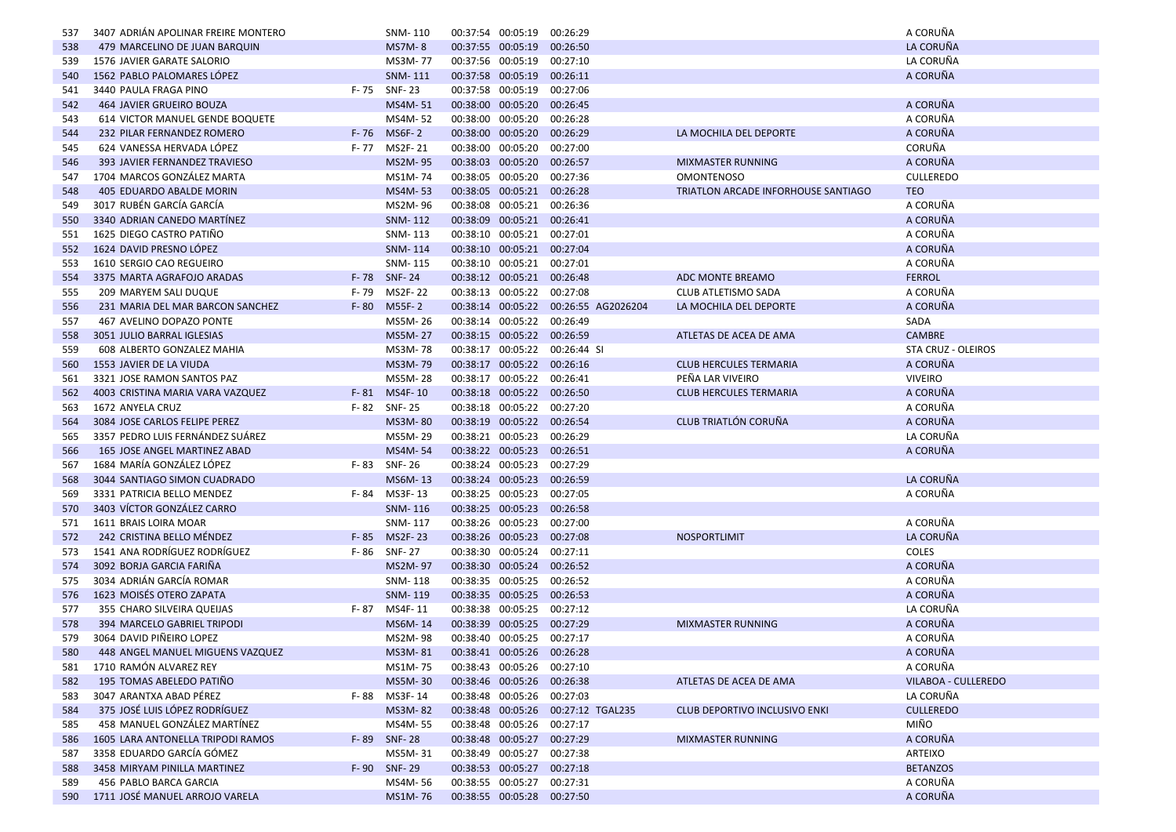| 537        | 3407 ADRIAN APOLINAR FREIRE MONTERO                          |          | SNM-110            |                   | 00:37:54 00:05:19                                        | 00:26:29                             |                                      | A CORUÑA             |
|------------|--------------------------------------------------------------|----------|--------------------|-------------------|----------------------------------------------------------|--------------------------------------|--------------------------------------|----------------------|
| 538        | 479 MARCELINO DE JUAN BARQUIN                                |          | <b>MS7M-8</b>      |                   | 00:37:55 00:05:19 00:26:50                               |                                      |                                      | LA CORUÑA            |
| 539        | 1576 JAVIER GARATE SALORIO                                   |          | MS3M-77            |                   | 00:37:56 00:05:19 00:27:10                               |                                      |                                      | LA CORUÑA            |
| 540        | 1562 PABLO PALOMARES LÓPEZ                                   |          | SNM-111            |                   | 00:37:58 00:05:19 00:26:11                               |                                      |                                      | A CORUÑA             |
| 541        | 3440 PAULA FRAGA PINO<br>F-75                                |          | <b>SNF-23</b>      |                   | 00:37:58 00:05:19                                        | 00:27:06                             |                                      |                      |
| 542        | 464 JAVIER GRUEIRO BOUZA                                     |          | MS4M-51            |                   | 00:38:00 00:05:20                                        | 00:26:45                             |                                      | A CORUÑA             |
| 543        | 614 VICTOR MANUEL GENDE BOQUETE                              |          | MS4M-52            |                   | 00:38:00 00:05:20                                        | 00:26:28                             |                                      | A CORUÑA             |
| 544        | 232 PILAR FERNANDEZ ROMERO                                   | $F - 76$ | <b>MS6F-2</b>      |                   | 00:38:00 00:05:20                                        | 00:26:29                             | LA MOCHILA DEL DEPORTE               | A CORUÑA             |
| 545        | 624 VANESSA HERVADA LÓPEZ<br>F- 77                           |          | MS2F-21            |                   | 00:38:00 00:05:20                                        | 00:27:00                             |                                      | <b>CORUÑA</b>        |
| 546        | 393 JAVIER FERNANDEZ TRAVIESO                                |          | MS2M-95            |                   | 00:38:03 00:05:20                                        | 00:26:57                             | <b>MIXMASTER RUNNING</b>             | A CORUÑA             |
| 547        | 1704 MARCOS GONZÁLEZ MARTA                                   |          | MS1M-74            |                   | 00:38:05 00:05:20                                        | 00:27:36                             | <b>OMONTENOSO</b>                    | <b>CULLEREDO</b>     |
| 548        | 405 EDUARDO ABALDE MORIN                                     |          | MS4M-53            | 00:38:05 00:05:21 |                                                          | 00:26:28                             | TRIATLON ARCADE INFORHOUSE SANTIAGO  | <b>TEO</b>           |
| 549        | 3017 RUBÉN GARCÍA GARCÍA                                     |          | MS2M-96            |                   | 00:38:08 00:05:21 00:26:36                               |                                      |                                      | A CORUÑA             |
| 550        | 3340 ADRIAN CANEDO MARTINEZ                                  |          | SNM-112            |                   | 00:38:09 00:05:21                                        | 00:26:41                             |                                      | A CORUÑA             |
| 551        | 1625 DIEGO CASTRO PATIÑO                                     |          | SNM-113            |                   | 00:38:10 00:05:21 00:27:01                               |                                      |                                      | A CORUÑA             |
| 552        | 1624 DAVID PRESNO LÓPEZ                                      |          | SNM-114            |                   | 00:38:10 00:05:21                                        | 00:27:04                             |                                      | A CORUÑA             |
| 553        | 1610 SERGIO CAO REGUEIRO                                     |          | SNM-115            |                   | 00:38:10 00:05:21 00:27:01                               |                                      |                                      | A CORUÑA             |
| 554        | 3375 MARTA AGRAFOJO ARADAS                                   |          | F-78 SNF-24        |                   | 00:38:12 00:05:21 00:26:48                               |                                      | ADC MONTE BREAMO                     | <b>FERROL</b>        |
| 555        | 209 MARYEM SALI DUQUE<br>F-79                                |          | MS2F-22            |                   | 00:38:13 00:05:22 00:27:08                               |                                      | CLUB ATLETISMO SADA                  | A CORUÑA             |
| 556        | 231 MARIA DEL MAR BARCON SANCHEZ<br>$F - 80$                 |          | M55F-2             |                   |                                                          | 00:38:14 00:05:22 00:26:55 AG2026204 | LA MOCHILA DEL DEPORTE               | A CORUÑA             |
| 557        | 467 AVELINO DOPAZO PONTE                                     |          | MS5M-26            |                   | 00:38:14 00:05:22                                        | 00:26:49                             |                                      | SADA                 |
| 558        | 3051 JULIO BARRAL IGLESIAS                                   |          | MS5M-27            |                   | 00:38:15 00:05:22 00:26:59                               |                                      | ATLETAS DE ACEA DE AMA               | <b>CAMBRE</b>        |
| 559        | 608 ALBERTO GONZALEZ MAHIA                                   |          | MS3M-78            |                   | 00:38:17 00:05:22                                        | 00:26:44 SI                          |                                      | STA CRUZ - OLEIROS   |
| 560        | 1553 JAVIER DE LA VIUDA                                      |          | MS3M-79            |                   | 00:38:17 00:05:22 00:26:16                               |                                      | <b>CLUB HERCULES TERMARIA</b>        | A CORUÑA             |
| 561        | 3321 JOSE RAMON SANTOS PAZ                                   |          | MS5M-28            |                   | 00:38:17 00:05:22 00:26:41                               |                                      | PEÑA LAR VIVEIRO                     | <b>VIVEIRO</b>       |
| 562        | 4003 CRISTINA MARIA VARA VAZQUEZ                             | $F - 81$ | MS4F-10            |                   | 00:38:18 00:05:22 00:26:50                               |                                      | <b>CLUB HERCULES TERMARIA</b>        | A CORUÑA             |
| 563        | 1672 ANYELA CRUZ<br>F-82                                     |          | SNF-25             |                   | 00:38:18 00:05:22 00:27:20                               |                                      |                                      | A CORUÑA             |
| 564        | 3084 JOSE CARLOS FELIPE PEREZ                                |          | MS3M-80            |                   | 00:38:19 00:05:22 00:26:54                               |                                      | CLUB TRIATLÓN CORUÑA                 | A CORUÑA             |
| 565        | 3357 PEDRO LUIS FERNÁNDEZ SUÁREZ                             |          | MS5M-29            |                   | 00:38:21 00:05:23                                        | 00:26:29                             |                                      | LA CORUÑA            |
| 566        | 165 JOSE ANGEL MARTINEZ ABAD                                 |          | MS4M-54            |                   | 00:38:22 00:05:23                                        | 00:26:51                             |                                      | A CORUÑA             |
| 567        | 1684 MARÍA GONZÁLEZ LÓPEZ<br>F-83                            |          | <b>SNF-26</b>      |                   | 00:38:24 00:05:23                                        | 00:27:29                             |                                      |                      |
| 568        | 3044 SANTIAGO SIMON CUADRADO                                 |          | MS6M-13            |                   | 00:38:24 00:05:23                                        | 00:26:59                             |                                      | LA CORUÑA            |
| 569        | 3331 PATRICIA BELLO MENDEZ<br>F-84                           |          | MS3F-13            |                   | 00:38:25 00:05:23                                        | 00:27:05                             |                                      | A CORUÑA             |
| 570        | 3403 VÍCTOR GONZÁLEZ CARRO                                   |          | <b>SNM-116</b>     |                   | 00:38:25 00:05:23                                        | 00:26:58                             |                                      |                      |
| 571        | 1611 BRAIS LOIRA MOAR                                        |          | SNM-117            |                   | 00:38:26 00:05:23 00:27:00                               |                                      |                                      | A CORUÑA             |
| 572        | 242 CRISTINA BELLO MÉNDEZ<br>$F - 85$                        |          | MS2F-23            |                   | 00:38:26 00:05:23 00:27:08                               |                                      | <b>NOSPORTLIMIT</b>                  | LA CORUÑA            |
| 573        | 1541 ANA RODRÍGUEZ RODRÍGUEZ<br>F-86                         |          | SNF- 27            |                   | 00:38:30 00:05:24                                        | 00:27:11                             |                                      | COLES                |
| 574        | 3092 BORJA GARCIA FARIÑA                                     |          | MS2M-97            |                   | 00:38:30 00:05:24 00:26:52                               |                                      |                                      | A CORUÑA             |
| 575        | 3034 ADRIÁN GARCÍA ROMAR                                     |          | SNM-118            |                   | 00:38:35 00:05:25 00:26:52                               |                                      |                                      | A CORUÑA             |
| 576        | 1623 MOISÉS OTERO ZAPATA                                     |          | <b>SNM-119</b>     |                   | 00:38:35 00:05:25                                        | 00:26:53                             |                                      | A CORUÑA             |
| 577        | 355 CHARO SILVEIRA QUEIJAS<br>F- 87                          |          | MS4F-11            |                   | 00:38:38 00:05:25                                        | 00:27:12                             |                                      | LA CORUÑA            |
| 578        | 394 MARCELO GABRIEL TRIPODI                                  |          | MS6M-14            |                   | 00:38:39 00:05:25                                        | 00:27:29                             | <b>MIXMASTER RUNNING</b>             | A CORUÑA             |
| 579        | 3064 DAVID PIÑEIRO LOPEZ<br>448 ANGEL MANUEL MIGUENS VAZQUEZ |          | MS2M-98            |                   | 00:38:40 00:05:25 00:27:17                               |                                      |                                      | A CORUÑA<br>A CORUÑA |
| 580        | 1710 RAMÓN ALVAREZ REY                                       |          | MS3M-81            |                   | 00:38:41 00:05:26 00:26:28                               |                                      |                                      | A CORUÑA             |
| 581<br>582 | 195 TOMAS ABELEDO PATIÑO                                     |          | MS1M-75<br>MS5M-30 |                   | 00:38:43 00:05:26 00:27:10                               |                                      | ATLETAS DE ACEA DE AMA               | VILABOA - CULLEREDO  |
| 583        | 3047 ARANTXA ABAD PÉREZ                                      |          | F-88 MS3F-14       |                   | 00:38:46 00:05:26 00:26:38<br>00:38:48 00:05:26 00:27:03 |                                      |                                      | LA CORUÑA            |
| 584        | 375 JOSÉ LUIS LÓPEZ RODRÍGUEZ                                |          | MS3M-82            |                   |                                                          | 00:38:48 00:05:26 00:27:12 TGAL235   | <b>CLUB DEPORTIVO INCLUSIVO ENKI</b> | <b>CULLEREDO</b>     |
| 585        | 458 MANUEL GONZÁLEZ MARTÍNEZ                                 |          | MS4M-55            |                   | 00:38:48 00:05:26 00:27:17                               |                                      |                                      | MIÑO                 |
| 586        | 1605 LARA ANTONELLA TRIPODI RAMOS                            |          | F-89 SNF-28        |                   | 00:38:48 00:05:27 00:27:29                               |                                      | <b>MIXMASTER RUNNING</b>             | A CORUÑA             |
| 587        | 3358 EDUARDO GARCÍA GÓMEZ                                    |          | MS5M-31            |                   | 00:38:49 00:05:27 00:27:38                               |                                      |                                      | ARTEIXO              |
| 588        | 3458 MIRYAM PINILLA MARTINEZ                                 |          | F-90 SNF-29        |                   | 00:38:53 00:05:27 00:27:18                               |                                      |                                      | <b>BETANZOS</b>      |
| 589        | 456 PABLO BARCA GARCIA                                       |          | MS4M-56            |                   | 00:38:55 00:05:27 00:27:31                               |                                      |                                      | A CORUÑA             |
|            | 590 1711 JOSÉ MANUEL ARROJO VARELA                           |          | MS1M-76            |                   | 00:38:55 00:05:28 00:27:50                               |                                      |                                      | A CORUÑA             |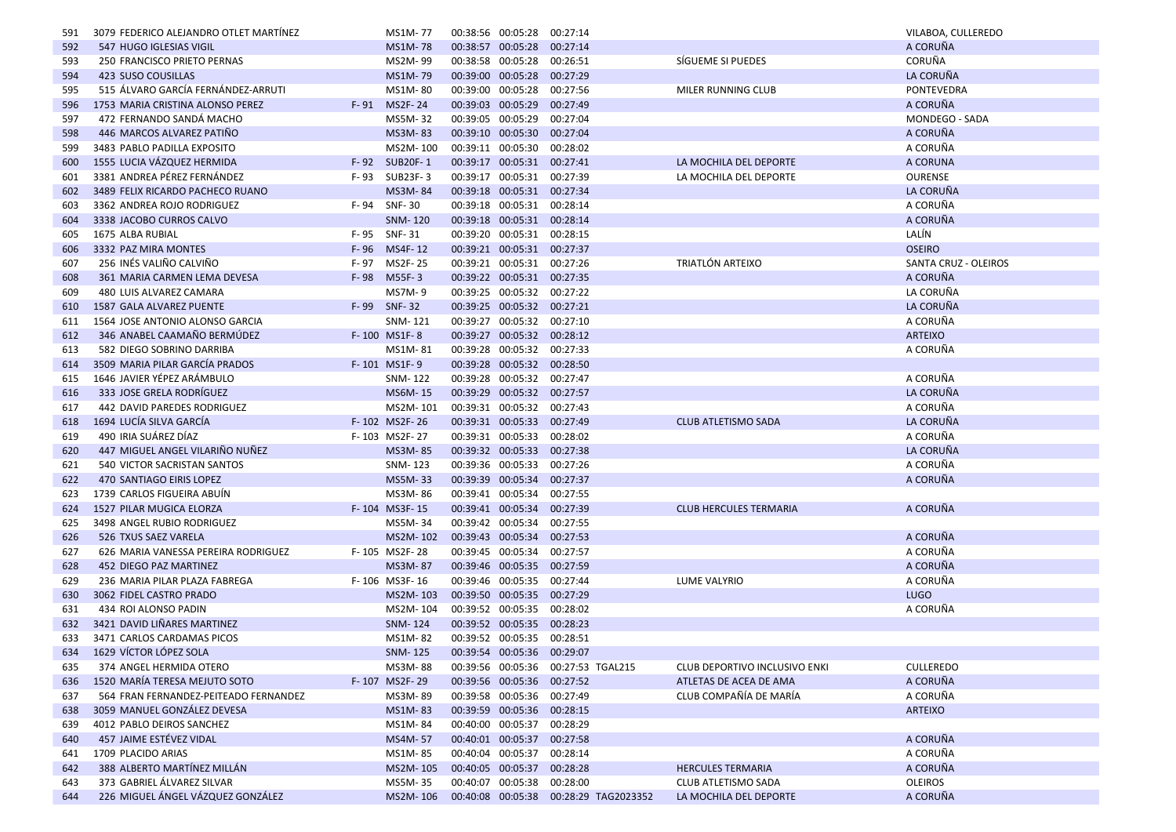| 591 | 3079 FEDERICO ALEJANDRO OTLET MARTINEZ |          | MS1M-77         | 00:38:56 00:05:28 |                            | 00:27:14                              |                               | VILABOA, CULLEREDO   |
|-----|----------------------------------------|----------|-----------------|-------------------|----------------------------|---------------------------------------|-------------------------------|----------------------|
| 592 | 547 HUGO IGLESIAS VIGIL                |          | MS1M-78         |                   | 00:38:57 00:05:28 00:27:14 |                                       |                               | A CORUÑA             |
| 593 | 250 FRANCISCO PRIETO PERNAS            |          | MS2M-99         |                   | 00:38:58 00:05:28 00:26:51 |                                       | SÍGUEME SI PUEDES             | CORUÑA               |
| 594 | 423 SUSO COUSILLAS                     |          | MS1M-79         |                   | 00:39:00 00:05:28 00:27:29 |                                       |                               | LA CORUÑA            |
| 595 | 515 ÁLVARO GARCÍA FERNÁNDEZ-ARRUTI     |          | MS1M-80         |                   | 00:39:00 00:05:28          | 00:27:56                              | MILER RUNNING CLUB            | <b>PONTEVEDRA</b>    |
| 596 | 1753 MARIA CRISTINA ALONSO PEREZ       |          | F-91 MS2F-24    |                   | 00:39:03 00:05:29 00:27:49 |                                       |                               | A CORUÑA             |
| 597 | 472 FERNANDO SANDÁ MACHO               |          | MS5M-32         |                   | 00:39:05 00:05:29 00:27:04 |                                       |                               | MONDEGO - SADA       |
| 598 | 446 MARCOS ALVAREZ PATIÑO              |          | MS3M-83         |                   | 00:39:10 00:05:30 00:27:04 |                                       |                               | A CORUÑA             |
| 599 | 3483 PABLO PADILLA EXPOSITO            |          | MS2M-100        |                   | 00:39:11 00:05:30 00:28:02 |                                       |                               | A CORUÑA             |
| 600 | 1555 LUCIA VÁZQUEZ HERMIDA             | F-92     | <b>SUB20F-1</b> |                   | 00:39:17 00:05:31 00:27:41 |                                       | LA MOCHILA DEL DEPORTE        | A CORUNA             |
| 601 | 3381 ANDREA PÉREZ FERNÁNDEZ            | F-93     | SUB23F-3        |                   | 00:39:17 00:05:31 00:27:39 |                                       | LA MOCHILA DEL DEPORTE        | <b>OURENSE</b>       |
| 602 | 3489 FELIX RICARDO PACHECO RUANO       |          | MS3M-84         |                   | 00:39:18 00:05:31 00:27:34 |                                       |                               | LA CORUÑA            |
| 603 | 3362 ANDREA ROJO RODRIGUEZ             |          | F-94 SNF-30     |                   | 00:39:18 00:05:31 00:28:14 |                                       |                               | A CORUÑA             |
| 604 | 3338 JACOBO CURROS CALVO               |          | <b>SNM-120</b>  |                   | 00:39:18 00:05:31 00:28:14 |                                       |                               | A CORUÑA             |
| 605 | 1675 ALBA RUBIAL                       |          | F-95 SNF-31     |                   | 00:39:20 00:05:31 00:28:15 |                                       |                               | LALÍN                |
| 606 | 3332 PAZ MIRA MONTES                   |          | F-96 MS4F-12    |                   | 00:39:21 00:05:31 00:27:37 |                                       |                               | <b>OSEIRO</b>        |
| 607 | 256 INÉS VALIÑO CALVIÑO                |          | F-97 MS2F-25    |                   | 00:39:21 00:05:31 00:27:26 |                                       | TRIATLÓN ARTEIXO              | SANTA CRUZ - OLEIROS |
| 608 | 361 MARIA CARMEN LEMA DEVESA           | $F - 98$ | M55F-3          |                   | 00:39:22 00:05:31 00:27:35 |                                       |                               | A CORUÑA             |
| 609 | 480 LUIS ALVAREZ CAMARA                |          | MS7M-9          |                   | 00:39:25 00:05:32 00:27:22 |                                       |                               | LA CORUÑA            |
| 610 | 1587 GALA ALVAREZ PUENTE               |          | F-99 SNF-32     |                   | 00:39:25 00:05:32 00:27:21 |                                       |                               | LA CORUÑA            |
| 611 | 1564 JOSE ANTONIO ALONSO GARCIA        |          | SNM-121         |                   | 00:39:27 00:05:32 00:27:10 |                                       |                               | A CORUÑA             |
| 612 | 346 ANABEL CAAMAÑO BERMÚDEZ            |          | F-100 MS1F-8    |                   | 00:39:27 00:05:32 00:28:12 |                                       |                               | <b>ARTEIXO</b>       |
| 613 | 582 DIEGO SOBRINO DARRIBA              |          | MS1M-81         |                   | 00:39:28 00:05:32 00:27:33 |                                       |                               | A CORUÑA             |
| 614 | 3509 MARIA PILAR GARCIA PRADOS         |          | F-101 MS1F-9    |                   | 00:39:28 00:05:32 00:28:50 |                                       |                               |                      |
| 615 | 1646 JAVIER YÉPEZ ARÁMBULO             |          | SNM-122         |                   | 00:39:28 00:05:32 00:27:47 |                                       |                               | A CORUÑA             |
| 616 | 333 JOSE GRELA RODRÍGUEZ               |          | MS6M-15         |                   | 00:39:29 00:05:32 00:27:57 |                                       |                               | LA CORUÑA            |
| 617 | 442 DAVID PAREDES RODRIGUEZ            |          | MS2M-101        |                   | 00:39:31 00:05:32 00:27:43 |                                       |                               | A CORUÑA             |
| 618 | 1694 LUCÍA SILVA GARCÍA                |          | F-102 MS2F-26   |                   | 00:39:31 00:05:33 00:27:49 |                                       | <b>CLUB ATLETISMO SADA</b>    | LA CORUÑA            |
| 619 | 490 IRIA SUÁREZ DÍAZ                   |          | F-103 MS2F-27   |                   | 00:39:31 00:05:33 00:28:02 |                                       |                               | A CORUÑA             |
| 620 | 447 MIGUEL ANGEL VILARIÑO NUÑEZ        |          | <b>MS3M-85</b>  |                   | 00:39:32 00:05:33 00:27:38 |                                       |                               | LA CORUÑA            |
| 621 | 540 VICTOR SACRISTAN SANTOS            |          | SNM-123         |                   | 00:39:36 00:05:33 00:27:26 |                                       |                               | A CORUÑA             |
| 622 | 470 SANTIAGO EIRIS LOPEZ               |          | MS5M-33         |                   | 00:39:39 00:05:34 00:27:37 |                                       |                               | A CORUÑA             |
| 623 | 1739 CARLOS FIGUEIRA ABUÍN             |          | MS3M-86         |                   | 00:39:41 00:05:34 00:27:55 |                                       |                               |                      |
| 624 | 1527 PILAR MUGICA ELORZA               |          | F-104 MS3F-15   |                   | 00:39:41 00:05:34 00:27:39 |                                       | <b>CLUB HERCULES TERMARIA</b> | A CORUÑA             |
| 625 | 3498 ANGEL RUBIO RODRIGUEZ             |          | MS5M-34         |                   | 00:39:42 00:05:34 00:27:55 |                                       |                               |                      |
| 626 | 526 TXUS SAEZ VARELA                   |          | MS2M-102        |                   | 00:39:43 00:05:34 00:27:53 |                                       |                               | A CORUÑA             |
| 627 | 626 MARIA VANESSA PEREIRA RODRIGUEZ    |          | F-105 MS2F-28   |                   | 00:39:45 00:05:34          | 00:27:57                              |                               | A CORUÑA             |
| 628 | 452 DIEGO PAZ MARTINEZ                 |          | MS3M-87         |                   | 00:39:46 00:05:35 00:27:59 |                                       |                               | A CORUÑA             |
| 629 | 236 MARIA PILAR PLAZA FABREGA          |          | F-106 MS3F-16   |                   | 00:39:46 00:05:35 00:27:44 |                                       | LUME VALYRIO                  | A CORUÑA             |
| 630 | 3062 FIDEL CASTRO PRADO                |          | MS2M-103        |                   | 00:39:50 00:05:35 00:27:29 |                                       |                               | <b>LUGO</b>          |
| 631 | 434 ROI ALONSO PADIN                   |          | MS2M-104        | 00:39:52 00:05:35 |                            | 00:28:02                              |                               | A CORUÑA             |
| 632 | 3421 DAVID LIÑARES MARTINEZ            |          | SNM-124         |                   | 00:39:52 00:05:35          | 00:28:23                              |                               |                      |
| 633 | 3471 CARLOS CARDAMAS PICOS             |          | MS1M-82         |                   | 00:39:52 00:05:35 00:28:51 |                                       |                               |                      |
|     | 634 1629 VÍCTOR LÓPEZ SOLA             |          | SNM-125         |                   | 00:39:54 00:05:36 00:29:07 |                                       |                               |                      |
| 635 | 374 ANGEL HERMIDA OTERO                |          | MS3M-88         |                   |                            | 00:39:56 00:05:36 00:27:53 TGAL215    | CLUB DEPORTIVO INCLUSIVO ENKI | <b>CULLEREDO</b>     |
| 636 | 1520 MARÍA TERESA MEJUTO SOTO          |          | F-107 MS2F-29   |                   | 00:39:56 00:05:36 00:27:52 |                                       | ATLETAS DE ACEA DE AMA        | A CORUÑA             |
| 637 | 564 FRAN FERNANDEZ-PEITEADO FERNANDEZ  |          | MS3M-89         |                   | 00:39:58 00:05:36 00:27:49 |                                       | CLUB COMPAÑÍA DE MARÍA        | A CORUÑA             |
| 638 | 3059 MANUEL GONZÁLEZ DEVESA            |          | MS1M-83         |                   | 00:39:59 00:05:36 00:28:15 |                                       |                               | <b>ARTEIXO</b>       |
| 639 | 4012 PABLO DEIROS SANCHEZ              |          | MS1M-84         |                   | 00:40:00 00:05:37 00:28:29 |                                       |                               |                      |
| 640 | 457 JAIME ESTÉVEZ VIDAL                |          | MS4M-57         |                   | 00:40:01 00:05:37 00:27:58 |                                       |                               | A CORUÑA             |
| 641 | 1709 PLACIDO ARIAS                     |          | MS1M-85         |                   | 00:40:04 00:05:37 00:28:14 |                                       |                               | A CORUÑA             |
| 642 | 388 ALBERTO MARTÍNEZ MILLÁN            |          | MS2M-105        |                   | 00:40:05 00:05:37 00:28:28 |                                       | <b>HERCULES TERMARIA</b>      | A CORUÑA             |
| 643 | 373 GABRIEL ÁLVAREZ SILVAR             |          | MS5M-35         |                   | 00:40:07 00:05:38 00:28:00 |                                       | CLUB ATLETISMO SADA           | <b>OLEIROS</b>       |
| 644 | 226 MIGUEL ÁNGEL VÁZQUEZ GONZÁLEZ      |          | MS2M-106        |                   |                            | 00:40:08 00:05:38 00:28:29 TAG2023352 | LA MOCHILA DEL DEPORTE        | A CORUÑA             |
|     |                                        |          |                 |                   |                            |                                       |                               |                      |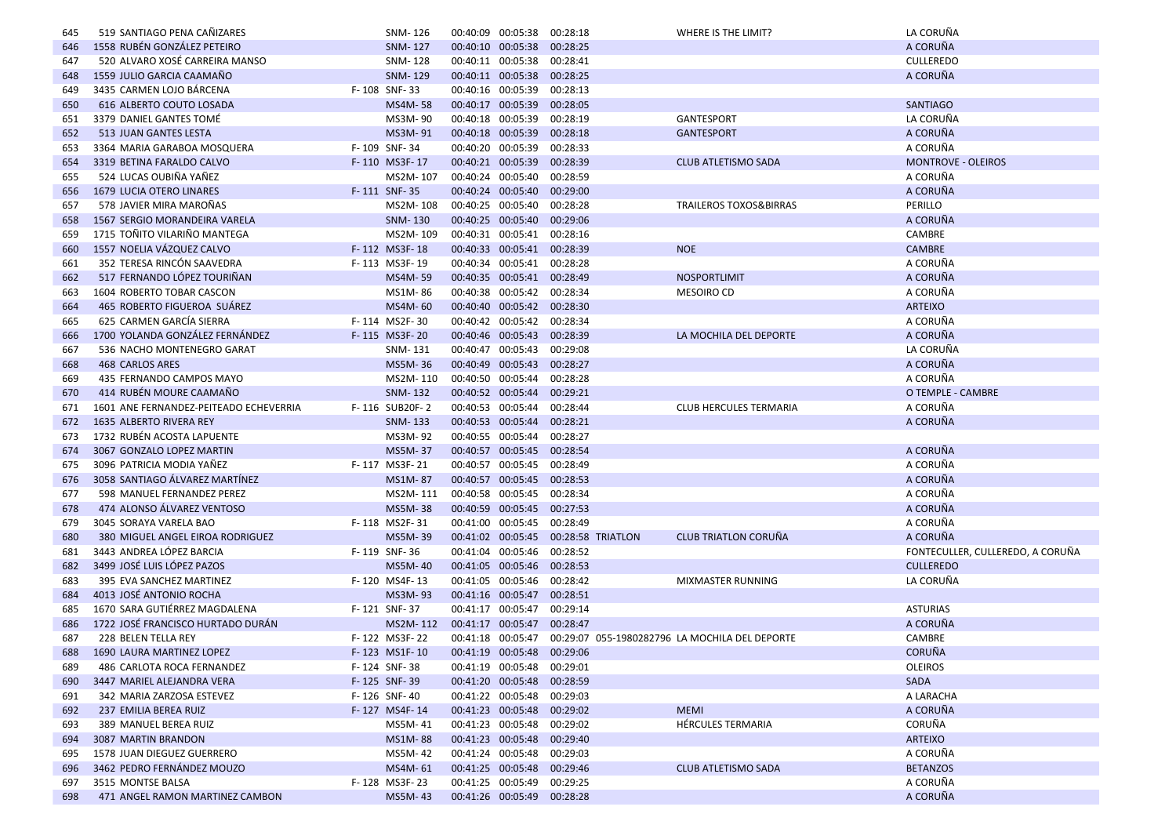| 645 | 519 SANTIAGO PENA CAÑIZARES            | SNM-126                        |                   | 00:40:09 00:05:38          | 00:28:18          | WHERE IS THE LIMIT?                                              | LA CORUÑA                        |
|-----|----------------------------------------|--------------------------------|-------------------|----------------------------|-------------------|------------------------------------------------------------------|----------------------------------|
| 646 | 1558 RUBÉN GONZÁLEZ PETEIRO            | SNM-127                        |                   | 00:40:10 00:05:38          | 00:28:25          |                                                                  | A CORUÑA                         |
| 647 | 520 ALVARO XOSÉ CARREIRA MANSO         | SNM-128                        |                   | 00:40:11 00:05:38          | 00:28:41          |                                                                  | <b>CULLEREDO</b>                 |
| 648 | 1559 JULIO GARCIA CAAMAÑO              | SNM-129                        |                   | 00:40:11 00:05:38          | 00:28:25          |                                                                  | A CORUÑA                         |
| 649 | 3435 CARMEN LOJO BÁRCENA               | F-108 SNF-33                   |                   | 00:40:16 00:05:39          | 00:28:13          |                                                                  |                                  |
| 650 | 616 ALBERTO COUTO LOSADA               | <b>MS4M-58</b>                 |                   | 00:40:17 00:05:39          | 00:28:05          |                                                                  | <b>SANTIAGO</b>                  |
| 651 | 3379 DANIEL GANTES TOMÉ                | MS3M-90                        |                   | 00:40:18 00:05:39          | 00:28:19          | GANTESPORT                                                       | LA CORUÑA                        |
| 652 | 513 JUAN GANTES LESTA                  | MS3M-91                        |                   | 00:40:18 00:05:39          | 00:28:18          | <b>GANTESPORT</b>                                                | A CORUÑA                         |
| 653 | 3364 MARIA GARABOA MOSQUERA            | F-109 SNF-34                   |                   | 00:40:20 00:05:39          | 00:28:33          |                                                                  | A CORUÑA                         |
| 654 | 3319 BETINA FARALDO CALVO              | F-110 MS3F-17                  |                   | 00:40:21 00:05:39          | 00:28:39          | <b>CLUB ATLETISMO SADA</b>                                       | <b>MONTROVE - OLEIROS</b>        |
| 655 | 524 LUCAS OUBIÑA YAÑEZ                 | MS2M-107                       | 00:40:24 00:05:40 |                            | 00:28:59          |                                                                  | A CORUÑA                         |
| 656 | 1679 LUCIA OTERO LINARES               | F-111 SNF-35                   |                   | 00:40:24 00:05:40          | 00:29:00          |                                                                  | A CORUÑA                         |
| 657 | 578 JAVIER MIRA MAROÑAS                | MS2M-108                       |                   | 00:40:25 00:05:40          | 00:28:28          | <b>TRAILEROS TOXOS&amp;BIRRAS</b>                                | PERILLO                          |
| 658 | 1567 SERGIO MORANDEIRA VARELA          | SNM-130                        |                   | 00:40:25 00:05:40          | 00:29:06          |                                                                  | A CORUÑA                         |
| 659 | 1715 TOÑITO VILARIÑO MANTEGA           | MS2M-109                       |                   | 00:40:31 00:05:41 00:28:16 |                   |                                                                  | CAMBRE                           |
| 660 | 1557 NOELIA VÁZQUEZ CALVO              | F-112 MS3F-18                  |                   | 00:40:33 00:05:41 00:28:39 |                   | <b>NOE</b>                                                       | <b>CAMBRE</b>                    |
| 661 | 352 TERESA RINCÓN SAAVEDRA             | F-113 MS3F-19                  |                   | 00:40:34 00:05:41 00:28:28 |                   |                                                                  | A CORUÑA                         |
| 662 | 517 FERNANDO LÓPEZ TOURIÑAN            | MS4M-59                        |                   | 00:40:35 00:05:41 00:28:49 |                   | <b>NOSPORTLIMIT</b>                                              | A CORUÑA                         |
| 663 | 1604 ROBERTO TOBAR CASCON              | MS1M-86                        |                   | 00:40:38 00:05:42          | 00:28:34          | <b>MESOIRO CD</b>                                                | A CORUÑA                         |
| 664 | 465 ROBERTO FIGUEROA SUÁREZ            | MS4M-60                        |                   | 00:40:40 00:05:42 00:28:30 |                   |                                                                  | <b>ARTEIXO</b>                   |
| 665 | 625 CARMEN GARCÍA SIERRA               | F-114 MS2F-30                  |                   | 00:40:42 00:05:42 00:28:34 |                   |                                                                  | A CORUÑA                         |
| 666 | 1700 YOLANDA GONZÁLEZ FERNÁNDEZ        | F-115 MS3F-20                  |                   | 00:40:46 00:05:43 00:28:39 |                   | LA MOCHILA DEL DEPORTE                                           | A CORUÑA                         |
| 667 | 536 NACHO MONTENEGRO GARAT             | SNM-131                        |                   | 00:40:47 00:05:43          | 00:29:08          |                                                                  | LA CORUÑA                        |
| 668 | 468 CARLOS ARES                        | MS5M-36                        |                   | 00:40:49 00:05:43          | 00:28:27          |                                                                  | A CORUÑA                         |
| 669 | 435 FERNANDO CAMPOS MAYO               | MS2M-110                       |                   | 00:40:50 00:05:44 00:28:28 |                   |                                                                  | A CORUÑA                         |
| 670 | 414 RUBÉN MOURE CAAMAÑO                | <b>SNM-132</b>                 |                   | 00:40:52 00:05:44          | 00:29:21          |                                                                  | O TEMPLE - CAMBRE                |
| 671 | 1601 ANE FERNANDEZ-PEITEADO ECHEVERRIA | F-116 SUB20F-2                 |                   | 00:40:53 00:05:44          | 00:28:44          | <b>CLUB HERCULES TERMARIA</b>                                    | A CORUÑA                         |
| 672 | 1635 ALBERTO RIVERA REY                | SNM-133                        |                   | 00:40:53 00:05:44          | 00:28:21          |                                                                  | A CORUÑA                         |
| 673 | 1732 RUBÉN ACOSTA LAPUENTE             | MS3M-92                        |                   | 00:40:55 00:05:44          | 00:28:27          |                                                                  |                                  |
| 674 | 3067 GONZALO LOPEZ MARTIN              | MS5M-37                        |                   | 00:40:57 00:05:45          | 00:28:54          |                                                                  | A CORUÑA                         |
| 675 | 3096 PATRICIA MODIA YAÑEZ              | F-117 MS3F-21                  |                   | 00:40:57 00:05:45          | 00:28:49          |                                                                  | A CORUÑA                         |
| 676 | 3058 SANTIAGO ÁLVAREZ MARTÍNEZ         | MS1M-87                        |                   | 00:40:57 00:05:45 00:28:53 |                   |                                                                  | A CORUÑA                         |
| 677 | 598 MANUEL FERNANDEZ PEREZ             | MS2M-111                       | 00:40:58 00:05:45 |                            | 00:28:34          |                                                                  | A CORUÑA                         |
| 678 | 474 ALONSO ÁLVAREZ VENTOSO             | <b>MS5M-38</b>                 |                   | 00:40:59 00:05:45          | 00:27:53          |                                                                  | A CORUÑA                         |
| 679 | 3045 SORAYA VARELA BAO                 | F-118 MS2F-31                  |                   | 00:41:00 00:05:45          | 00:28:49          |                                                                  | A CORUÑA                         |
| 680 | 380 MIGUEL ANGEL EIROA RODRIGUEZ       | MS5M-39                        |                   | 00:41:02 00:05:45          | 00:28:58 TRIATLON | <b>CLUB TRIATLON CORUÑA</b>                                      | A CORUÑA                         |
| 681 | 3443 ANDREA LÓPEZ BARCIA               | F-119 SNF-36                   |                   | 00:41:04 00:05:46          | 00:28:52          |                                                                  | FONTECULLER, CULLEREDO, A CORUÑA |
| 682 | 3499 JOSÉ LUIS LÓPEZ PAZOS             | MS5M-40                        |                   | 00:41:05 00:05:46          | 00:28:53          |                                                                  | <b>CULLEREDO</b>                 |
| 683 | 395 EVA SANCHEZ MARTINEZ               | F-120 MS4F-13                  |                   | 00:41:05 00:05:46          | 00:28:42          | <b>MIXMASTER RUNNING</b>                                         | LA CORUÑA                        |
| 684 | 4013 JOSÉ ANTONIO ROCHA                | MS3M-93                        |                   | 00:41:16 00:05:47          | 00:28:51          |                                                                  |                                  |
| 685 | 1670 SARA GUTIÉRREZ MAGDALENA          | F-121 SNF-37                   |                   | 00:41:17 00:05:47          | 00:29:14          |                                                                  | <b>ASTURIAS</b>                  |
|     | 1722 JOSÉ FRANCISCO HURTADO DURÁN      | MS2M-112                       |                   | 00:41:17 00:05:47 00:28:47 |                   |                                                                  | A CORUÑA                         |
| 686 |                                        |                                |                   |                            |                   |                                                                  |                                  |
| 687 | 228 BELEN TELLA REY                    | F-122 MS3F-22<br>F-123 MS1F-10 |                   |                            |                   | 00:41:18 00:05:47 00:29:07 055-1980282796 LA MOCHILA DEL DEPORTE | CAMBRE                           |
| 688 | 1690 LAURA MARTINEZ LOPEZ              |                                |                   | 00:41:19 00:05:48 00:29:06 |                   |                                                                  | CORUÑA                           |
| 689 | 486 CARLOTA ROCA FERNANDEZ             | F-124 SNF-38                   |                   | 00:41:19 00:05:48 00:29:01 |                   |                                                                  | <b>OLEIROS</b>                   |
| 690 | 3447 MARIEL ALEJANDRA VERA             | F-125 SNF-39                   |                   | 00:41:20 00:05:48 00:28:59 |                   |                                                                  | SADA                             |
| 691 | 342 MARIA ZARZOSA ESTEVEZ              | F-126 SNF-40                   |                   | 00:41:22 00:05:48 00:29:03 |                   |                                                                  | A LARACHA<br>A CORUÑA            |
| 692 | 237 EMILIA BEREA RUIZ                  | F-127 MS4F-14                  |                   | 00:41:23 00:05:48 00:29:02 |                   | <b>MEMI</b>                                                      |                                  |
| 693 | 389 MANUEL BEREA RUIZ                  | MS5M-41                        |                   | 00:41:23 00:05:48 00:29:02 |                   | <b>HÉRCULES TERMARIA</b>                                         | CORUÑA                           |
| 694 | 3087 MARTIN BRANDON                    | MS1M-88                        |                   | 00:41:23 00:05:48 00:29:40 |                   |                                                                  | ARTEIXO<br>A CORUÑA              |
| 695 | 1578 JUAN DIEGUEZ GUERRERO             | MS5M-42                        |                   | 00:41:24 00:05:48 00:29:03 |                   |                                                                  |                                  |
| 696 | 3462 PEDRO FERNÁNDEZ MOUZO             | MS4M-61                        |                   | 00:41:25 00:05:48 00:29:46 |                   | <b>CLUB ATLETISMO SADA</b>                                       | <b>BETANZOS</b>                  |
| 697 | 3515 MONTSE BALSA                      | F-128 MS3F-23                  |                   | 00:41:25 00:05:49 00:29:25 |                   |                                                                  | A CORUÑA<br>A CORUÑA             |
| 698 | 471 ANGEL RAMON MARTINEZ CAMBON        | MS5M-43                        |                   | 00:41:26 00:05:49 00:28:28 |                   |                                                                  |                                  |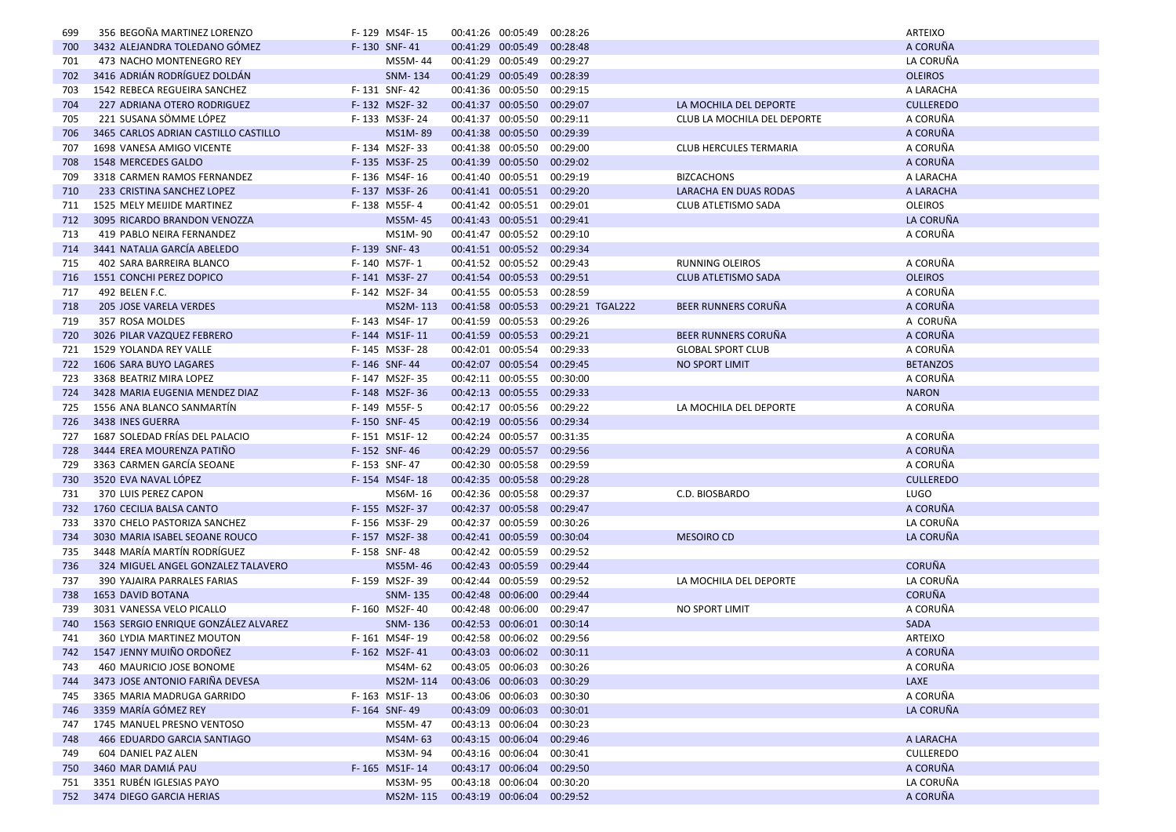| 699        | 356 BEGOÑA MARTINEZ LORENZO          | F-129 MS4F-15  | 00:41:26 00:05:49 |                            | 00:28:26                           |                               | ARTEIXO          |
|------------|--------------------------------------|----------------|-------------------|----------------------------|------------------------------------|-------------------------------|------------------|
| 700        | 3432 ALEJANDRA TOLEDANO GÓMEZ        | F-130 SNF-41   |                   | 00:41:29 00:05:49 00:28:48 |                                    |                               | A CORUÑA         |
| 701        | 473 NACHO MONTENEGRO REY             | MS5M-44        |                   | 00:41:29 00:05:49 00:29:27 |                                    |                               | LA CORUÑA        |
| 702        | 3416 ADRIÁN RODRÍGUEZ DOLDÁN         | SNM-134        |                   | 00:41:29 00:05:49 00:28:39 |                                    |                               | <b>OLEIROS</b>   |
| 703        | 1542 REBECA REGUEIRA SANCHEZ         | F-131 SNF-42   | 00:41:36 00:05:50 |                            | 00:29:15                           |                               | A LARACHA        |
| 704        | 227 ADRIANA OTERO RODRIGUEZ          | F-132 MS2F-32  |                   | 00:41:37 00:05:50 00:29:07 |                                    | LA MOCHILA DEL DEPORTE        | <b>CULLEREDO</b> |
| 705        | 221 SUSANA SÖMME LÓPEZ               | F-133 MS3F-24  |                   | 00:41:37 00:05:50 00:29:11 |                                    | CLUB LA MOCHILA DEL DEPORTE   | A CORUÑA         |
| 706        | 3465 CARLOS ADRIAN CASTILLO CASTILLO | MS1M-89        |                   | 00:41:38 00:05:50 00:29:39 |                                    |                               | A CORUÑA         |
| 707        | 1698 VANESA AMIGO VICENTE            | F-134 MS2F-33  |                   | 00:41:38 00:05:50 00:29:00 |                                    | <b>CLUB HERCULES TERMARIA</b> | A CORUÑA         |
| 708        | 1548 MERCEDES GALDO                  | F-135 MS3F-25  |                   | 00:41:39 00:05:50 00:29:02 |                                    |                               | A CORUÑA         |
| 709        | 3318 CARMEN RAMOS FERNANDEZ          | F-136 MS4F-16  |                   | 00:41:40 00:05:51 00:29:19 |                                    | <b>BIZCACHONS</b>             | A LARACHA        |
| 710        | 233 CRISTINA SANCHEZ LOPEZ           | F-137 MS3F-26  |                   | 00:41:41 00:05:51 00:29:20 |                                    | <b>LARACHA EN DUAS RODAS</b>  | A LARACHA        |
| 711        | 1525 MELY MEIJIDE MARTINEZ           | F-138 M55F-4   |                   | 00:41:42 00:05:51 00:29:01 |                                    | CLUB ATLETISMO SADA           | <b>OLEIROS</b>   |
| 712        | 3095 RICARDO BRANDON VENOZZA         | MS5M-45        |                   | 00:41:43 00:05:51 00:29:41 |                                    |                               | LA CORUÑA        |
| 713        | 419 PABLO NEIRA FERNANDEZ            | MS1M-90        |                   | 00:41:47 00:05:52 00:29:10 |                                    |                               | A CORUÑA         |
| 714        | 3441 NATALIA GARCÍA ABELEDO          | F-139 SNF-43   |                   | 00:41:51 00:05:52 00:29:34 |                                    |                               |                  |
| 715        | 402 SARA BARREIRA BLANCO             | F-140 MS7F-1   |                   | 00:41:52 00:05:52 00:29:43 |                                    | <b>RUNNING OLEIROS</b>        | A CORUÑA         |
| 716        | 1551 CONCHI PEREZ DOPICO             | F-141 MS3F-27  |                   | 00:41:54 00:05:53 00:29:51 |                                    | <b>CLUB ATLETISMO SADA</b>    | <b>OLEIROS</b>   |
| 717        | 492 BELEN F.C.                       | F-142 MS2F-34  |                   | 00:41:55 00:05:53 00:28:59 |                                    |                               | A CORUÑA         |
| 718        | 205 JOSE VARELA VERDES               | MS2M-113       |                   |                            | 00:41:58 00:05:53 00:29:21 TGAL222 | <b>BEER RUNNERS CORUÑA</b>    | A CORUÑA         |
| 719        | 357 ROSA MOLDES                      | F-143 MS4F-17  |                   | 00:41:59 00:05:53 00:29:26 |                                    |                               | A CORUÑA         |
| 720        | 3026 PILAR VAZQUEZ FEBRERO           | F-144 MS1F-11  |                   | 00:41:59 00:05:53 00:29:21 |                                    | <b>BEER RUNNERS CORUÑA</b>    | A CORUÑA         |
| 721        | 1529 YOLANDA REY VALLE               | F-145 MS3F-28  |                   | 00:42:01 00:05:54 00:29:33 |                                    | <b>GLOBAL SPORT CLUB</b>      | A CORUÑA         |
| 722        | 1606 SARA BUYO LAGARES               | F-146 SNF-44   |                   | 00:42:07 00:05:54 00:29:45 |                                    | <b>NO SPORT LIMIT</b>         | <b>BETANZOS</b>  |
| 723        | 3368 BEATRIZ MIRA LOPEZ              | F-147 MS2F-35  |                   | 00:42:11 00:05:55 00:30:00 |                                    |                               | A CORUÑA         |
| 724        | 3428 MARIA EUGENIA MENDEZ DIAZ       | F-148 MS2F-36  |                   | 00:42:13 00:05:55 00:29:33 |                                    |                               | <b>NARON</b>     |
| 725        | 1556 ANA BLANCO SANMARTIN            | F-149 M55F-5   |                   | 00:42:17 00:05:56 00:29:22 |                                    | LA MOCHILA DEL DEPORTE        | A CORUÑA         |
| 726        | 3438 INES GUERRA                     | F-150 SNF-45   |                   | 00:42:19 00:05:56 00:29:34 |                                    |                               |                  |
| 727        | 1687 SOLEDAD FRIAS DEL PALACIO       | F-151 MS1F-12  |                   | 00:42:24 00:05:57 00:31:35 |                                    |                               | A CORUÑA         |
| 728        | 3444 EREA MOURENZA PATIÑO            | F-152 SNF-46   |                   | 00:42:29 00:05:57 00:29:56 |                                    |                               | A CORUÑA         |
| 729        | 3363 CARMEN GARCIA SEOANE            | F-153 SNF-47   |                   | 00:42:30 00:05:58 00:29:59 |                                    |                               | A CORUÑA         |
| 730        | 3520 EVA NAVAL LÓPEZ                 | F-154 MS4F-18  |                   | 00:42:35 00:05:58 00:29:28 |                                    |                               | <b>CULLEREDO</b> |
| 731        | 370 LUIS PEREZ CAPON                 | MS6M-16        |                   | 00:42:36 00:05:58 00:29:37 |                                    | C.D. BIOSBARDO                | <b>LUGO</b>      |
| 732        | 1760 CECILIA BALSA CANTO             | F-155 MS2F-37  |                   | 00:42:37 00:05:58 00:29:47 |                                    |                               | A CORUÑA         |
| 733        | 3370 CHELO PASTORIZA SANCHEZ         | F-156 MS3F-29  |                   | 00:42:37 00:05:59 00:30:26 |                                    |                               | LA CORUÑA        |
| 734        | 3030 MARIA ISABEL SEOANE ROUCO       | F-157 MS2F-38  |                   | 00:42:41 00:05:59 00:30:04 |                                    | <b>MESOIRO CD</b>             | LA CORUÑA        |
| 735        | 3448 MARIA MARTIN RODRIGUEZ          | F-158 SNF-48   | 00:42:42 00:05:59 |                            | 00:29:52                           |                               |                  |
| 736        | 324 MIGUEL ANGEL GONZALEZ TALAVERO   | MS5M-46        |                   | 00:42:43 00:05:59 00:29:44 |                                    |                               | <b>CORUÑA</b>    |
| 737        | 390 YAJAIRA PARRALES FARIAS          | F-159 MS2F-39  |                   | 00:42:44 00:05:59 00:29:52 |                                    | LA MOCHILA DEL DEPORTE        | LA CORUÑA        |
| 738        | 1653 DAVID BOTANA                    | SNM-135        |                   | 00:42:48 00:06:00 00:29:44 |                                    |                               | <b>CORUÑA</b>    |
|            | 3031 VANESSA VELO PICALLO            | F-160 MS2F-40  | 00:42:48 00:06:00 |                            | 00:29:47                           | NO SPORT LIMIT                | A CORUÑA         |
| 739<br>740 | 1563 SERGIO ENRIQUE GONZÁLEZ ALVAREZ | <b>SNM-136</b> |                   | 00:42:53 00:06:01 00:30:14 |                                    |                               | <b>SADA</b>      |
|            | 360 LYDIA MARTINEZ MOUTON            | F-161 MS4F-19  |                   | 00:42:58 00:06:02 00:29:56 |                                    |                               | <b>ARTEIXO</b>   |
| 741        |                                      |                |                   |                            |                                    |                               |                  |
| 742        | 1547 JENNY MUIÑO ORDOÑEZ             | F-162 MS2F-41  |                   | 00:43:03 00:06:02 00:30:11 |                                    |                               | A CORUÑA         |
| 743        | 460 MAURICIO JOSE BONOME             | MS4M- 62       |                   | 00:43:05 00:06:03 00:30:26 |                                    |                               | A CORUÑA         |
| 744        | 3473 JOSE ANTONIO FARIÑA DEVESA      | MS2M-114       |                   | 00:43:06 00:06:03 00:30:29 |                                    |                               | LAXE             |
| 745        | 3365 MARIA MADRUGA GARRIDO           | F-163 MS1F-13  |                   | 00:43:06 00:06:03 00:30:30 |                                    |                               | A CORUÑA         |
| 746        | 3359 MARÍA GÓMEZ REY                 | F-164 SNF-49   |                   | 00:43:09 00:06:03 00:30:01 |                                    |                               | LA CORUÑA        |
| 747        | 1745 MANUEL PRESNO VENTOSO           | MS5M-47        |                   | 00:43:13 00:06:04 00:30:23 |                                    |                               |                  |
| 748        | 466 EDUARDO GARCIA SANTIAGO          | MS4M-63        |                   | 00:43:15 00:06:04 00:29:46 |                                    |                               | A LARACHA        |
| 749        | 604 DANIEL PAZ ALEN                  | MS3M-94        |                   | 00:43:16 00:06:04 00:30:41 |                                    |                               | <b>CULLEREDO</b> |
| 750        | 3460 MAR DAMIÁ PAU                   | F-165 MS1F-14  |                   | 00:43:17 00:06:04 00:29:50 |                                    |                               | A CORUÑA         |
| 751        | 3351 RUBÉN IGLESIAS PAYO             | MS3M-95        |                   | 00:43:18 00:06:04 00:30:20 |                                    |                               | LA CORUÑA        |
|            | 752 3474 DIEGO GARCIA HERIAS         | MS2M-115       |                   | 00:43:19 00:06:04 00:29:52 |                                    |                               | A CORUÑA         |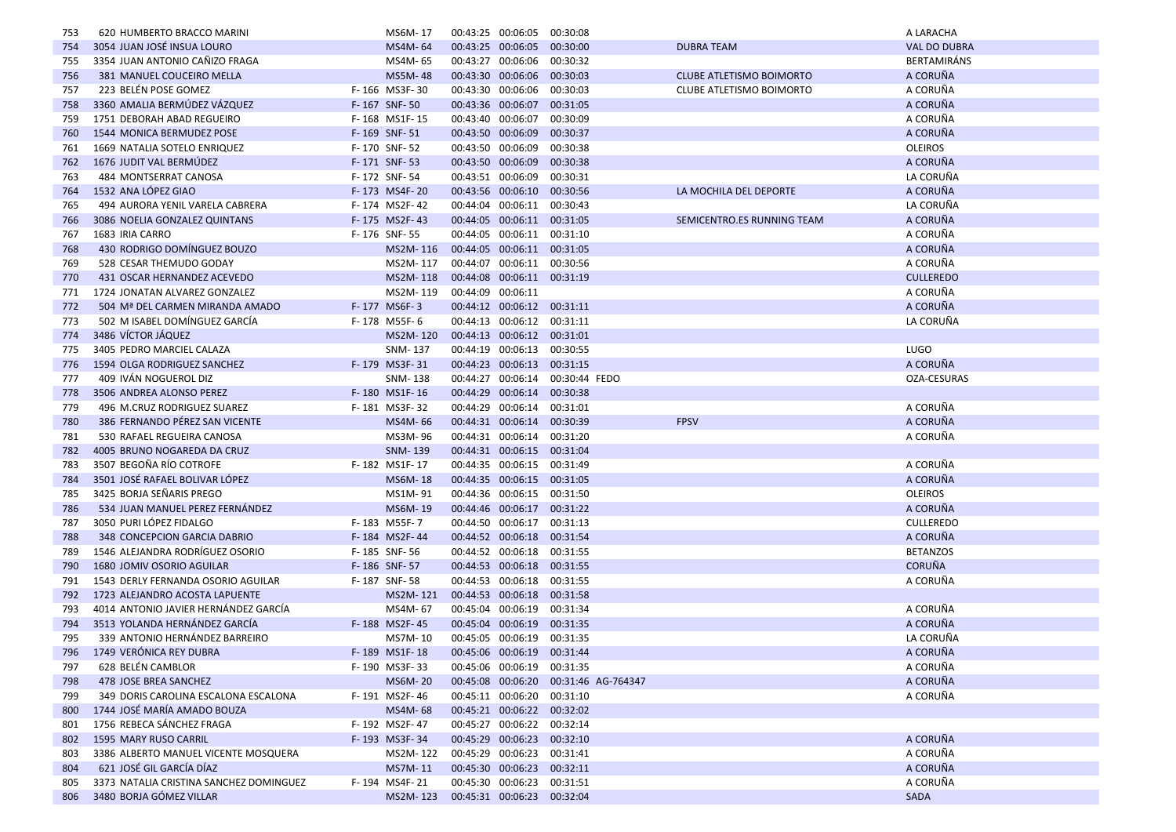| 753 | 620 HUMBERTO BRACCO MARINI                                          | MS6M-17                  | 00:43:25 00:06:05          |                            | 00:30:08                             |                                 | A LARACHA            |
|-----|---------------------------------------------------------------------|--------------------------|----------------------------|----------------------------|--------------------------------------|---------------------------------|----------------------|
| 754 | 3054 JUAN JOSÉ INSUA LOURO                                          | MS4M-64                  |                            | 00:43:25 00:06:05 00:30:00 |                                      | <b>DUBRA TEAM</b>               | <b>VAL DO DUBRA</b>  |
| 755 | 3354 JUAN ANTONIO CAÑIZO FRAGA                                      | MS4M-65                  |                            | 00:43:27 00:06:06 00:30:32 |                                      |                                 | <b>BERTAMIRÁNS</b>   |
| 756 | 381 MANUEL COUCEIRO MELLA                                           | MS5M-48                  | 00:43:30 00:06:06          |                            | 00:30:03                             | <b>CLUBE ATLETISMO BOIMORTO</b> | A CORUÑA             |
| 757 | 223 BELÉN POSE GOMEZ                                                | F-166 MS3F-30            |                            | 00:43:30 00:06:06 00:30:03 |                                      | <b>CLUBE ATLETISMO BOIMORTO</b> | A CORUÑA             |
| 758 | 3360 AMALIA BERMÚDEZ VÁZQUEZ                                        | F-167 SNF-50             |                            | 00:43:36 00:06:07 00:31:05 |                                      |                                 | A CORUÑA             |
| 759 | 1751 DEBORAH ABAD REGUEIRO                                          | F-168 MS1F-15            |                            | 00:43:40 00:06:07 00:30:09 |                                      |                                 | A CORUÑA             |
| 760 | 1544 MONICA BERMUDEZ POSE                                           | F-169 SNF-51             | 00:43:50 00:06:09          |                            | 00:30:37                             |                                 | A CORUÑA             |
| 761 | 1669 NATALIA SOTELO ENRIQUEZ                                        | F-170 SNF-52             |                            | 00:43:50 00:06:09 00:30:38 |                                      |                                 | <b>OLEIROS</b>       |
| 762 | 1676 JUDIT VAL BERMUDEZ                                             | F-171 SNF-53             | 00:43:50 00:06:09          |                            | 00:30:38                             |                                 | A CORUÑA             |
| 763 | 484 MONTSERRAT CANOSA                                               | F-172 SNF-54             | 00:43:51 00:06:09          |                            | 00:30:31                             |                                 | LA CORUÑA            |
| 764 | 1532 ANA LÓPEZ GIAO                                                 | F-173 MS4F-20            | 00:43:56 00:06:10          |                            | 00:30:56                             | LA MOCHILA DEL DEPORTE          | A CORUÑA             |
| 765 | 494 AURORA YENIL VARELA CABRERA                                     | F-174 MS2F-42            |                            | 00:44:04 00:06:11 00:30:43 |                                      |                                 | LA CORUÑA            |
| 766 | 3086 NOELIA GONZALEZ QUINTANS                                       | F-175 MS2F-43            |                            | 00:44:05 00:06:11 00:31:05 |                                      | SEMICENTRO.ES RUNNING TEAM      | A CORUÑA             |
| 767 | 1683 IRIA CARRO                                                     | F-176 SNF-55             |                            | 00:44:05 00:06:11 00:31:10 |                                      |                                 | A CORUÑA             |
| 768 | 430 RODRIGO DOMÍNGUEZ BOUZO                                         | MS2M-116                 |                            | 00:44:05 00:06:11 00:31:05 |                                      |                                 | A CORUÑA             |
| 769 | 528 CESAR THEMUDO GODAY                                             | MS2M-117                 |                            | 00:44:07 00:06:11 00:30:56 |                                      |                                 | A CORUÑA             |
| 770 | 431 OSCAR HERNANDEZ ACEVEDO                                         | MS2M-118                 |                            | 00:44:08 00:06:11 00:31:19 |                                      |                                 | <b>CULLEREDO</b>     |
| 771 | 1724 JONATAN ALVAREZ GONZALEZ                                       | MS2M-119                 | 00:44:09 00:06:11          |                            |                                      |                                 | A CORUÑA             |
| 772 | 504 Mª DEL CARMEN MIRANDA AMADO                                     | F-177 MS6F-3             |                            | 00:44:12 00:06:12 00:31:11 |                                      |                                 | A CORUÑA             |
| 773 | 502 M ISABEL DOMÍNGUEZ GARCÍA                                       | F-178 M55F-6             |                            | 00:44:13 00:06:12 00:31:11 |                                      |                                 | LA CORUÑA            |
| 774 | 3486 VÍCTOR JÁQUEZ                                                  | MS2M-120                 |                            | 00:44:13 00:06:12 00:31:01 |                                      |                                 |                      |
| 775 | 3405 PEDRO MARCIEL CALAZA                                           | SNM-137                  |                            | 00:44:19 00:06:13 00:30:55 |                                      |                                 | <b>LUGO</b>          |
| 776 | 1594 OLGA RODRIGUEZ SANCHEZ                                         | F-179 MS3F-31            |                            | 00:44:23 00:06:13 00:31:15 |                                      |                                 | A CORUÑA             |
| 777 | 409 IVÁN NOGUEROL DIZ                                               | SNM-138                  |                            |                            | 00:44:27 00:06:14 00:30:44 FEDO      |                                 | OZA-CESURAS          |
| 778 | 3506 ANDREA ALONSO PEREZ                                            | F-180 MS1F-16            |                            | 00:44:29 00:06:14 00:30:38 |                                      |                                 |                      |
| 779 | 496 M.CRUZ RODRIGUEZ SUAREZ                                         | F-181 MS3F-32            |                            | 00:44:29 00:06:14 00:31:01 |                                      |                                 | A CORUÑA             |
| 780 | 386 FERNANDO PÉREZ SAN VICENTE                                      | MS4M-66                  |                            | 00:44:31 00:06:14 00:30:39 |                                      | <b>FPSV</b>                     | A CORUÑA             |
| 781 | 530 RAFAEL REGUEIRA CANOSA                                          | MS3M-96                  |                            | 00:44:31 00:06:14 00:31:20 |                                      |                                 | A CORUÑA             |
| 782 | 4005 BRUNO NOGAREDA DA CRUZ                                         | SNM-139                  |                            | 00:44:31 00:06:15 00:31:04 |                                      |                                 |                      |
| 783 | 3507 BEGOÑA RÍO COTROFE                                             | F-182 MS1F-17            |                            | 00:44:35 00:06:15 00:31:49 |                                      |                                 | A CORUÑA             |
| 784 | 3501 JOSÉ RAFAEL BOLIVAR LÓPEZ                                      | MS6M-18                  |                            | 00:44:35 00:06:15 00:31:05 |                                      |                                 | A CORUÑA             |
| 785 | 3425 BORJA SEÑARIS PREGO                                            | MS1M-91                  |                            | 00:44:36 00:06:15 00:31:50 |                                      |                                 | <b>OLEIROS</b>       |
| 786 | 534 JUAN MANUEL PEREZ FERNÁNDEZ                                     | MS6M-19                  |                            | 00:44:46 00:06:17 00:31:22 |                                      |                                 | A CORUÑA             |
| 787 | 3050 PURI LÓPEZ FIDALGO                                             | F-183 M55F-7             |                            | 00:44:50 00:06:17 00:31:13 |                                      |                                 | <b>CULLEREDO</b>     |
| 788 | 348 CONCEPCION GARCIA DABRIO                                        | F-184 MS2F-44            |                            | 00:44:52 00:06:18 00:31:54 |                                      |                                 | A CORUÑA             |
| 789 | 1546 ALEJANDRA RODRÍGUEZ OSORIO                                     | F-185 SNF-56             |                            | 00:44:52 00:06:18 00:31:55 |                                      |                                 | <b>BETANZOS</b>      |
| 790 | 1680 JOMIV OSORIO AGUILAR                                           | F-186 SNF-57             |                            | 00:44:53 00:06:18 00:31:55 |                                      |                                 | <b>CORUÑA</b>        |
| 791 | 1543 DERLY FERNANDA OSORIO AGUILAR                                  | F-187 SNF-58             |                            | 00:44:53 00:06:18 00:31:55 |                                      |                                 | A CORUÑA             |
| 792 | 1723 ALEJANDRO ACOSTA LAPUENTE                                      | MS2M-121                 |                            | 00:44:53 00:06:18 00:31:58 |                                      |                                 |                      |
| 793 | 4014 ANTONIO JAVIER HERNÁNDEZ GARCÍA                                | MS4M-67                  |                            | 00:45:04 00:06:19 00:31:34 |                                      |                                 | A CORUÑA             |
| 794 | 3513 YOLANDA HERNÁNDEZ GARCÍA                                       | F-188 MS2F-45            |                            | 00:45:04 00:06:19          | 00:31:35                             |                                 | A CORUÑA             |
| 795 | 339 ANTONIO HERNÁNDEZ BARREIRO                                      | MS7M-10                  |                            | 00:45:05 00:06:19 00:31:35 |                                      |                                 | LA CORUÑA            |
|     | 796 1749 VERÓNICA REY DUBRA                                         | F-189 MS1F-18            |                            | 00:45:06 00:06:19 00:31:44 |                                      |                                 | A CORUÑA             |
| 797 | 628 BELÉN CAMBLOR                                                   | F-190 MS3F-33            |                            | 00:45:06 00:06:19 00:31:35 |                                      |                                 | A CORUÑA             |
| 798 | 478 JOSE BREA SANCHEZ                                               | <b>MS6M-20</b>           |                            |                            | 00:45:08 00:06:20 00:31:46 AG-764347 |                                 | A CORUÑA             |
| 799 | 349 DORIS CAROLINA ESCALONA ESCALONA                                | F-191 MS2F-46            |                            | 00:45:11 00:06:20 00:31:10 |                                      |                                 | A CORUÑA             |
| 800 | 1744 JOSÉ MARÍA AMADO BOUZA                                         | MS4M-68                  |                            | 00:45:21 00:06:22 00:32:02 |                                      |                                 |                      |
| 801 | 1756 REBECA SÁNCHEZ FRAGA                                           | F-192 MS2F-47            |                            | 00:45:27 00:06:22 00:32:14 |                                      |                                 |                      |
| 802 | 1595 MARY RUSO CARRIL                                               | F-193 MS3F-34            |                            | 00:45:29 00:06:23 00:32:10 |                                      |                                 | A CORUÑA             |
| 803 | 3386 ALBERTO MANUEL VICENTE MOSQUERA                                | MS2M-122                 |                            | 00:45:29 00:06:23 00:31:41 |                                      |                                 | A CORUÑA             |
| 804 |                                                                     |                          |                            |                            |                                      |                                 |                      |
|     |                                                                     |                          |                            |                            |                                      |                                 |                      |
| 805 | 621 JOSÉ GIL GARCÍA DÍAZ<br>3373 NATALIA CRISTINA SANCHEZ DOMINGUEZ | MS7M-11<br>F-194 MS4F-21 | 00:45:30 00:06:23 00:32:11 | 00:45:30 00:06:23 00:31:51 |                                      |                                 | A CORUÑA<br>A CORUÑA |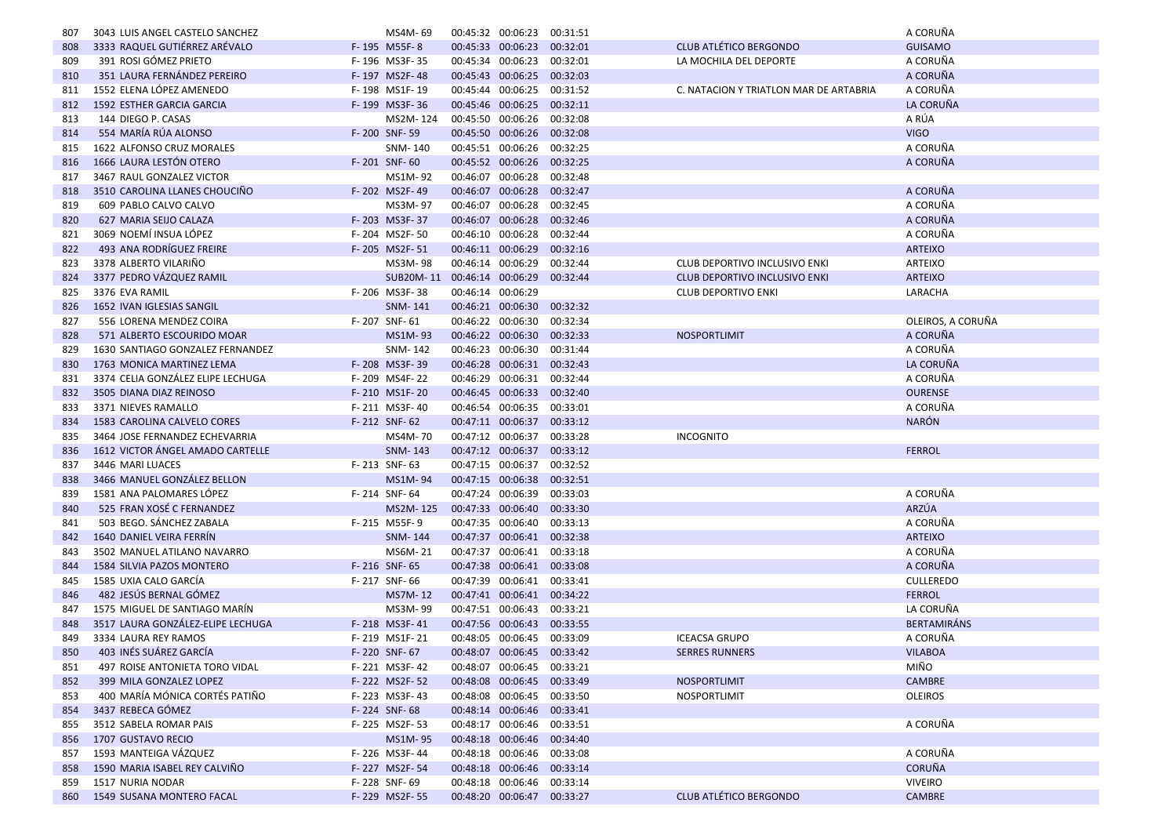| 807 | 3043 LUIS ANGEL CASTELO SANCHEZ   | MS4M-69                              |                   | 00:45:32 00:06:23          | 00:31:51 |                                        | A CORUÑA                      |
|-----|-----------------------------------|--------------------------------------|-------------------|----------------------------|----------|----------------------------------------|-------------------------------|
| 808 | 3333 RAQUEL GUTIÉRREZ ARÉVALO     | F-195 M55F-8                         |                   | 00:45:33 00:06:23 00:32:01 |          | <b>CLUB ATLÉTICO BERGONDO</b>          | <b>GUISAMO</b>                |
| 809 | 391 ROSI GÓMEZ PRIETO             | F-196 MS3F-35                        |                   | 00:45:34 00:06:23 00:32:01 |          | LA MOCHILA DEL DEPORTE                 | A CORUÑA                      |
| 810 | 351 LAURA FERNÁNDEZ PEREIRO       | F-197 MS2F-48                        |                   | 00:45:43 00:06:25 00:32:03 |          |                                        | A CORUÑA                      |
| 811 | 1552 ELENA LÓPEZ AMENEDO          | F-198 MS1F-19                        | 00:45:44 00:06:25 |                            | 00:31:52 | C. NATACION Y TRIATLON MAR DE ARTABRIA | A CORUÑA                      |
| 812 | <b>1592 ESTHER GARCIA GARCIA</b>  | F-199 MS3F-36                        |                   | 00:45:46 00:06:25 00:32:11 |          |                                        | LA CORUÑA                     |
| 813 | 144 DIEGO P. CASAS                | MS2M-124                             |                   | 00:45:50 00:06:26 00:32:08 |          |                                        | A RÚA                         |
| 814 | 554 MARÍA RÚA ALONSO              | F-200 SNF-59                         |                   | 00:45:50 00:06:26 00:32:08 |          |                                        | <b>VIGO</b>                   |
| 815 | 1622 ALFONSO CRUZ MORALES         | SNM-140                              |                   | 00:45:51 00:06:26 00:32:25 |          |                                        | A CORUÑA                      |
| 816 | 1666 LAURA LESTÓN OTERO           | F-201 SNF-60                         |                   | 00:45:52 00:06:26 00:32:25 |          |                                        | A CORUÑA                      |
| 817 | 3467 RAUL GONZALEZ VICTOR         | MS1M-92                              |                   | 00:46:07 00:06:28 00:32:48 |          |                                        |                               |
| 818 | 3510 CAROLINA LLANES CHOUCINO     | F-202 MS2F-49                        | 00:46:07 00:06:28 |                            | 00:32:47 |                                        | A CORUÑA                      |
| 819 | 609 PABLO CALVO CALVO             | MS3M-97                              |                   | 00:46:07 00:06:28 00:32:45 |          |                                        | A CORUÑA                      |
| 820 | 627 MARIA SEIJO CALAZA            | F-203 MS3F-37                        |                   | 00:46:07 00:06:28          | 00:32:46 |                                        | A CORUÑA                      |
| 821 | 3069 NOEMÍ INSUA LÓPEZ            | F-204 MS2F-50                        |                   | 00:46:10 00:06:28 00:32:44 |          |                                        | A CORUÑA                      |
| 822 | 493 ANA RODRÍGUEZ FREIRE          | F-205 MS2F-51                        | 00:46:11 00:06:29 |                            | 00:32:16 |                                        | <b>ARTEIXO</b>                |
| 823 | 3378 ALBERTO VILARIÑO             | MS3M-98                              |                   | 00:46:14 00:06:29          | 00:32:44 | CLUB DEPORTIVO INCLUSIVO ENKI          | ARTEIXO                       |
| 824 | 3377 PEDRO VÁZQUEZ RAMIL          | SUB20M-11 00:46:14 00:06:29 00:32:44 |                   |                            |          | <b>CLUB DEPORTIVO INCLUSIVO ENKI</b>   | <b>ARTEIXO</b>                |
|     | 3376 EVA RAMIL                    | F-206 MS3F-38                        | 00:46:14 00:06:29 |                            |          |                                        | LARACHA                       |
| 825 | 1652 IVAN IGLESIAS SANGIL         |                                      |                   |                            |          | <b>CLUB DEPORTIVO ENKI</b>             |                               |
| 826 |                                   | SNM-141                              |                   | 00:46:21 00:06:30 00:32:32 |          |                                        |                               |
| 827 | 556 LORENA MENDEZ COIRA           | F-207 SNF-61                         |                   | 00:46:22 00:06:30          | 00:32:34 |                                        | OLEIROS, A CORUÑA<br>A CORUÑA |
| 828 | 571 ALBERTO ESCOURIDO MOAR        | MS1M-93                              |                   | 00:46:22 00:06:30 00:32:33 |          | <b>NOSPORTLIMIT</b>                    |                               |
| 829 | 1630 SANTIAGO GONZALEZ FERNANDEZ  | SNM-142                              |                   | 00:46:23 00:06:30          | 00:31:44 |                                        | A CORUÑA                      |
| 830 | 1763 MONICA MARTINEZ LEMA         | F-208 MS3F-39                        |                   | 00:46:28 00:06:31 00:32:43 |          |                                        | LA CORUÑA                     |
| 831 | 3374 CELIA GONZÁLEZ ELIPE LECHUGA | F-209 MS4F-22                        |                   | 00:46:29 00:06:31 00:32:44 |          |                                        | A CORUÑA                      |
| 832 | 3505 DIANA DIAZ REINOSO           | F-210 MS1F-20                        |                   | 00:46:45 00:06:33 00:32:40 |          |                                        | <b>OURENSE</b>                |
| 833 | 3371 NIEVES RAMALLO               | F-211 MS3F-40                        |                   | 00:46:54 00:06:35 00:33:01 |          |                                        | A CORUÑA                      |
| 834 | 1583 CAROLINA CALVELO CORES       | F-212 SNF-62                         |                   | 00:47:11 00:06:37 00:33:12 |          |                                        | <b>NARÓN</b>                  |
| 835 | 3464 JOSE FERNANDEZ ECHEVARRIA    | MS4M-70                              |                   | 00:47:12 00:06:37 00:33:28 |          | <b>INCOGNITO</b>                       |                               |
| 836 | 1612 VICTOR ÁNGEL AMADO CARTELLE  | SNM-143                              |                   | 00:47:12 00:06:37 00:33:12 |          |                                        | <b>FERROL</b>                 |
| 837 | 3446 MARI LUACES                  | F-213 SNF-63                         |                   | 00:47:15 00:06:37 00:32:52 |          |                                        |                               |
| 838 | 3466 MANUEL GONZÁLEZ BELLON       | MS1M-94                              |                   | 00:47:15 00:06:38 00:32:51 |          |                                        |                               |
| 839 | 1581 ANA PALOMARES LÓPEZ          | F-214 SNF-64                         |                   | 00:47:24 00:06:39          | 00:33:03 |                                        | A CORUÑA                      |
| 840 | 525 FRAN XOSÉ C FERNANDEZ         | MS2M-125                             | 00:47:33 00:06:40 |                            | 00:33:30 |                                        | ARZÚA                         |
| 841 | 503 BEGO. SÁNCHEZ ZABALA          | F-215 M55F-9                         |                   | 00:47:35 00:06:40 00:33:13 |          |                                        | A CORUÑA                      |
| 842 | 1640 DANIEL VEIRA FERRIN          | SNM-144                              |                   | 00:47:37 00:06:41 00:32:38 |          |                                        | <b>ARTEIXO</b>                |
| 843 | 3502 MANUEL ATILANO NAVARRO       | MS6M-21                              |                   | 00:47:37 00:06:41 00:33:18 |          |                                        | A CORUÑA                      |
| 844 | 1584 SILVIA PAZOS MONTERO         | F-216 SNF-65                         |                   | 00:47:38 00:06:41 00:33:08 |          |                                        | A CORUÑA                      |
| 845 | 1585 UXIA CALO GARCÍA             | F-217 SNF-66                         |                   | 00:47:39 00:06:41 00:33:41 |          |                                        | <b>CULLEREDO</b>              |
| 846 | 482 JESÚS BERNAL GÓMEZ            | MS7M-12                              |                   | 00:47:41 00:06:41 00:34:22 |          |                                        | <b>FERROL</b>                 |
| 847 | 1575 MIGUEL DE SANTIAGO MARÍN     | MS3M-99                              | 00:47:51 00:06:43 |                            | 00:33:21 |                                        | LA CORUÑA                     |
| 848 | 3517 LAURA GONZÁLEZ-ELIPE LECHUGA | F-218 MS3F-41                        |                   | 00:47:56 00:06:43 00:33:55 |          |                                        | <b>BERTAMIRÁNS</b>            |
| 849 | 3334 LAURA REY RAMOS              | F-219 MS1F-21                        |                   | 00:48:05 00:06:45 00:33:09 |          | <b>ICEACSA GRUPO</b>                   | A CORUÑA                      |
| 850 | 403 INÉS SUÁREZ GARCÍA            | F-220 SNF-67                         |                   | 00:48:07 00:06:45 00:33:42 |          | <b>SERRES RUNNERS</b>                  | <b>VILABOA</b>                |
| 851 | 497 ROISE ANTONIETA TORO VIDAL    | F-221 MS3F-42                        |                   | 00:48:07 00:06:45 00:33:21 |          |                                        | MIÑO                          |
| 852 | 399 MILA GONZALEZ LOPEZ           | F-222 MS2F-52                        |                   | 00:48:08 00:06:45 00:33:49 |          | <b>NOSPORTLIMIT</b>                    | CAMBRE                        |
| 853 | 400 MARÍA MÓNICA CORTÉS PATIÑO    | F-223 MS3F-43                        |                   | 00:48:08 00:06:45 00:33:50 |          | NOSPORTLIMIT                           | <b>OLEIROS</b>                |
| 854 | 3437 REBECA GÓMEZ                 | F-224 SNF-68                         |                   | 00:48:14 00:06:46 00:33:41 |          |                                        |                               |
| 855 | 3512 SABELA ROMAR PAIS            | F-225 MS2F-53                        |                   | 00:48:17 00:06:46 00:33:51 |          |                                        | A CORUÑA                      |
|     | 856 1707 GUSTAVO RECIO            | MS1M-95                              |                   | 00:48:18 00:06:46 00:34:40 |          |                                        |                               |
| 857 | 1593 MANTEIGA VÁZQUEZ             | F-226 MS3F-44                        |                   | 00:48:18 00:06:46 00:33:08 |          |                                        | A CORUÑA                      |
| 858 | 1590 MARIA ISABEL REY CALVIÑO     | F-227 MS2F-54                        |                   | 00:48:18 00:06:46 00:33:14 |          |                                        | <b>CORUÑA</b>                 |
| 859 | 1517 NURIA NODAR                  | F-228 SNF-69                         |                   | 00:48:18 00:06:46 00:33:14 |          |                                        | <b>VIVEIRO</b>                |
|     | 860 1549 SUSANA MONTERO FACAL     | F-229 MS2F-55                        |                   | 00:48:20 00:06:47 00:33:27 |          | CLUB ATLÉTICO BERGONDO                 | CAMBRE                        |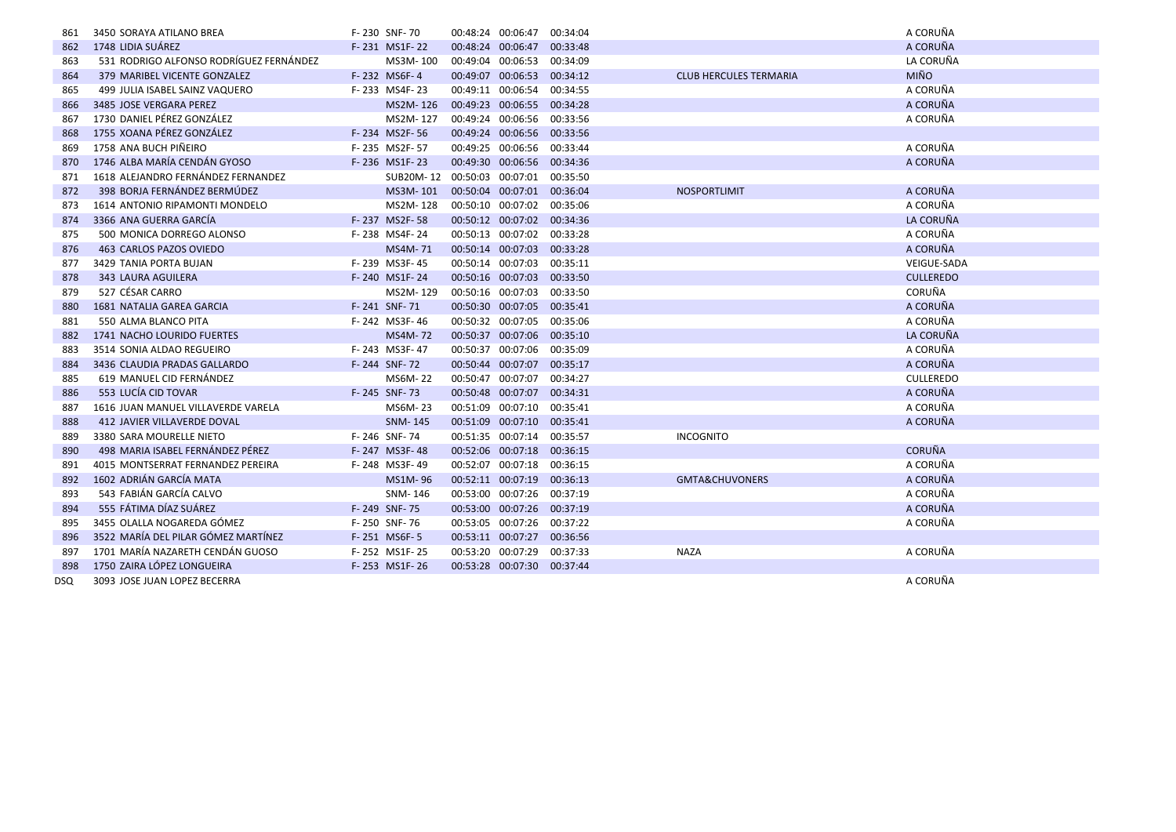| 861        | 3450 SORAYA ATILANO BREA                | F-230 SNF-70   |                             | 00:48:24 00:06:47 00:34:04 |          |                               | A CORUÑA         |
|------------|-----------------------------------------|----------------|-----------------------------|----------------------------|----------|-------------------------------|------------------|
| 862        | 1748 LIDIA SUÁREZ                       | F-231 MS1F-22  |                             | 00:48:24 00:06:47 00:33:48 |          |                               | A CORUÑA         |
| 863        | 531 RODRIGO ALFONSO RODRÍGUEZ FERNÁNDEZ | MS3M-100       |                             | 00:49:04 00:06:53          | 00:34:09 |                               | LA CORUÑA        |
| 864        | 379 MARIBEL VICENTE GONZALEZ            | F-232 MS6F-4   |                             | 00:49:07 00:06:53 00:34:12 |          | <b>CLUB HERCULES TERMARIA</b> | <b>MIÑO</b>      |
| 865        | 499 JULIA ISABEL SAINZ VAQUERO          | F-233 MS4F-23  | 00:49:11 00:06:54           |                            | 00:34:55 |                               | A CORUÑA         |
| 866        | 3485 JOSE VERGARA PEREZ                 | MS2M-126       |                             | 00:49:23 00:06:55 00:34:28 |          |                               | A CORUÑA         |
| 867        | 1730 DANIEL PÉREZ GONZÁLEZ              | MS2M-127       |                             | 00:49:24 00:06:56 00:33:56 |          |                               | A CORUÑA         |
| 868        | 1755 XOANA PÉREZ GONZÁLEZ               | F-234 MS2F-56  |                             | 00:49:24 00:06:56 00:33:56 |          |                               |                  |
| 869        | 1758 ANA BUCH PIÑEIRO                   | F-235 MS2F-57  |                             | 00:49:25 00:06:56 00:33:44 |          |                               | A CORUÑA         |
| 870        | 1746 ALBA MARÍA CENDÁN GYOSO            | F-236 MS1F-23  |                             | 00:49:30 00:06:56 00:34:36 |          |                               | A CORUÑA         |
| 871        | 1618 ALEJANDRO FERNÁNDEZ FERNANDEZ      |                | SUB20M-12 00:50:03 00:07:01 |                            | 00:35:50 |                               |                  |
| 872        | 398 BORJA FERNÁNDEZ BERMÚDEZ            | MS3M-101       |                             | 00:50:04 00:07:01 00:36:04 |          | <b>NOSPORTLIMIT</b>           | A CORUÑA         |
| 873        | 1614 ANTONIO RIPAMONTI MONDELO          | MS2M-128       |                             | 00:50:10 00:07:02 00:35:06 |          |                               | A CORUÑA         |
| 874        | 3366 ANA GUERRA GARCÍA                  | F-237 MS2F-58  |                             | 00:50:12 00:07:02 00:34:36 |          |                               | LA CORUÑA        |
| 875        | 500 MONICA DORREGO ALONSO               | F-238 MS4F-24  |                             | 00:50:13 00:07:02 00:33:28 |          |                               | A CORUÑA         |
| 876        | 463 CARLOS PAZOS OVIEDO                 | MS4M-71        |                             | 00:50:14 00:07:03 00:33:28 |          |                               | A CORUÑA         |
| 877        | 3429 TANIA PORTA BUJAN                  | F-239 MS3F-45  |                             | 00:50:14 00:07:03          | 00:35:11 |                               | VEIGUE-SADA      |
| 878        | <b>343 LAURA AGUILERA</b>               | F-240 MS1F-24  | 00:50:16 00:07:03           |                            | 00:33:50 |                               | <b>CULLEREDO</b> |
| 879        | 527 CÉSAR CARRO                         | MS2M-129       | 00:50:16 00:07:03           |                            | 00:33:50 |                               | CORUÑA           |
| 880        | 1681 NATALIA GAREA GARCIA               | F-241 SNF-71   |                             | 00:50:30 00:07:05 00:35:41 |          |                               | A CORUÑA         |
| 881        | 550 ALMA BLANCO PITA                    | F-242 MS3F-46  |                             | 00:50:32 00:07:05 00:35:06 |          |                               | A CORUÑA         |
| 882        | 1741 NACHO LOURIDO FUERTES              | <b>MS4M-72</b> |                             | 00:50:37 00:07:06 00:35:10 |          |                               | LA CORUÑA        |
| 883        | 3514 SONIA ALDAO REGUEIRO               | F-243 MS3F-47  |                             | 00:50:37 00:07:06 00:35:09 |          |                               | A CORUÑA         |
| 884        | 3436 CLAUDIA PRADAS GALLARDO            | F-244 SNF-72   | 00:50:44 00:07:07           |                            | 00:35:17 |                               | A CORUÑA         |
| 885        | 619 MANUEL CID FERNÁNDEZ                | MS6M-22        | 00:50:47 00:07:07           |                            | 00:34:27 |                               | <b>CULLEREDO</b> |
| 886        | 553 LUCÍA CID TOVAR                     | F-245 SNF-73   |                             | 00:50:48 00:07:07 00:34:31 |          |                               | A CORUÑA         |
| 887        | 1616 JUAN MANUEL VILLAVERDE VARELA      | MS6M-23        |                             | 00:51:09 00:07:10 00:35:41 |          |                               | A CORUÑA         |
| 888        | 412 JAVIER VILLAVERDE DOVAL             | <b>SNM-145</b> |                             | 00:51:09 00:07:10 00:35:41 |          |                               | A CORUÑA         |
| 889        | 3380 SARA MOURELLE NIETO                | F-246 SNF-74   |                             | 00:51:35 00:07:14          | 00:35:57 | <b>INCOGNITO</b>              |                  |
| 890        | 498 MARIA ISABEL FERNÁNDEZ PÉREZ        | F-247 MS3F-48  |                             | 00:52:06 00:07:18 00:36:15 |          |                               | <b>CORUÑA</b>    |
| 891        | 4015 MONTSERRAT FERNANDEZ PEREIRA       | F-248 MS3F-49  | 00:52:07 00:07:18           |                            | 00:36:15 |                               | A CORUÑA         |
| 892        | 1602 ADRIÁN GARCÍA MATA                 | MS1M-96        |                             | 00:52:11 00:07:19 00:36:13 |          | <b>GMTA&amp;CHUVONERS</b>     | A CORUÑA         |
| 893        | 543 FABIÁN GARCÍA CALVO                 | SNM-146        |                             | 00:53:00 00:07:26 00:37:19 |          |                               | A CORUÑA         |
| 894        | 555 FÁTIMA DÍAZ SUÁREZ                  | F-249 SNF-75   |                             | 00:53:00 00:07:26 00:37:19 |          |                               | A CORUÑA         |
| 895        | 3455 OLALLA NOGAREDA GÓMEZ              | F-250 SNF-76   |                             | 00:53:05 00:07:26 00:37:22 |          |                               | A CORUÑA         |
| 896        | 3522 MARÍA DEL PILAR GÓMEZ MARTÍNEZ     | F-251 MS6F-5   |                             | 00:53:11 00:07:27 00:36:56 |          |                               |                  |
| 897        | 1701 MARÍA NAZARETH CENDÁN GUOSO        | F-252 MS1F-25  |                             | 00:53:20 00:07:29          | 00:37:33 | <b>NAZA</b>                   | A CORUÑA         |
| 898        | 1750 ZAIRA LÓPEZ LONGUEIRA              | F-253 MS1F-26  |                             | 00:53:28 00:07:30 00:37:44 |          |                               |                  |
| <b>DSQ</b> | 3093 JOSE JUAN LOPEZ BECERRA            |                |                             |                            |          |                               | A CORUÑA         |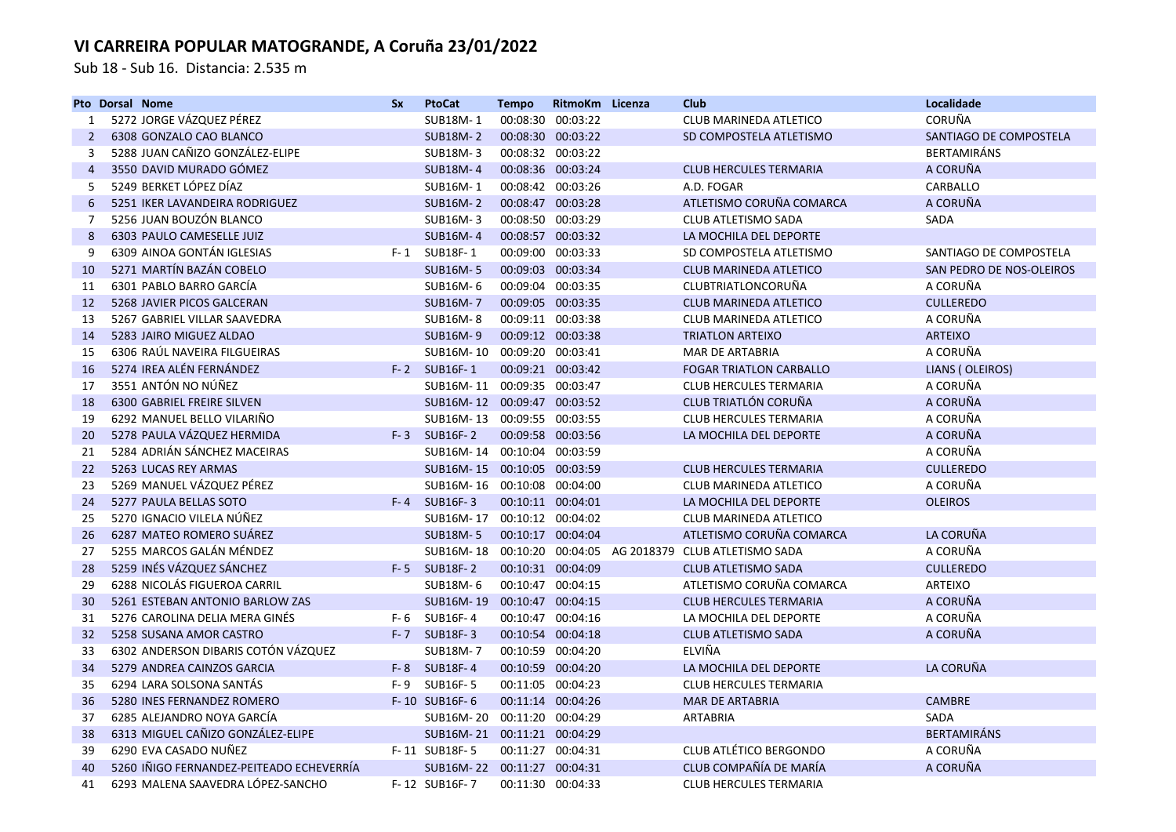Sub 18 - Sub 16. Distancia: 2.535 m

|                | <b>Pto Dorsal Nome</b>                   | <b>Sx</b> | <b>PtoCat</b>               | <b>Tempo</b> | RitmoKm Licenza   | Club                                                                | Localidade               |
|----------------|------------------------------------------|-----------|-----------------------------|--------------|-------------------|---------------------------------------------------------------------|--------------------------|
| 1              | 5272 JORGE VÁZQUEZ PÉREZ                 |           | SUB18M-1                    |              | 00:08:30 00:03:22 | CLUB MARINEDA ATLETICO                                              | CORUÑA                   |
| 2              | 6308 GONZALO CAO BLANCO                  |           | <b>SUB18M-2</b>             |              | 00:08:30 00:03:22 | SD COMPOSTELA ATLETISMO                                             | SANTIAGO DE COMPOSTELA   |
| 3              | 5288 JUAN CAÑIZO GONZÁLEZ-ELIPE          |           | <b>SUB18M-3</b>             |              | 00:08:32 00:03:22 |                                                                     | <b>BERTAMIRÁNS</b>       |
| $\overline{4}$ | 3550 DAVID MURADO GÓMEZ                  |           | <b>SUB18M-4</b>             |              | 00:08:36 00:03:24 | <b>CLUB HERCULES TERMARIA</b>                                       | A CORUÑA                 |
| 5              | 5249 BERKET LÓPEZ DÍAZ                   |           | SUB16M-1                    |              | 00:08:42 00:03:26 | A.D. FOGAR                                                          | CARBALLO                 |
| 6              | 5251 IKER LAVANDEIRA RODRIGUEZ           |           | <b>SUB16M-2</b>             |              | 00:08:47 00:03:28 | ATLETISMO CORUÑA COMARCA                                            | A CORUÑA                 |
| $\overline{7}$ | 5256 JUAN BOUZÓN BLANCO                  |           | <b>SUB16M-3</b>             |              | 00:08:50 00:03:29 | <b>CLUB ATLETISMO SADA</b>                                          | <b>SADA</b>              |
| 8              | 6303 PAULO CAMESELLE JUIZ                |           | <b>SUB16M-4</b>             |              | 00:08:57 00:03:32 | LA MOCHILA DEL DEPORTE                                              |                          |
| 9              | 6309 AINOA GONTÁN IGLESIAS               |           | F-1 SUB18F-1                |              | 00:09:00 00:03:33 | SD COMPOSTELA ATLETISMO                                             | SANTIAGO DE COMPOSTELA   |
| 10             | 5271 MARTÍN BAZÁN COBELO                 |           | <b>SUB16M-5</b>             |              | 00:09:03 00:03:34 | <b>CLUB MARINEDA ATLETICO</b>                                       | SAN PEDRO DE NOS-OLEIROS |
| 11             | 6301 PABLO BARRO GARCÍA                  |           | SUB16M-6                    |              | 00:09:04 00:03:35 | CLUBTRIATLONCORUÑA                                                  | A CORUÑA                 |
| 12             | 5268 JAVIER PICOS GALCERAN               |           | <b>SUB16M-7</b>             |              | 00:09:05 00:03:35 | <b>CLUB MARINEDA ATLETICO</b>                                       | <b>CULLEREDO</b>         |
| 13             | 5267 GABRIEL VILLAR SAAVEDRA             |           | <b>SUB16M-8</b>             |              | 00:09:11 00:03:38 | CLUB MARINEDA ATLETICO                                              | A CORUÑA                 |
| 14             | 5283 JAIRO MIGUEZ ALDAO                  |           | <b>SUB16M-9</b>             |              | 00:09:12 00:03:38 | <b>TRIATLON ARTEIXO</b>                                             | <b>ARTEIXO</b>           |
| 15             | 6306 RAÚL NAVEIRA FILGUEIRAS             |           | SUB16M-10 00:09:20 00:03:41 |              |                   | MAR DE ARTABRIA                                                     | A CORUÑA                 |
| 16             | 5274 IREA ALÉN FERNÁNDEZ                 |           | F-2 SUB16F-1                |              | 00:09:21 00:03:42 | <b>FOGAR TRIATLON CARBALLO</b>                                      | LIANS (OLEIROS)          |
| 17             | 3551 ANTÓN NO NÚÑEZ                      |           | SUB16M-11 00:09:35 00:03:47 |              |                   | <b>CLUB HERCULES TERMARIA</b>                                       | A CORUÑA                 |
| 18             | <b>6300 GABRIEL FREIRE SILVEN</b>        |           | SUB16M-12 00:09:47 00:03:52 |              |                   | <b>CLUB TRIATLÓN CORUÑA</b>                                         | A CORUÑA                 |
| 19             | 6292 MANUEL BELLO VILARIÑO               |           | SUB16M-13 00:09:55 00:03:55 |              |                   | <b>CLUB HERCULES TERMARIA</b>                                       | A CORUÑA                 |
| 20             | 5278 PAULA VÁZQUEZ HERMIDA               |           | F-3 SUB16F-2                |              | 00:09:58 00:03:56 | LA MOCHILA DEL DEPORTE                                              | A CORUÑA                 |
| 21             | 5284 ADRIÁN SÁNCHEZ MACEIRAS             |           | SUB16M-14 00:10:04 00:03:59 |              |                   |                                                                     | A CORUÑA                 |
| 22             | 5263 LUCAS REY ARMAS                     |           | SUB16M-15 00:10:05 00:03:59 |              |                   | <b>CLUB HERCULES TERMARIA</b>                                       | <b>CULLEREDO</b>         |
| 23             | 5269 MANUEL VÁZQUEZ PÉREZ                |           | SUB16M-16 00:10:08 00:04:00 |              |                   | <b>CLUB MARINEDA ATLETICO</b>                                       | A CORUÑA                 |
| 24             | 5277 PAULA BELLAS SOTO                   | F-4       | <b>SUB16F-3</b>             |              | 00:10:11 00:04:01 | LA MOCHILA DEL DEPORTE                                              | <b>OLEIROS</b>           |
| 25             | 5270 IGNACIO VILELA NÚÑEZ                |           | SUB16M-17 00:10:12 00:04:02 |              |                   | CLUB MARINEDA ATLETICO                                              |                          |
| 26             | 6287 MATEO ROMERO SUÁREZ                 |           | <b>SUB18M-5</b>             |              | 00:10:17 00:04:04 | ATLETISMO CORUÑA COMARCA                                            | LA CORUÑA                |
| 27             | 5255 MARCOS GALÁN MÉNDEZ                 |           |                             |              |                   | SUB16M-18  00:10:20  00:04:05  AG  2018379  CLUB  ATLETISMO    SADA | A CORUÑA                 |
| 28             | 5259 INÉS VÁZQUEZ SÁNCHEZ                |           | F-5 SUB18F-2                |              | 00:10:31 00:04:09 | <b>CLUB ATLETISMO SADA</b>                                          | <b>CULLEREDO</b>         |
| 29             | 6288 NICOLÁS FIGUEROA CARRIL             |           | SUB18M-6                    |              | 00:10:47 00:04:15 | ATLETISMO CORUÑA COMARCA                                            | <b>ARTEIXO</b>           |
| 30             | 5261 ESTEBAN ANTONIO BARLOW ZAS          |           | SUB16M-19 00:10:47 00:04:15 |              |                   | <b>CLUB HERCULES TERMARIA</b>                                       | A CORUÑA                 |
| 31             | 5276 CAROLINA DELIA MERA GINÉS           |           | $F-6$ SUB16F-4              |              | 00:10:47 00:04:16 | LA MOCHILA DEL DEPORTE                                              | A CORUÑA                 |
| 32             | 5258 SUSANA AMOR CASTRO                  | $F - 7$   | <b>SUB18F-3</b>             |              | 00:10:54 00:04:18 | <b>CLUB ATLETISMO SADA</b>                                          | A CORUÑA                 |
| 33             | 6302 ANDERSON DIBARIS COTÓN VÁZQUEZ      |           | <b>SUB18M-7</b>             |              | 00:10:59 00:04:20 | ELVIÑA                                                              |                          |
| 34             | 5279 ANDREA CAINZOS GARCIA               | $F - 8$   | SUB18F-4                    |              | 00:10:59 00:04:20 | LA MOCHILA DEL DEPORTE                                              | LA CORUÑA                |
| 35             | 6294 LARA SOLSONA SANTÁS                 | $F - 9$   | SUB16F-5                    |              | 00:11:05 00:04:23 | <b>CLUB HERCULES TERMARIA</b>                                       |                          |
| 36             | 5280 INES FERNANDEZ ROMERO               |           | F-10 SUB16F-6               |              | 00:11:14 00:04:26 | <b>MAR DE ARTABRIA</b>                                              | <b>CAMBRE</b>            |
| 37             | 6285 ALEJANDRO NOYA GARCÍA               |           | SUB16M-20 00:11:20 00:04:29 |              |                   | ARTABRIA                                                            | SADA                     |
| 38             | 6313 MIGUEL CAÑIZO GONZÁLEZ-ELIPE        |           | SUB16M-21 00:11:21 00:04:29 |              |                   |                                                                     | <b>BERTAMIRÁNS</b>       |
| 39             | 6290 EVA CASADO NUÑEZ                    |           | F-11 SUB18F-5               |              | 00:11:27 00:04:31 | CLUB ATLÉTICO BERGONDO                                              | A CORUÑA                 |
| 40             | 5260 IÑIGO FERNANDEZ-PEITEADO ECHEVERRÍA |           | SUB16M-22 00:11:27 00:04:31 |              |                   | CLUB COMPAÑÍA DE MARÍA                                              | A CORUÑA                 |
| 41             | 6293 MALENA SAAVEDRA LÓPEZ-SANCHO        |           | F-12 SUB16F-7               |              | 00:11:30 00:04:33 | <b>CLUB HERCULES TERMARIA</b>                                       |                          |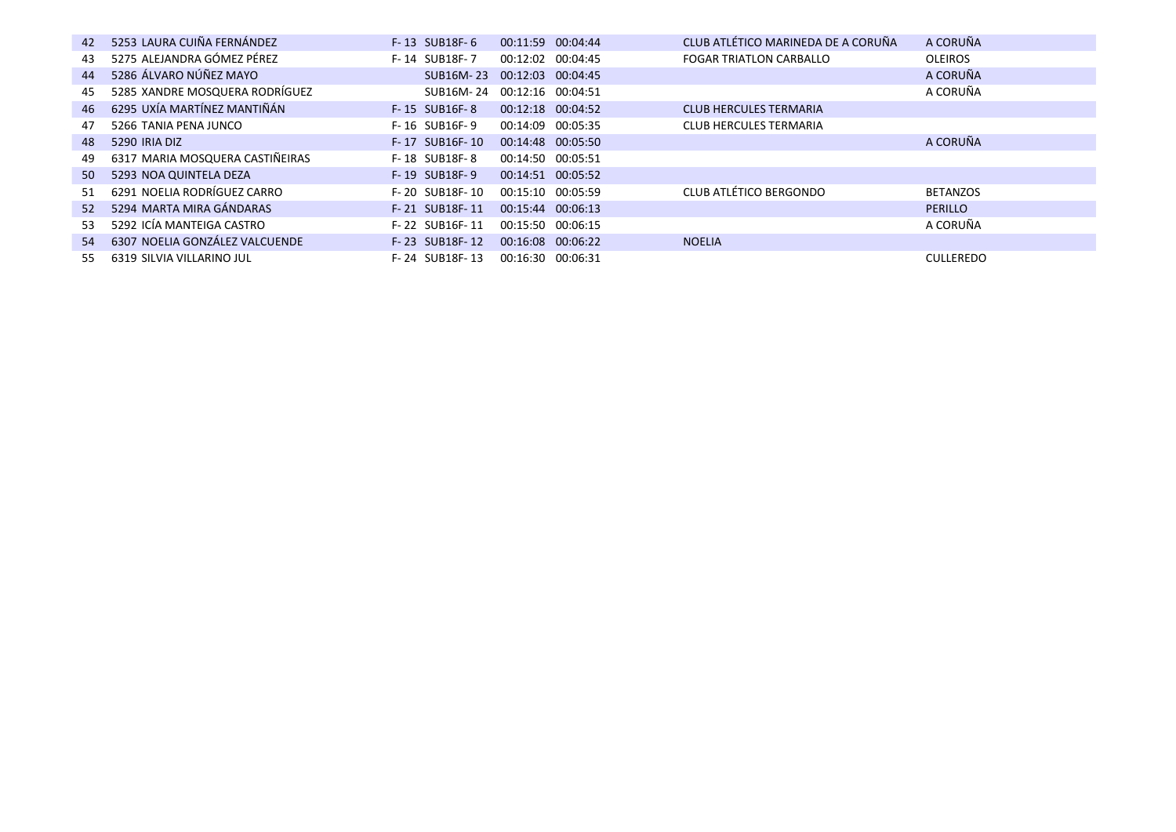| 42 | 5253 LAURA CUIÑA FERNÁNDEZ      | F-13 SUB18F-6  | 00:11:59 00:04:44           | CLUB ATLÉTICO MARINEDA DE A CORUÑA | A CORUÑA         |
|----|---------------------------------|----------------|-----------------------------|------------------------------------|------------------|
| 43 | 5275 ALEJANDRA GÓMEZ PÉREZ      | F-14 SUB18F-7  | 00:12:02 00:04:45           | <b>FOGAR TRIATLON CARBALLO</b>     | <b>OLEIROS</b>   |
| 44 | 5286 ÁLVARO NÚÑEZ MAYO          |                | SUB16M-23 00:12:03 00:04:45 |                                    | A CORUÑA         |
| 45 | 5285 XANDRE MOSQUERA RODRÍGUEZ  |                | SUB16M-24 00:12:16 00:04:51 |                                    | A CORUÑA         |
| 46 | 6295 UXÍA MARTÍNEZ MANTIÑÁN     | F-15 SUB16F-8  | 00:12:18 00:04:52           | <b>CLUB HERCULES TERMARIA</b>      |                  |
| 47 | 5266 TANIA PENA JUNCO           | F-16 SUB16F-9  | 00:14:09 00:05:35           | <b>CLUB HERCULES TERMARIA</b>      |                  |
| 48 | 5290 IRIA DIZ                   | F-17 SUB16F-10 | 00:14:48 00:05:50           |                                    | A CORUÑA         |
| 49 | 6317 MARIA MOSQUERA CASTIÑEIRAS | F-18 SUB18F-8  | 00:14:50 00:05:51           |                                    |                  |
| 50 | 5293 NOA QUINTELA DEZA          | F-19 SUB18F-9  | 00:14:51 00:05:52           |                                    |                  |
| 51 | 6291 NOELIA RODRÍGUEZ CARRO     | F-20 SUB18F-10 | 00:15:10 00:05:59           | <b>CLUB ATLÉTICO BERGONDO</b>      | <b>BETANZOS</b>  |
| 52 | 5294 MARTA MIRA GÁNDARAS        | F-21 SUB18F-11 | 00:15:44 00:06:13           |                                    | <b>PERILLO</b>   |
| 53 | 5292 ICÍA MANTEIGA CASTRO       | F-22 SUB16F-11 | 00:15:50 00:06:15           |                                    | A CORUÑA         |
| 54 | 6307 NOELIA GONZÁLEZ VALCUENDE  | F-23 SUB18F-12 | 00:16:08 00:06:22           | <b>NOELIA</b>                      |                  |
| 55 | 6319 SILVIA VILLARINO JUL       | F-24 SUB18F-13 | 00:16:30 00:06:31           |                                    | <b>CULLEREDO</b> |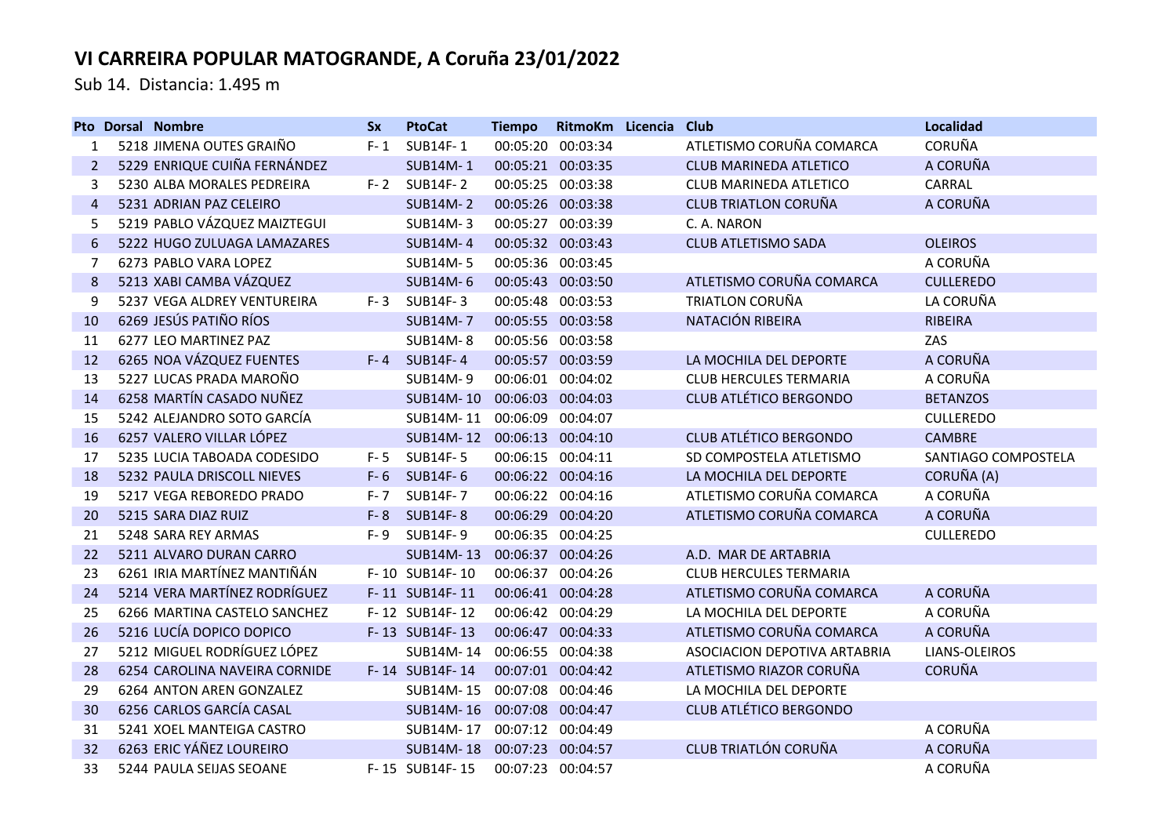Sub 14. Distancia: 1.495 m

|                | <b>Pto Dorsal Nombre</b>      | <b>Sx</b> | <b>PtoCat</b>    | <b>Tiempo</b>     | RitmoKm Licencia  | Club                          | <b>Localidad</b>    |
|----------------|-------------------------------|-----------|------------------|-------------------|-------------------|-------------------------------|---------------------|
| 1              | 5218 JIMENA OUTES GRAIÑO      | $F - 1$   | SUB14F-1         |                   | 00:05:20 00:03:34 | ATLETISMO CORUÑA COMARCA      | <b>CORUÑA</b>       |
| 2              | 5229 ENRIQUE CUIÑA FERNÁNDEZ  |           | <b>SUB14M-1</b>  |                   | 00:05:21 00:03:35 | <b>CLUB MARINEDA ATLETICO</b> | A CORUÑA            |
| 3              | 5230 ALBA MORALES PEDREIRA    | $F - 2$   | <b>SUB14F-2</b>  |                   | 00:05:25 00:03:38 | <b>CLUB MARINEDA ATLETICO</b> | CARRAL              |
| $\overline{4}$ | 5231 ADRIAN PAZ CELEIRO       |           | <b>SUB14M-2</b>  |                   | 00:05:26 00:03:38 | <b>CLUB TRIATLON CORUÑA</b>   | A CORUÑA            |
| 5              | 5219 PABLO VÁZQUEZ MAIZTEGUI  |           | SUB14M-3         |                   | 00:05:27 00:03:39 | C. A. NARON                   |                     |
| 6              | 5222 HUGO ZULUAGA LAMAZARES   |           | <b>SUB14M-4</b>  |                   | 00:05:32 00:03:43 | <b>CLUB ATLETISMO SADA</b>    | <b>OLEIROS</b>      |
| 7              | 6273 PABLO VARA LOPEZ         |           | <b>SUB14M-5</b>  |                   | 00:05:36 00:03:45 |                               | A CORUÑA            |
| 8              | 5213 XABI CAMBA VÁZQUEZ       |           | <b>SUB14M-6</b>  |                   | 00:05:43 00:03:50 | ATLETISMO CORUÑA COMARCA      | <b>CULLEREDO</b>    |
| 9              | 5237 VEGA ALDREY VENTUREIRA   | $F - 3$   | SUB14F-3         |                   | 00:05:48 00:03:53 | <b>TRIATLON CORUÑA</b>        | LA CORUÑA           |
| 10             | 6269 JESÚS PATIÑO RÍOS        |           | <b>SUB14M-7</b>  |                   | 00:05:55 00:03:58 | NATACIÓN RIBEIRA              | <b>RIBEIRA</b>      |
| 11             | 6277 LEO MARTINEZ PAZ         |           | <b>SUB14M-8</b>  |                   | 00:05:56 00:03:58 |                               | ZAS                 |
| 12             | 6265 NOA VÁZQUEZ FUENTES      | $F - 4$   | <b>SUB14F-4</b>  |                   | 00:05:57 00:03:59 | LA MOCHILA DEL DEPORTE        | A CORUÑA            |
| 13             | 5227 LUCAS PRADA MAROÑO       |           | SUB14M-9         |                   | 00:06:01 00:04:02 | <b>CLUB HERCULES TERMARIA</b> | A CORUÑA            |
| 14             | 6258 MARTÍN CASADO NUÑEZ      |           | SUB14M-10        | 00:06:03 00:04:03 |                   | <b>CLUB ATLÉTICO BERGONDO</b> | <b>BETANZOS</b>     |
| 15             | 5242 ALEJANDRO SOTO GARCÍA    |           | SUB14M-11        |                   | 00:06:09 00:04:07 |                               | <b>CULLEREDO</b>    |
| 16             | 6257 VALERO VILLAR LÓPEZ      |           | SUB14M-12        |                   | 00:06:13 00:04:10 | <b>CLUB ATLÉTICO BERGONDO</b> | <b>CAMBRE</b>       |
| 17             | 5235 LUCIA TABOADA CODESIDO   | F-5       | <b>SUB14F-5</b>  |                   | 00:06:15 00:04:11 | SD COMPOSTELA ATLETISMO       | SANTIAGO COMPOSTELA |
| 18             | 5232 PAULA DRISCOLL NIEVES    | $F - 6$   | SUB14F-6         |                   | 00:06:22 00:04:16 | LA MOCHILA DEL DEPORTE        | CORUÑA (A)          |
| 19             | 5217 VEGA REBOREDO PRADO      | $F - 7$   | SUB14F-7         |                   | 00:06:22 00:04:16 | ATLETISMO CORUÑA COMARCA      | A CORUÑA            |
| 20             | 5215 SARA DIAZ RUIZ           | $F - 8$   | <b>SUB14F-8</b>  |                   | 00:06:29 00:04:20 | ATLETISMO CORUÑA COMARCA      | A CORUÑA            |
| 21             | 5248 SARA REY ARMAS           | $F-9$     | SUB14F-9         |                   | 00:06:35 00:04:25 |                               | <b>CULLEREDO</b>    |
| 22             | 5211 ALVARO DURAN CARRO       |           | SUB14M-13        |                   | 00:06:37 00:04:26 | A.D. MAR DE ARTABRIA          |                     |
| 23             | 6261 IRIA MARTÍNEZ MANTIÑÁN   |           | F-10 SUB14F-10   | 00:06:37          | 00:04:26          | <b>CLUB HERCULES TERMARIA</b> |                     |
| 24             | 5214 VERA MARTÍNEZ RODRÍGUEZ  |           | F-11 SUB14F-11   |                   | 00:06:41 00:04:28 | ATLETISMO CORUÑA COMARCA      | A CORUÑA            |
| 25             | 6266 MARTINA CASTELO SANCHEZ  |           | F-12 SUB14F-12   |                   | 00:06:42 00:04:29 | LA MOCHILA DEL DEPORTE        | A CORUÑA            |
| 26             | 5216 LUCÍA DOPICO DOPICO      |           | F-13 SUB14F-13   |                   | 00:06:47 00:04:33 | ATLETISMO CORUÑA COMARCA      | A CORUÑA            |
| 27             | 5212 MIGUEL RODRÍGUEZ LÓPEZ   |           | SUB14M-14        |                   | 00:06:55 00:04:38 | ASOCIACION DEPOTIVA ARTABRIA  | LIANS-OLEIROS       |
| 28             | 6254 CAROLINA NAVEIRA CORNIDE |           | F-14 SUB14F-14   |                   | 00:07:01 00:04:42 | ATLETISMO RIAZOR CORUÑA       | <b>CORUÑA</b>       |
| 29             | 6264 ANTON AREN GONZALEZ      |           | SUB14M-15        |                   | 00:07:08 00:04:46 | LA MOCHILA DEL DEPORTE        |                     |
| 30             | 6256 CARLOS GARCÍA CASAL      |           | SUB14M-16        | 00:07:08 00:04:47 |                   | <b>CLUB ATLÉTICO BERGONDO</b> |                     |
| 31             | 5241 XOEL MANTEIGA CASTRO     |           | SUB14M-17        |                   | 00:07:12 00:04:49 |                               | A CORUÑA            |
| 32             | 6263 ERIC YÁÑEZ LOUREIRO      |           | <b>SUB14M-18</b> |                   | 00:07:23 00:04:57 | <b>CLUB TRIATLÓN CORUÑA</b>   | A CORUÑA            |
| 33             | 5244 PAULA SEIJAS SEOANE      |           | F-15 SUB14F-15   |                   | 00:07:23 00:04:57 |                               | A CORUÑA            |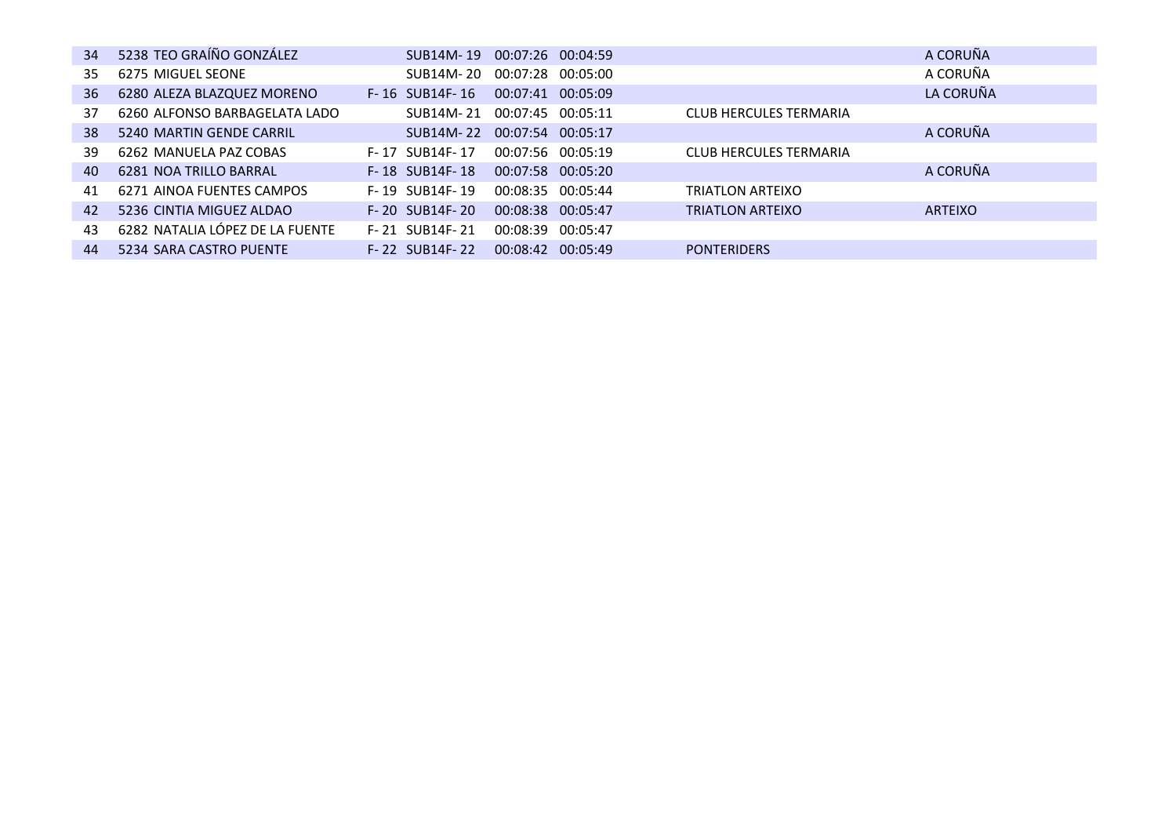| 34 | 5238 TEO GRAÍÑO GONZÁLEZ        |                    | SUB14M-19 00:07:26 00:04:59 |                               | A CORUÑA       |
|----|---------------------------------|--------------------|-----------------------------|-------------------------------|----------------|
| 35 | 6275 MIGUEL SEONE               | SUB14M-20          | 00:07:28<br>00:05:00        |                               | A CORUÑA       |
| 36 | 6280 ALEZA BLAZQUEZ MORENO      | $F - 16$ SUB14F-16 | 00:07:41 00:05:09           |                               | LA CORUÑA      |
| 37 | 6260 ALFONSO BARBAGELATA LADO   | SUB14M-21          | 00:07:45 00:05:11           | CLUB HERCULES TERMARIA        |                |
| 38 | 5240 MARTIN GENDE CARRIL        | SUB14M-22          | 00:07:54 00:05:17           |                               | A CORUÑA       |
| 39 | 6262 MANUELA PAZ COBAS          | F-17 SUB14F-17     | 00:07:56 00:05:19           | <b>CLUB HERCULES TERMARIA</b> |                |
| 40 | 6281 NOA TRILLO BARRAL          | F-18 SUB14F-18     | 00:07:58 00:05:20           |                               | A CORUÑA       |
| 41 | 6271 AINOA FUENTES CAMPOS       | F-19 SUB14F-19     | 00:08:35 00:05:44           | TRIATLON ARTEIXO              |                |
| 42 | 5236 CINTIA MIGUEZ ALDAO        | F-20 SUB14F-20     | 00:08:38 00:05:47           | <b>TRIATLON ARTEIXO</b>       | <b>ARTEIXO</b> |
| 43 | 6282 NATALIA LÓPEZ DE LA FUENTE | F-21 SUB14F-21     | 00:08:39<br>00:05:47        |                               |                |
| 44 | 5234 SARA CASTRO PUENTE         | F-22 SUB14F-22     | 00:08:42<br>00:05:49        | <b>PONTERIDERS</b>            |                |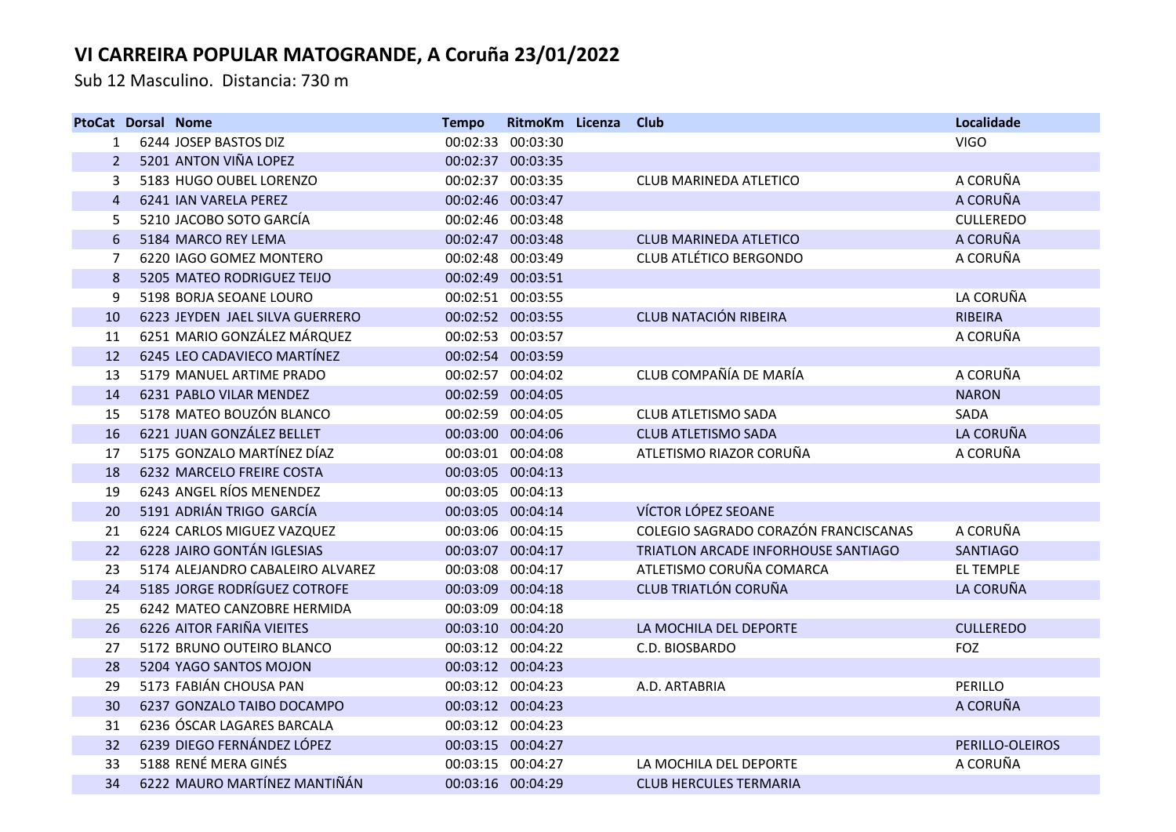Sub 12 Masculino. Distancia: 730 m

|                | <b>PtoCat Dorsal Nome</b> |                                  | <b>Tempo</b>      | RitmoKm Licenza   | Club                                 | Localidade       |
|----------------|---------------------------|----------------------------------|-------------------|-------------------|--------------------------------------|------------------|
| 1              |                           | 6244 JOSEP BASTOS DIZ            |                   | 00:02:33 00:03:30 |                                      | <b>VIGO</b>      |
|                |                           | 5201 ANTON VIÑA LOPEZ            |                   | 00:02:37 00:03:35 |                                      |                  |
| 3              |                           | 5183 HUGO OUBEL LORENZO          |                   | 00:02:37 00:03:35 | CLUB MARINEDA ATLETICO               | A CORUÑA         |
| $\overline{4}$ |                           | 6241 IAN VARELA PEREZ            |                   | 00:02:46 00:03:47 |                                      | A CORUÑA         |
| 5              |                           | 5210 JACOBO SOTO GARCÍA          |                   | 00:02:46 00:03:48 |                                      | <b>CULLEREDO</b> |
| 6              |                           | 5184 MARCO REY LEMA              |                   | 00:02:47 00:03:48 | <b>CLUB MARINEDA ATLETICO</b>        | A CORUÑA         |
| 7              |                           | 6220 IAGO GOMEZ MONTERO          |                   | 00:02:48 00:03:49 | <b>CLUB ATLÉTICO BERGONDO</b>        | A CORUÑA         |
| 8              |                           | 5205 MATEO RODRIGUEZ TEIJO       |                   | 00:02:49 00:03:51 |                                      |                  |
| 9              |                           | 5198 BORJA SEOANE LOURO          |                   | 00:02:51 00:03:55 |                                      | LA CORUÑA        |
| 10             |                           | 6223 JEYDEN JAEL SILVA GUERRERO  |                   | 00:02:52 00:03:55 | <b>CLUB NATACIÓN RIBEIRA</b>         | <b>RIBEIRA</b>   |
| 11             |                           | 6251 MARIO GONZÁLEZ MÁRQUEZ      |                   | 00:02:53 00:03:57 |                                      | A CORUÑA         |
| 12             |                           | 6245 LEO CADAVIECO MARTÍNEZ      |                   | 00:02:54 00:03:59 |                                      |                  |
| 13             |                           | 5179 MANUEL ARTIME PRADO         |                   | 00:02:57 00:04:02 | CLUB COMPAÑÍA DE MARÍA               | A CORUÑA         |
| 14             |                           | 6231 PABLO VILAR MENDEZ          |                   | 00:02:59 00:04:05 |                                      | <b>NARON</b>     |
| 15             |                           | 5178 MATEO BOUZÓN BLANCO         |                   | 00:02:59 00:04:05 | CLUB ATLETISMO SADA                  | SADA             |
| 16             |                           | 6221 JUAN GONZÁLEZ BELLET        |                   | 00:03:00 00:04:06 | <b>CLUB ATLETISMO SADA</b>           | LA CORUÑA        |
| 17             |                           | 5175 GONZALO MARTÍNEZ DÍAZ       |                   | 00:03:01 00:04:08 | ATLETISMO RIAZOR CORUÑA              | A CORUÑA         |
| 18             |                           | 6232 MARCELO FREIRE COSTA        |                   | 00:03:05 00:04:13 |                                      |                  |
| 19             |                           | 6243 ANGEL RÍOS MENENDEZ         |                   | 00:03:05 00:04:13 |                                      |                  |
| 20             |                           | 5191 ADRIÁN TRIGO GARCÍA         | 00:03:05 00:04:14 |                   | VÍCTOR LÓPEZ SEOANE                  |                  |
| 21             |                           | 6224 CARLOS MIGUEZ VAZQUEZ       |                   | 00:03:06 00:04:15 | COLEGIO SAGRADO CORAZÓN FRANCISCANAS | A CORUÑA         |
| 22             |                           | 6228 JAIRO GONTÁN IGLESIAS       |                   | 00:03:07 00:04:17 | TRIATLON ARCADE INFORHOUSE SANTIAGO  | <b>SANTIAGO</b>  |
| 23             |                           | 5174 ALEJANDRO CABALEIRO ALVAREZ |                   | 00:03:08 00:04:17 | ATLETISMO CORUÑA COMARCA             | <b>EL TEMPLE</b> |
| 24             |                           | 5185 JORGE RODRÍGUEZ COTROFE     |                   | 00:03:09 00:04:18 | <b>CLUB TRIATLÓN CORUÑA</b>          | LA CORUÑA        |
| 25             |                           | 6242 MATEO CANZOBRE HERMIDA      |                   | 00:03:09 00:04:18 |                                      |                  |
| 26             |                           | 6226 AITOR FARIÑA VIEITES        |                   | 00:03:10 00:04:20 | LA MOCHILA DEL DEPORTE               | <b>CULLEREDO</b> |
| 27             |                           | 5172 BRUNO OUTEIRO BLANCO        |                   | 00:03:12 00:04:22 | C.D. BIOSBARDO                       | FOZ              |
| 28             |                           | 5204 YAGO SANTOS MOJON           |                   | 00:03:12 00:04:23 |                                      |                  |
| 29             |                           | 5173 FABIÁN CHOUSA PAN           |                   | 00:03:12 00:04:23 | A.D. ARTABRIA                        | PERILLO          |
| 30             |                           | 6237 GONZALO TAIBO DOCAMPO       |                   | 00:03:12 00:04:23 |                                      | A CORUÑA         |
| 31             |                           | 6236 ÓSCAR LAGARES BARCALA       |                   | 00:03:12 00:04:23 |                                      |                  |
| 32             |                           | 6239 DIEGO FERNÁNDEZ LÓPEZ       |                   | 00:03:15 00:04:27 |                                      | PERILLO-OLEIROS  |
| 33             |                           | 5188 RENÉ MERA GINÉS             |                   | 00:03:15 00:04:27 | LA MOCHILA DEL DEPORTE               | A CORUÑA         |
| 34             |                           | 6222 MAURO MARTÍNEZ MANTIÑÁN     | 00:03:16 00:04:29 |                   | <b>CLUB HERCULES TERMARIA</b>        |                  |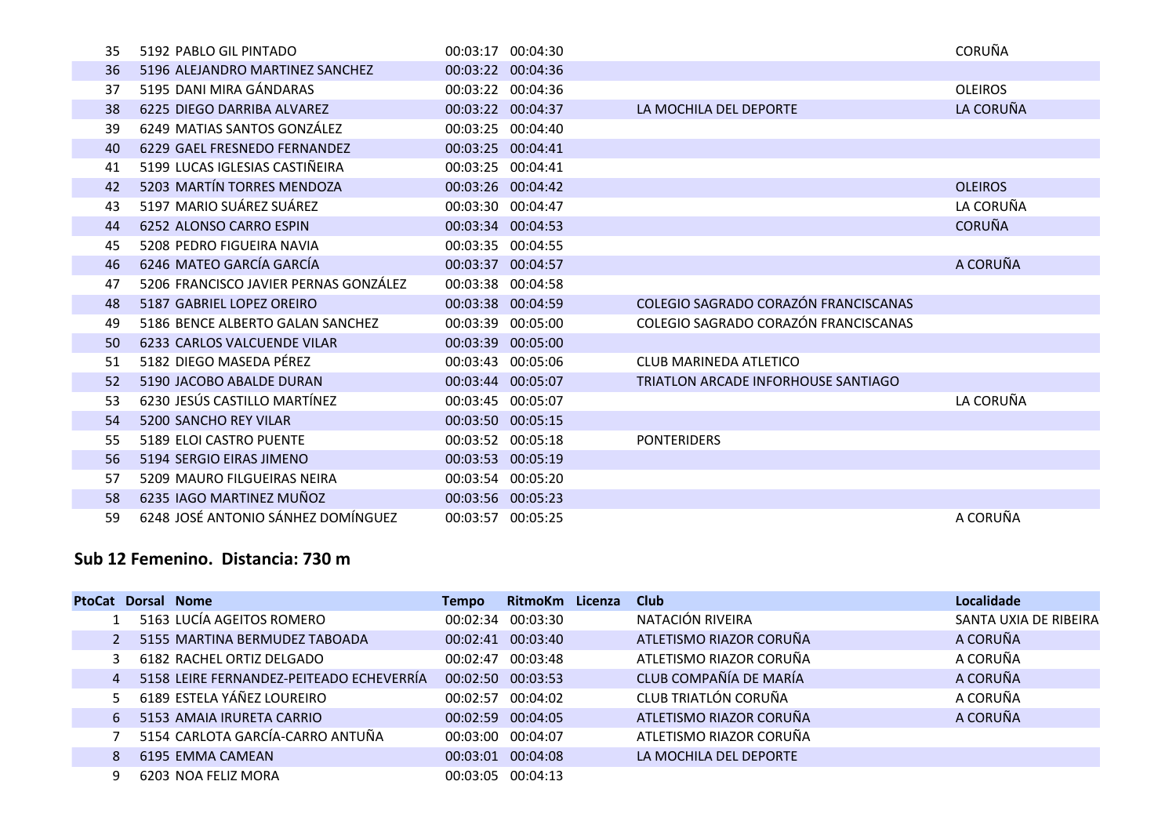| 35 | 5192 PABLO GIL PINTADO                | 00:03:17 00:04:30 |                                      | CORUÑA         |
|----|---------------------------------------|-------------------|--------------------------------------|----------------|
| 36 | 5196 ALEJANDRO MARTINEZ SANCHEZ       | 00:03:22 00:04:36 |                                      |                |
| 37 | 5195 DANI MIRA GÁNDARAS               | 00:03:22 00:04:36 |                                      | <b>OLEIROS</b> |
| 38 | 6225 DIEGO DARRIBA ALVAREZ            | 00:03:22 00:04:37 | LA MOCHILA DEL DEPORTE               | LA CORUÑA      |
| 39 | 6249 MATIAS SANTOS GONZÁLEZ           | 00:03:25 00:04:40 |                                      |                |
| 40 | 6229 GAEL FRESNEDO FERNANDEZ          | 00:03:25 00:04:41 |                                      |                |
| 41 | 5199 LUCAS IGLESIAS CASTIÑEIRA        | 00:03:25 00:04:41 |                                      |                |
| 42 | 5203 MARTÍN TORRES MENDOZA            | 00:03:26 00:04:42 |                                      | <b>OLEIROS</b> |
| 43 | 5197 MARIO SUÁREZ SUÁREZ              | 00:03:30 00:04:47 |                                      | LA CORUÑA      |
| 44 | 6252 ALONSO CARRO ESPIN               | 00:03:34 00:04:53 |                                      | <b>CORUÑA</b>  |
| 45 | 5208 PEDRO FIGUEIRA NAVIA             | 00:03:35 00:04:55 |                                      |                |
| 46 | 6246 MATEO GARCÍA GARCÍA              | 00:03:37 00:04:57 |                                      | A CORUÑA       |
| 47 | 5206 FRANCISCO JAVIER PERNAS GONZÁLEZ | 00:03:38 00:04:58 |                                      |                |
| 48 | 5187 GABRIEL LOPEZ OREIRO             | 00:03:38 00:04:59 | COLEGIO SAGRADO CORAZÓN FRANCISCANAS |                |
| 49 | 5186 BENCE ALBERTO GALAN SANCHEZ      | 00:03:39 00:05:00 | COLEGIO SAGRADO CORAZÓN FRANCISCANAS |                |
| 50 | 6233 CARLOS VALCUENDE VILAR           | 00:03:39 00:05:00 |                                      |                |
| 51 | 5182 DIEGO MASEDA PÉREZ               | 00:03:43 00:05:06 | <b>CLUB MARINEDA ATLETICO</b>        |                |
| 52 | 5190 JACOBO ABALDE DURAN              | 00:03:44 00:05:07 | TRIATLON ARCADE INFORHOUSE SANTIAGO  |                |
| 53 | 6230 JESÚS CASTILLO MARTÍNEZ          | 00:03:45 00:05:07 |                                      | LA CORUÑA      |
| 54 | 5200 SANCHO REY VILAR                 | 00:03:50 00:05:15 |                                      |                |
| 55 | 5189 ELOI CASTRO PUENTE               | 00:03:52 00:05:18 | <b>PONTERIDERS</b>                   |                |
| 56 | 5194 SERGIO EIRAS JIMENO              | 00:03:53 00:05:19 |                                      |                |
| 57 | 5209 MAURO FILGUEIRAS NEIRA           | 00:03:54 00:05:20 |                                      |                |
| 58 | 6235 IAGO MARTINEZ MUÑOZ              | 00:03:56 00:05:23 |                                      |                |
| 59 | 6248 JOSÉ ANTONIO SÁNHEZ DOMÍNGUEZ    | 00:03:57 00:05:25 |                                      | A CORUÑA       |

### **Sub 12 Femenino. Distancia: 730 m**

I

I

| <b>PtoCat</b> |    | Dorsal Nome                              | Tempo | RitmoKm           | Licenza | <b>Club</b>             | <b>Localidade</b>     |
|---------------|----|------------------------------------------|-------|-------------------|---------|-------------------------|-----------------------|
|               |    | 5163 LUCÍA AGEITOS ROMERO                |       | 00:02:34 00:03:30 |         | NATACIÓN RIVEIRA        | SANTA UXIA DE RIBEIRA |
|               |    | 5155 MARTINA BERMUDEZ TABOADA            |       | 00:02:41 00:03:40 |         | ATLETISMO RIAZOR CORUÑA | A CORUÑA              |
|               | 3  | 6182 RACHEL ORTIZ DELGADO                |       | 00:02:47 00:03:48 |         | ATLETISMO RIAZOR CORUÑA | A CORUÑA              |
|               | 4  | 5158 LEIRE FERNANDEZ-PEITEADO ECHEVERRÍA |       | 00:02:50 00:03:53 |         | CLUB COMPAÑÍA DE MARÍA  | A CORUÑA              |
|               | 5. | 6189 ESTELA YÁÑEZ LOUREIRO               |       | 00:02:57 00:04:02 |         | CLUB TRIATLÓN CORUÑA    | A CORUÑA              |
|               | 6  | 5153 AMAIA IRURETA CARRIO                |       | 00:02:59 00:04:05 |         | ATLETISMO RIAZOR CORUÑA | A CORUÑA              |
|               |    | 5154 CARLOTA GARCÍA-CARRO ANTUÑA         |       | 00:03:00 00:04:07 |         | ATLETISMO RIAZOR CORUÑA |                       |
|               | 8  | 6195 EMMA CAMEAN                         |       | 00:03:01 00:04:08 |         | LA MOCHILA DEL DEPORTE  |                       |
|               |    | 6203 NOA FELIZ MORA                      |       | 00:03:05 00:04:13 |         |                         |                       |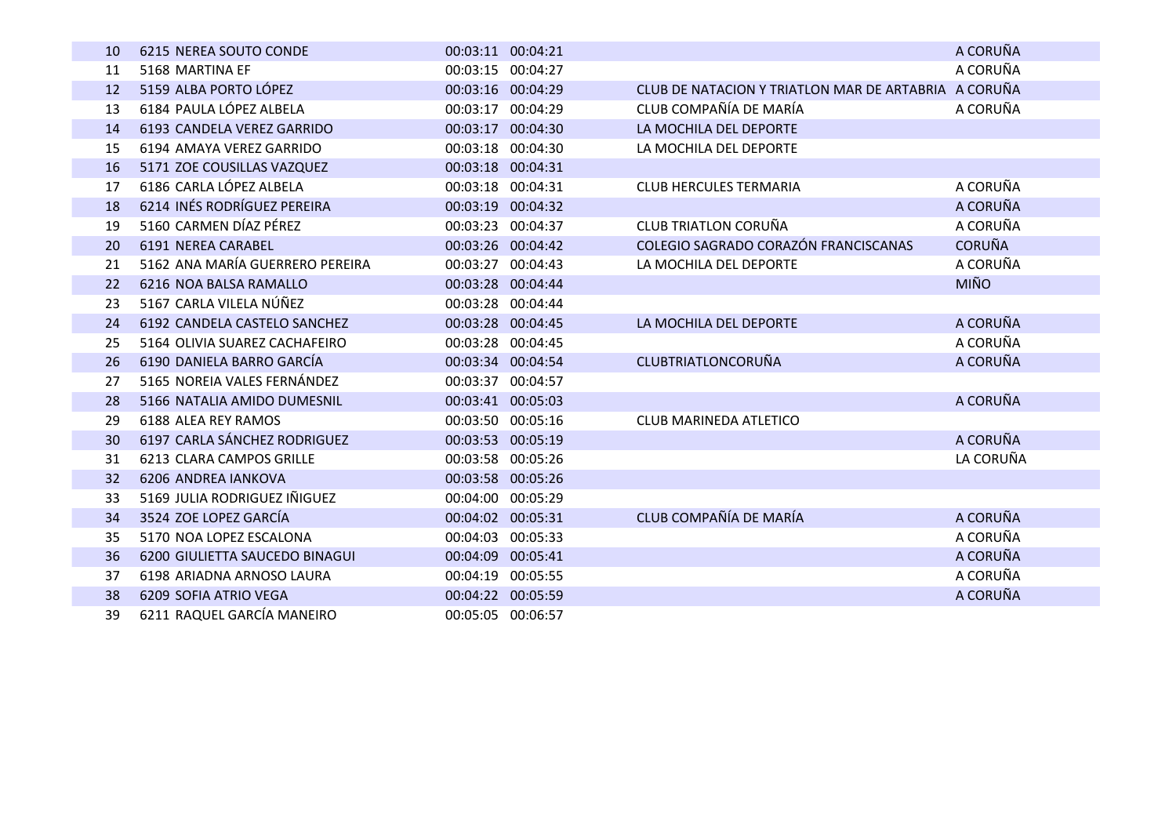| 10        | 6215 NEREA SOUTO CONDE          | 00:03:11 00:04:21 |                                                      | A CORUÑA      |
|-----------|---------------------------------|-------------------|------------------------------------------------------|---------------|
| 11        | 5168 MARTINA EF                 | 00:03:15 00:04:27 |                                                      | A CORUÑA      |
| 12        | 5159 ALBA PORTO LÓPEZ           | 00:03:16 00:04:29 | CLUB DE NATACION Y TRIATLON MAR DE ARTABRIA A CORUÑA |               |
| 13        | 6184 PAULA LÓPEZ ALBELA         | 00:03:17 00:04:29 | CLUB COMPAÑÍA DE MARÍA                               | A CORUÑA      |
| 14        | 6193 CANDELA VEREZ GARRIDO      | 00:03:17 00:04:30 | LA MOCHILA DEL DEPORTE                               |               |
| 15        | 6194 AMAYA VEREZ GARRIDO        | 00:03:18 00:04:30 | LA MOCHILA DEL DEPORTE                               |               |
| <b>16</b> | 5171 ZOE COUSILLAS VAZQUEZ      | 00:03:18 00:04:31 |                                                      |               |
| 17        | 6186 CARLA LÓPEZ ALBELA         | 00:03:18 00:04:31 | <b>CLUB HERCULES TERMARIA</b>                        | A CORUÑA      |
| 18        | 6214 INÉS RODRÍGUEZ PEREIRA     | 00:03:19 00:04:32 |                                                      | A CORUÑA      |
| 19        | 5160 CARMEN DÍAZ PÉREZ          | 00:03:23 00:04:37 | <b>CLUB TRIATLON CORUÑA</b>                          | A CORUÑA      |
| 20        | 6191 NEREA CARABEL              | 00:03:26 00:04:42 | COLEGIO SAGRADO CORAZÓN FRANCISCANAS                 | <b>CORUÑA</b> |
| 21        | 5162 ANA MARÍA GUERRERO PEREIRA | 00:03:27 00:04:43 | LA MOCHILA DEL DEPORTE                               | A CORUÑA      |
| 22        | 6216 NOA BALSA RAMALLO          | 00:03:28 00:04:44 |                                                      | <b>MIÑO</b>   |
| 23        | 5167 CARLA VILELA NÚÑEZ         | 00:03:28 00:04:44 |                                                      |               |
| 24        | 6192 CANDELA CASTELO SANCHEZ    | 00:03:28 00:04:45 | LA MOCHILA DEL DEPORTE                               | A CORUÑA      |
| 25        | 5164 OLIVIA SUAREZ CACHAFEIRO   | 00:03:28 00:04:45 |                                                      | A CORUÑA      |
| 26        | 6190 DANIELA BARRO GARCÍA       | 00:03:34 00:04:54 | <b>CLUBTRIATLONCORUÑA</b>                            | A CORUÑA      |
| 27        | 5165 NOREIA VALES FERNÁNDEZ     | 00:03:37 00:04:57 |                                                      |               |
| 28        | 5166 NATALIA AMIDO DUMESNIL     | 00:03:41 00:05:03 |                                                      | A CORUÑA      |
| 29        | 6188 ALEA REY RAMOS             | 00:03:50 00:05:16 | <b>CLUB MARINEDA ATLETICO</b>                        |               |
| 30        | 6197 CARLA SÁNCHEZ RODRIGUEZ    | 00:03:53 00:05:19 |                                                      | A CORUÑA      |
| 31        | <b>6213 CLARA CAMPOS GRILLE</b> | 00:03:58 00:05:26 |                                                      | LA CORUÑA     |
| 32        | 6206 ANDREA IANKOVA             | 00:03:58 00:05:26 |                                                      |               |
| 33        | 5169 JULIA RODRIGUEZ IÑIGUEZ    | 00:04:00 00:05:29 |                                                      |               |
| 34        | 3524 ZOE LOPEZ GARCÍA           | 00:04:02 00:05:31 | CLUB COMPAÑÍA DE MARÍA                               | A CORUÑA      |
| 35        | 5170 NOA LOPEZ ESCALONA         | 00:04:03 00:05:33 |                                                      | A CORUÑA      |
| 36        | 6200 GIULIETTA SAUCEDO BINAGUI  | 00:04:09 00:05:41 |                                                      | A CORUÑA      |
| 37        | 6198 ARIADNA ARNOSO LAURA       | 00:04:19 00:05:55 |                                                      | A CORUÑA      |
| 38        | 6209 SOFIA ATRIO VEGA           | 00:04:22 00:05:59 |                                                      | A CORUÑA      |
| 39        | 6211 RAQUEL GARCÍA MANEIRO      | 00:05:05 00:06:57 |                                                      |               |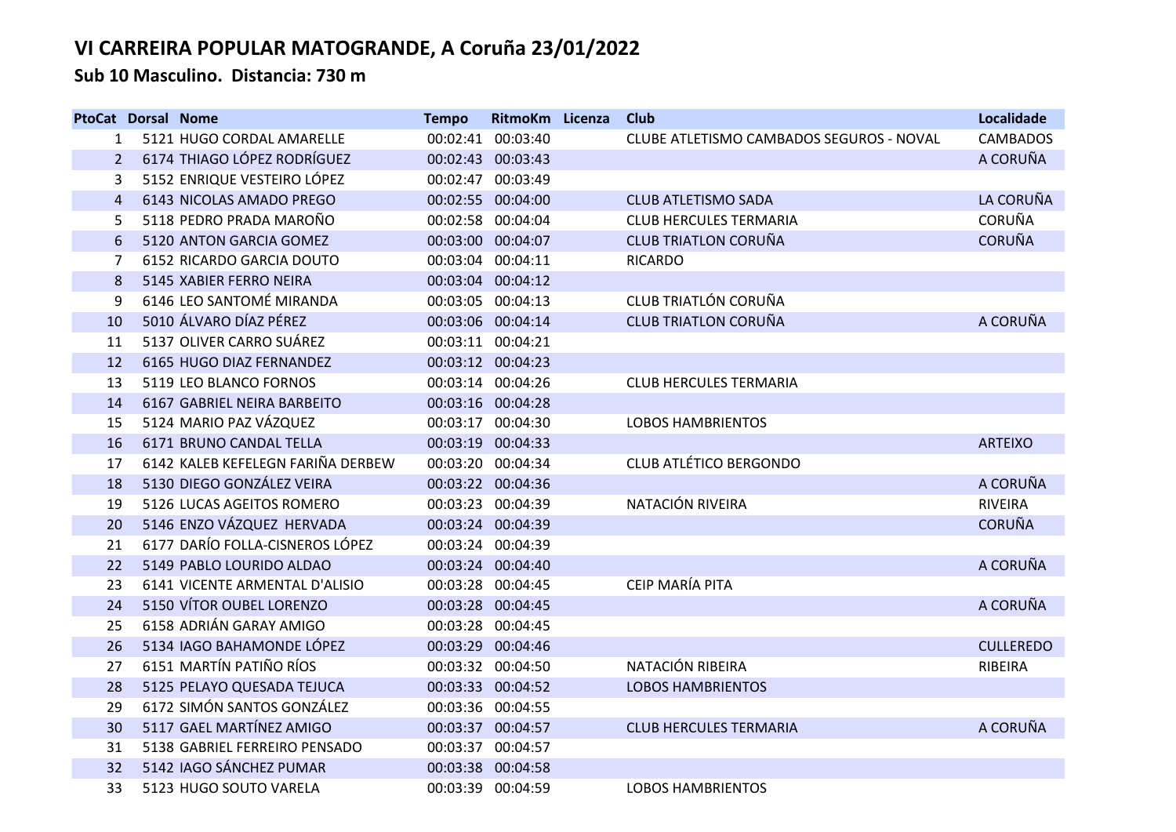**Sub 10 Masculino. Distancia: 730 m**

| <b>PtoCat Dorsal Nome</b> |                                   | <b>Tempo</b> | RitmoKm Licenza   | <b>Club</b>                              | Localidade       |
|---------------------------|-----------------------------------|--------------|-------------------|------------------------------------------|------------------|
| 1                         | 5121 HUGO CORDAL AMARELLE         |              | 00:02:41 00:03:40 | CLUBE ATLETISMO CAMBADOS SEGUROS - NOVAL | <b>CAMBADOS</b>  |
| 2                         | 6174 THIAGO LÓPEZ RODRÍGUEZ       |              | 00:02:43 00:03:43 |                                          | A CORUÑA         |
| 3                         | 5152 ENRIQUE VESTEIRO LÓPEZ       |              | 00:02:47 00:03:49 |                                          |                  |
| $\overline{4}$            | 6143 NICOLAS AMADO PREGO          |              | 00:02:55 00:04:00 | <b>CLUB ATLETISMO SADA</b>               | LA CORUÑA        |
| 5                         | 5118 PEDRO PRADA MAROÑO           |              | 00:02:58 00:04:04 | <b>CLUB HERCULES TERMARIA</b>            | <b>CORUÑA</b>    |
| 6                         | 5120 ANTON GARCIA GOMEZ           |              | 00:03:00 00:04:07 | <b>CLUB TRIATLON CORUÑA</b>              | <b>CORUÑA</b>    |
| 7                         | 6152 RICARDO GARCIA DOUTO         |              | 00:03:04 00:04:11 | <b>RICARDO</b>                           |                  |
| 8                         | 5145 XABIER FERRO NEIRA           |              | 00:03:04 00:04:12 |                                          |                  |
| 9                         | 6146 LEO SANTOMÉ MIRANDA          |              | 00:03:05 00:04:13 | CLUB TRIATLÓN CORUÑA                     |                  |
| 10                        | 5010 ÁLVARO DÍAZ PÉREZ            |              | 00:03:06 00:04:14 | <b>CLUB TRIATLON CORUÑA</b>              | A CORUÑA         |
| 11                        | 5137 OLIVER CARRO SUÁREZ          |              | 00:03:11 00:04:21 |                                          |                  |
| 12                        | 6165 HUGO DIAZ FERNANDEZ          |              | 00:03:12 00:04:23 |                                          |                  |
| 13                        | 5119 LEO BLANCO FORNOS            |              | 00:03:14 00:04:26 | <b>CLUB HERCULES TERMARIA</b>            |                  |
| 14                        | 6167 GABRIEL NEIRA BARBEITO       |              | 00:03:16 00:04:28 |                                          |                  |
| 15                        | 5124 MARIO PAZ VÁZQUEZ            |              | 00:03:17 00:04:30 | <b>LOBOS HAMBRIENTOS</b>                 |                  |
| 16                        | 6171 BRUNO CANDAL TELLA           |              | 00:03:19 00:04:33 |                                          | <b>ARTEIXO</b>   |
| 17                        | 6142 KALEB KEFELEGN FARIÑA DERBEW |              | 00:03:20 00:04:34 | <b>CLUB ATLÉTICO BERGONDO</b>            |                  |
| 18                        | 5130 DIEGO GONZÁLEZ VEIRA         |              | 00:03:22 00:04:36 |                                          | A CORUÑA         |
| 19                        | 5126 LUCAS AGEITOS ROMERO         |              | 00:03:23 00:04:39 | NATACIÓN RIVEIRA                         | <b>RIVEIRA</b>   |
| 20                        | 5146 ENZO VÁZQUEZ HERVADA         |              | 00:03:24 00:04:39 |                                          | <b>CORUÑA</b>    |
| 21                        | 6177 DARÍO FOLLA-CISNEROS LÓPEZ   |              | 00:03:24 00:04:39 |                                          |                  |
| 22                        | 5149 PABLO LOURIDO ALDAO          |              | 00:03:24 00:04:40 |                                          | A CORUÑA         |
| 23                        | 6141 VICENTE ARMENTAL D'ALISIO    |              | 00:03:28 00:04:45 | CEIP MARÍA PITA                          |                  |
| 24                        | 5150 VÍTOR OUBEL LORENZO          |              | 00:03:28 00:04:45 |                                          | A CORUÑA         |
| 25                        | 6158 ADRIÁN GARAY AMIGO           |              | 00:03:28 00:04:45 |                                          |                  |
| 26                        | 5134 IAGO BAHAMONDE LÓPEZ         |              | 00:03:29 00:04:46 |                                          | <b>CULLEREDO</b> |
| 27                        | 6151 MARTÍN PATIÑO RÍOS           |              | 00:03:32 00:04:50 | NATACIÓN RIBEIRA                         | RIBEIRA          |
| 28                        | 5125 PELAYO QUESADA TEJUCA        |              | 00:03:33 00:04:52 | <b>LOBOS HAMBRIENTOS</b>                 |                  |
| 29                        | 6172 SIMÓN SANTOS GONZÁLEZ        |              | 00:03:36 00:04:55 |                                          |                  |
| 30                        | 5117 GAEL MARTÍNEZ AMIGO          |              | 00:03:37 00:04:57 | <b>CLUB HERCULES TERMARIA</b>            | A CORUÑA         |
| 31                        | 5138 GABRIEL FERREIRO PENSADO     |              | 00:03:37 00:04:57 |                                          |                  |
| 32                        | 5142 IAGO SÁNCHEZ PUMAR           |              | 00:03:38 00:04:58 |                                          |                  |
| 33                        | 5123 HUGO SOUTO VARELA            |              | 00:03:39 00:04:59 | <b>LOBOS HAMBRIENTOS</b>                 |                  |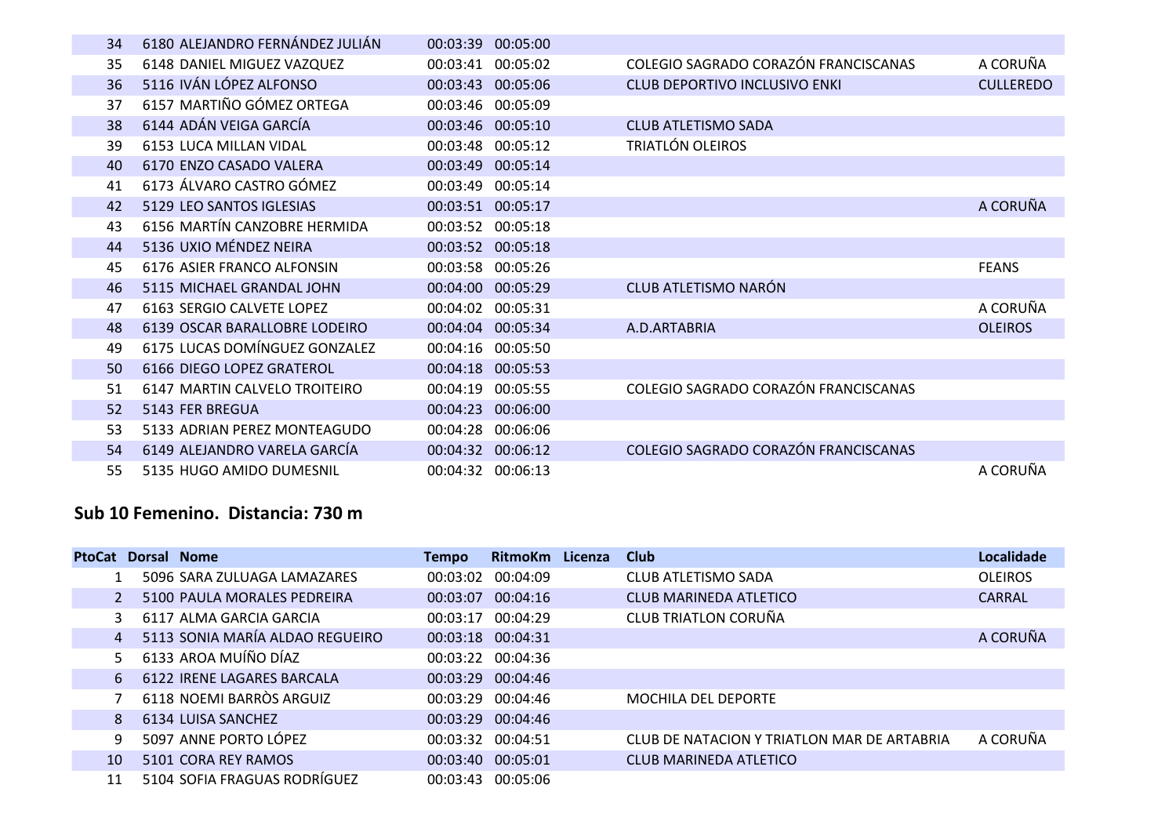| 34 | 6180 ALEJANDRO FERNÁNDEZ JULIÁN | 00:03:39 00:05:00    |                                      |                  |
|----|---------------------------------|----------------------|--------------------------------------|------------------|
| 35 | 6148 DANIEL MIGUEZ VAZQUEZ      | 00:03:41 00:05:02    | COLEGIO SAGRADO CORAZÓN FRANCISCANAS | A CORUÑA         |
| 36 | 5116 IVÁN LÓPEZ ALFONSO         | 00:03:43 00:05:06    | <b>CLUB DEPORTIVO INCLUSIVO ENKI</b> | <b>CULLEREDO</b> |
| 37 | 6157 MARTIÑO GÓMEZ ORTEGA       | 00:03:46 00:05:09    |                                      |                  |
| 38 | 6144 ADÁN VEIGA GARCÍA          | 00:03:46 00:05:10    | <b>CLUB ATLETISMO SADA</b>           |                  |
| 39 | 6153 LUCA MILLAN VIDAL          | 00:03:48 00:05:12    | TRIATLÓN OLEIROS                     |                  |
| 40 | 6170 ENZO CASADO VALERA         | 00:03:49 00:05:14    |                                      |                  |
| 41 | 6173 ÁLVARO CASTRO GÓMEZ        | 00:03:49<br>00:05:14 |                                      |                  |
| 42 | 5129 LEO SANTOS IGLESIAS        | 00:03:51 00:05:17    |                                      | A CORUÑA         |
| 43 | 6156 MARTÍN CANZOBRE HERMIDA    | 00:03:52 00:05:18    |                                      |                  |
| 44 | 5136 UXIO MÉNDEZ NEIRA          | 00:03:52 00:05:18    |                                      |                  |
| 45 | 6176 ASIER FRANCO ALFONSIN      | 00:03:58 00:05:26    |                                      | <b>FEANS</b>     |
| 46 | 5115 MICHAEL GRANDAL JOHN       | 00:04:00 00:05:29    | CLUB ATLETISMO NARÓN                 |                  |
| 47 | 6163 SERGIO CALVETE LOPEZ       | 00:04:02 00:05:31    |                                      | A CORUÑA         |
| 48 | 6139 OSCAR BARALLOBRE LODEIRO   | 00:04:04 00:05:34    | A.D.ARTABRIA                         | <b>OLEIROS</b>   |
| 49 | 6175 LUCAS DOMÍNGUEZ GONZALEZ   | 00:04:16<br>00:05:50 |                                      |                  |
| 50 | 6166 DIEGO LOPEZ GRATEROL       | 00:04:18 00:05:53    |                                      |                  |
| 51 | 6147 MARTIN CALVELO TROITEIRO   | 00:04:19<br>00:05:55 | COLEGIO SAGRADO CORAZÓN FRANCISCANAS |                  |
| 52 | 5143 FER BREGUA                 | 00:04:23<br>00:06:00 |                                      |                  |
| 53 | 5133 ADRIAN PEREZ MONTEAGUDO    | 00:04:28<br>00:06:06 |                                      |                  |
| 54 | 6149 ALEJANDRO VARELA GARCÍA    | 00:04:32<br>00:06:12 | COLEGIO SAGRADO CORAZÓN FRANCISCANAS |                  |
| 55 | 5135 HUGO AMIDO DUMESNIL        | 00:04:32 00:06:13    |                                      | A CORUÑA         |

### **Sub 10 Femenino. Distancia: 730 m**

I

|                | <b>PtoCat Dorsal Nome</b>       | Tempo             | RitmoKm Licenza | <b>Club</b>                                 | Localidade     |
|----------------|---------------------------------|-------------------|-----------------|---------------------------------------------|----------------|
|                | 5096 SARA ZULUAGA LAMAZARES     | 00:03:02          | 00:04:09        | CLUB ATLETISMO SADA                         | <b>OLEIROS</b> |
|                | 5100 PAULA MORALES PEDREIRA     | 00:03:07          | 00:04:16        | CLUB MARINEDA ATLETICO                      | <b>CARRAL</b>  |
| 3              | 6117 ALMA GARCIA GARCIA         | 00:03:17          | 00:04:29        | CLUB TRIATLON CORUÑA                        |                |
| $\overline{4}$ | 5113 SONIA MARÍA ALDAO REGUEIRO | 00:03:18 00:04:31 |                 |                                             | A CORUÑA       |
| 5              | 6133 AROA MUÍÑO DÍAZ            | 00:03:22 00:04:36 |                 |                                             |                |
| 6              | 6122 IRENE LAGARES BARCALA      | 00:03:29          | 00:04:46        |                                             |                |
|                | 6118 NOEMI BARROS ARGUIZ        | 00:03:29 00:04:46 |                 | <b>MOCHILA DEL DEPORTE</b>                  |                |
| 8              | 6134 LUISA SANCHEZ              | 00:03:29 00:04:46 |                 |                                             |                |
| 9              | 5097 ANNE PORTO LÓPEZ           | 00:03:32 00:04:51 |                 | CLUB DE NATACION Y TRIATLON MAR DE ARTABRIA | A CORUÑA       |
| 10             | 5101 CORA REY RAMOS             | 00:03:40          | 00:05:01        | CLUB MARINEDA ATLETICO                      |                |
| 11             | 5104 SOFIA FRAGUAS RODRÍGUEZ    | 00:03:43 00:05:06 |                 |                                             |                |